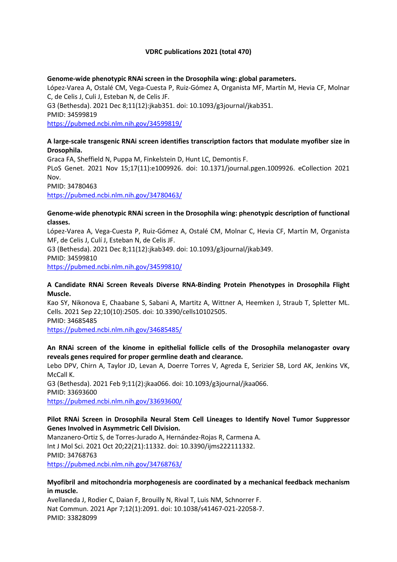#### **VDRC publications 2021 (total 470)**

#### **Genome-wide phenotypic RNAi screen in the Drosophila wing: global parameters.**

López-Varea A, Ostalé CM, Vega-Cuesta P, Ruiz-Gómez A, Organista MF, Martín M, Hevia CF, Molnar C, de Celis J, Culi J, Esteban N, de Celis JF. G3 (Bethesda). 2021 Dec 8;11(12):jkab351. doi: 10.1093/g3journal/jkab351. PMID: 34599819 <https://pubmed.ncbi.nlm.nih.gov/34599819/>

**A large-scale transgenic RNAi screen identifies transcription factors that modulate myofiber size in Drosophila.**

Graca FA, Sheffield N, Puppa M, Finkelstein D, Hunt LC, Demontis F. PLoS Genet. 2021 Nov 15;17(11):e1009926. doi: 10.1371/journal.pgen.1009926. eCollection 2021 Nov. PMID: 34780463 <https://pubmed.ncbi.nlm.nih.gov/34780463/>

#### **Genome-wide phenotypic RNAi screen in the Drosophila wing: phenotypic description of functional classes.**

López-Varea A, Vega-Cuesta P, Ruiz-Gómez A, Ostalé CM, Molnar C, Hevia CF, Martín M, Organista MF, de Celis J, Culí J, Esteban N, de Celis JF. G3 (Bethesda). 2021 Dec 8;11(12):jkab349. doi: 10.1093/g3journal/jkab349. PMID: 34599810

<https://pubmed.ncbi.nlm.nih.gov/34599810/>

#### **A Candidate RNAi Screen Reveals Diverse RNA-Binding Protein Phenotypes in Drosophila Flight Muscle.**

Kao SY, Nikonova E, Chaabane S, Sabani A, Martitz A, Wittner A, Heemken J, Straub T, Spletter ML. Cells. 2021 Sep 22;10(10):2505. doi: 10.3390/cells10102505. PMID: 34685485 <https://pubmed.ncbi.nlm.nih.gov/34685485/>

## **An RNAi screen of the kinome in epithelial follicle cells of the Drosophila melanogaster ovary reveals genes required for proper germline death and clearance.**

Lebo DPV, Chirn A, Taylor JD, Levan A, Doerre Torres V, Agreda E, Serizier SB, Lord AK, Jenkins VK, McCall K.

G3 (Bethesda). 2021 Feb 9;11(2):jkaa066. doi: 10.1093/g3journal/jkaa066. PMID: 33693600 <https://pubmed.ncbi.nlm.nih.gov/33693600/>

#### **Pilot RNAi Screen in Drosophila Neural Stem Cell Lineages to Identify Novel Tumor Suppressor Genes Involved in Asymmetric Cell Division.**

Manzanero-Ortiz S, de Torres-Jurado A, Hernández-Rojas R, Carmena A. Int J Mol Sci. 2021 Oct 20;22(21):11332. doi: 10.3390/ijms222111332. PMID: 34768763

<https://pubmed.ncbi.nlm.nih.gov/34768763/>

#### **Myofibril and mitochondria morphogenesis are coordinated by a mechanical feedback mechanism in muscle.**

Avellaneda J, Rodier C, Daian F, Brouilly N, Rival T, Luis NM, Schnorrer F. Nat Commun. 2021 Apr 7;12(1):2091. doi: 10.1038/s41467-021-22058-7. PMID: 33828099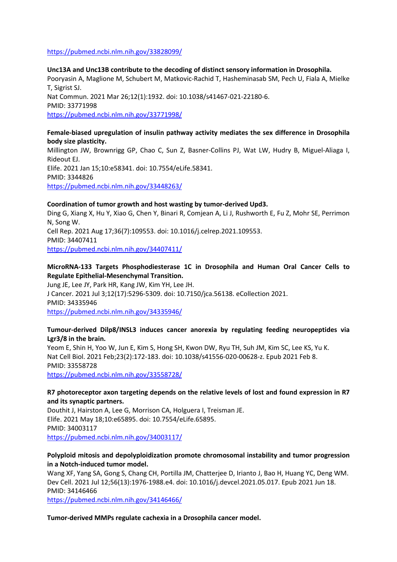#### <https://pubmed.ncbi.nlm.nih.gov/33828099/>

**Unc13A and Unc13B contribute to the decoding of distinct sensory information in Drosophila.** Pooryasin A, Maglione M, Schubert M, Matkovic-Rachid T, Hasheminasab SM, Pech U, Fiala A, Mielke T, Sigrist SJ. Nat Commun. 2021 Mar 26;12(1):1932. doi: 10.1038/s41467-021-22180-6. PMID: 33771998 <https://pubmed.ncbi.nlm.nih.gov/33771998/>

#### **Female-biased upregulation of insulin pathway activity mediates the sex difference in Drosophila body size plasticity.**

Millington JW, Brownrigg GP, Chao C, Sun Z, Basner-Collins PJ, Wat LW, Hudry B, Miguel-Aliaga I, Rideout EJ. Elife. 2021 Jan 15;10:e58341. doi: 10.7554/eLife.58341. PMID: 3344826 <https://pubmed.ncbi.nlm.nih.gov/33448263/>

# **Coordination of tumor growth and host wasting by tumor-derived Upd3.**

Ding G, Xiang X, Hu Y, Xiao G, Chen Y, Binari R, Comjean A, Li J, Rushworth E, Fu Z, Mohr SE, Perrimon N, Song W. Cell Rep. 2021 Aug 17;36(7):109553. doi: 10.1016/j.celrep.2021.109553. PMID: 34407411 <https://pubmed.ncbi.nlm.nih.gov/34407411/>

## **MicroRNA-133 Targets Phosphodiesterase 1C in Drosophila and Human Oral Cancer Cells to Regulate Epithelial-Mesenchymal Transition.**

Jung JE, Lee JY, Park HR, Kang JW, Kim YH, Lee JH. J Cancer. 2021 Jul 3;12(17):5296-5309. doi: 10.7150/jca.56138. eCollection 2021. PMID: 34335946 <https://pubmed.ncbi.nlm.nih.gov/34335946/>

#### **Tumour-derived Dilp8/INSL3 induces cancer anorexia by regulating feeding neuropeptides via Lgr3/8 in the brain.**

Yeom E, Shin H, Yoo W, Jun E, Kim S, Hong SH, Kwon DW, Ryu TH, Suh JM, Kim SC, Lee KS, Yu K. Nat Cell Biol. 2021 Feb;23(2):172-183. doi: 10.1038/s41556-020-00628-z. Epub 2021 Feb 8. PMID: 33558728

<https://pubmed.ncbi.nlm.nih.gov/33558728/>

#### **R7 photoreceptor axon targeting depends on the relative levels of lost and found expression in R7 and its synaptic partners.**

Douthit J, Hairston A, Lee G, Morrison CA, Holguera I, Treisman JE. Elife. 2021 May 18;10:e65895. doi: 10.7554/eLife.65895. PMID: 34003117 <https://pubmed.ncbi.nlm.nih.gov/34003117/>

#### **Polyploid mitosis and depolyploidization promote chromosomal instability and tumor progression in a Notch-induced tumor model.**

Wang XF, Yang SA, Gong S, Chang CH, Portilla JM, Chatterjee D, Irianto J, Bao H, Huang YC, Deng WM. Dev Cell. 2021 Jul 12;56(13):1976-1988.e4. doi: 10.1016/j.devcel.2021.05.017. Epub 2021 Jun 18. PMID: 34146466

<https://pubmed.ncbi.nlm.nih.gov/34146466/>

#### **Tumor-derived MMPs regulate cachexia in a Drosophila cancer model.**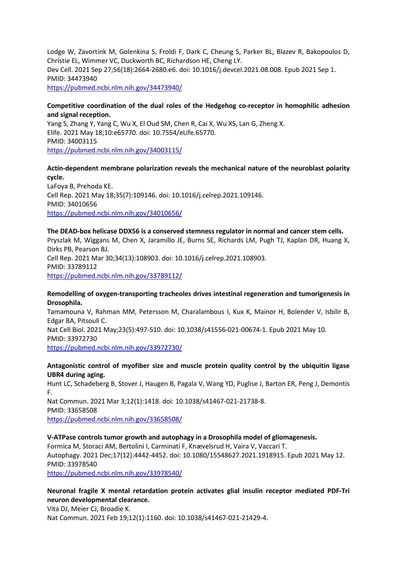Lodge W, Zavortink M, Golenkina S, Froldi F, Dark C, Cheung S, Parker BL, Blazev R, Bakopoulos D, Christie EL, Wimmer VC, Duckworth BC, Richardson HE, Cheng LY. Dev Cell. 2021 Sep 27;56(18):2664-2680.e6. doi: 10.1016/j.devcel.2021.08.008. Epub 2021 Sep 1. PMID: 34473940 <https://pubmed.ncbi.nlm.nih.gov/34473940/>

#### **Competitive coordination of the dual roles of the Hedgehog co-receptor in homophilic adhesion and signal reception.**

Yang S, Zhang Y, Yang C, Wu X, El Oud SM, Chen R, Cai X, Wu XS, Lan G, Zheng X. Elife. 2021 May 18;10:e65770. doi: 10.7554/eLife.65770. PMID: 34003115 <https://pubmed.ncbi.nlm.nih.gov/34003115/>

## **Actin-dependent membrane polarization reveals the mechanical nature of the neuroblast polarity cycle.**

LaFoya B, Prehoda KE. Cell Rep. 2021 May 18;35(7):109146. doi: 10.1016/j.celrep.2021.109146. PMID: 34010656 <https://pubmed.ncbi.nlm.nih.gov/34010656/>

## **The DEAD-box helicase DDX56 is a conserved stemness regulator in normal and cancer stem cells.**

Pryszlak M, Wiggans M, Chen X, Jaramillo JE, Burns SE, Richards LM, Pugh TJ, Kaplan DR, Huang X, Dirks PB, Pearson BJ. Cell Rep. 2021 Mar 30;34(13):108903. doi: 10.1016/j.celrep.2021.108903. PMID: 33789112

<https://pubmed.ncbi.nlm.nih.gov/33789112/>

#### **Remodelling of oxygen-transporting tracheoles drives intestinal regeneration and tumorigenesis in Drosophila.**

Tamamouna V, Rahman MM, Petersson M, Charalambous I, Kux K, Mainor H, Bolender V, Isbilir B, Edgar BA, Pitsouli C. Nat Cell Biol. 2021 May;23(5):497-510. doi: 10.1038/s41556-021-00674-1. Epub 2021 May 10. PMID: 33972730 <https://pubmed.ncbi.nlm.nih.gov/33972730/>

#### **Antagonistic control of myofiber size and muscle protein quality control by the ubiquitin ligase UBR4 during aging.**

Hunt LC, Schadeberg B, Stover J, Haugen B, Pagala V, Wang YD, Puglise J, Barton ER, Peng J, Demontis F. Nat Commun. 2021 Mar 3;12(1):1418. doi: 10.1038/s41467-021-21738-8.

PMID: 33658508

<https://pubmed.ncbi.nlm.nih.gov/33658508/>

## **V-ATPase controls tumor growth and autophagy in a Drosophila model of gliomagenesis.**

Formica M, Storaci AM, Bertolini I, Carminati F, Knævelsrud H, Vaira V, Vaccari T. Autophagy. 2021 Dec;17(12):4442-4452. doi: 10.1080/15548627.2021.1918915. Epub 2021 May 12. PMID: 33978540

<https://pubmed.ncbi.nlm.nih.gov/33978540/>

## **Neuronal fragile X mental retardation protein activates glial insulin receptor mediated PDF-Tri neuron developmental clearance.**

Vita DJ, Meier CJ, Broadie K. Nat Commun. 2021 Feb 19;12(1):1160. doi: 10.1038/s41467-021-21429-4.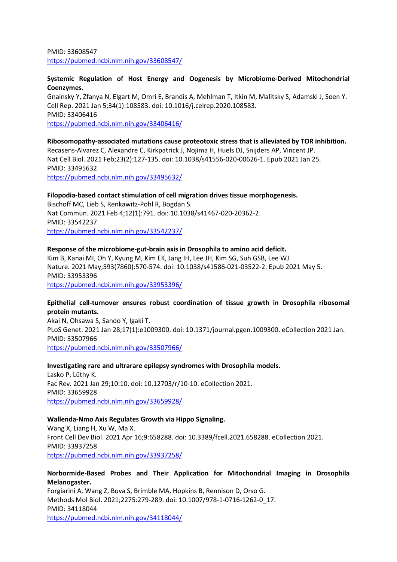PMID: 33608547 <https://pubmed.ncbi.nlm.nih.gov/33608547/>

#### **Systemic Regulation of Host Energy and Oogenesis by Microbiome-Derived Mitochondrial Coenzymes.**

Gnainsky Y, Zfanya N, Elgart M, Omri E, Brandis A, Mehlman T, Itkin M, Malitsky S, Adamski J, Soen Y. Cell Rep. 2021 Jan 5;34(1):108583. doi: 10.1016/j.celrep.2020.108583. PMID: 33406416 <https://pubmed.ncbi.nlm.nih.gov/33406416/>

**Ribosomopathy-associated mutations cause proteotoxic stress that is alleviated by TOR inhibition.** Recasens-Alvarez C, Alexandre C, Kirkpatrick J, Nojima H, Huels DJ, Snijders AP, Vincent JP. Nat Cell Biol. 2021 Feb;23(2):127-135. doi: 10.1038/s41556-020-00626-1. Epub 2021 Jan 25. PMID: 33495632 <https://pubmed.ncbi.nlm.nih.gov/33495632/>

#### **Filopodia-based contact stimulation of cell migration drives tissue morphogenesis.**

Bischoff MC, Lieb S, Renkawitz-Pohl R, Bogdan S. Nat Commun. 2021 Feb 4;12(1):791. doi: 10.1038/s41467-020-20362-2. PMID: 33542237 <https://pubmed.ncbi.nlm.nih.gov/33542237/>

#### **Response of the microbiome-gut-brain axis in Drosophila to amino acid deficit.**

Kim B, Kanai MI, Oh Y, Kyung M, Kim EK, Jang IH, Lee JH, Kim SG, Suh GSB, Lee WJ. Nature. 2021 May;593(7860):570-574. doi: 10.1038/s41586-021-03522-2. Epub 2021 May 5. PMID: 33953396 <https://pubmed.ncbi.nlm.nih.gov/33953396/>

#### **Epithelial cell-turnover ensures robust coordination of tissue growth in Drosophila ribosomal protein mutants.**

Akai N, Ohsawa S, Sando Y, Igaki T. PLoS Genet. 2021 Jan 28;17(1):e1009300. doi: 10.1371/journal.pgen.1009300. eCollection 2021 Jan. PMID: 33507966 <https://pubmed.ncbi.nlm.nih.gov/33507966/>

## **Investigating rare and ultrarare epilepsy syndromes with Drosophila models.**

Lasko P, Lüthy K. Fac Rev. 2021 Jan 29;10:10. doi: 10.12703/r/10-10. eCollection 2021. PMID: 33659928 <https://pubmed.ncbi.nlm.nih.gov/33659928/>

#### **Wallenda-Nmo Axis Regulates Growth via Hippo Signaling.**

Wang X, Liang H, Xu W, Ma X. Front Cell Dev Biol. 2021 Apr 16;9:658288. doi: 10.3389/fcell.2021.658288. eCollection 2021. PMID: 33937258 <https://pubmed.ncbi.nlm.nih.gov/33937258/>

#### **Norbormide-Based Probes and Their Application for Mitochondrial Imaging in Drosophila Melanogaster.**

Forgiarini A, Wang Z, Bova S, Brimble MA, Hopkins B, Rennison D, Orso G. Methods Mol Biol. 2021;2275:279-289. doi: 10.1007/978-1-0716-1262-0\_17. PMID: 34118044 <https://pubmed.ncbi.nlm.nih.gov/34118044/>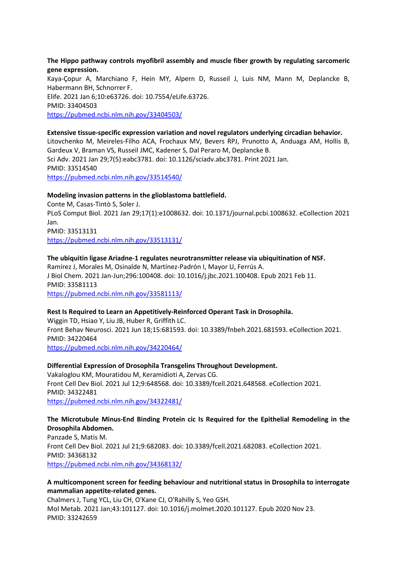#### **The Hippo pathway controls myofibril assembly and muscle fiber growth by regulating sarcomeric gene expression.**

Kaya-Çopur A, Marchiano F, Hein MY, Alpern D, Russeil J, Luis NM, Mann M, Deplancke B, Habermann BH, Schnorrer F. Elife. 2021 Jan 6;10:e63726. doi: 10.7554/eLife.63726. PMID: 33404503 <https://pubmed.ncbi.nlm.nih.gov/33404503/>

#### **Extensive tissue-specific expression variation and novel regulators underlying circadian behavior.**

Litovchenko M, Meireles-Filho ACA, Frochaux MV, Bevers RPJ, Prunotto A, Anduaga AM, Hollis B, Gardeux V, Braman VS, Russeil JMC, Kadener S, Dal Peraro M, Deplancke B. Sci Adv. 2021 Jan 29;7(5):eabc3781. doi: 10.1126/sciadv.abc3781. Print 2021 Jan. PMID: 33514540 <https://pubmed.ncbi.nlm.nih.gov/33514540/>

#### **Modeling invasion patterns in the glioblastoma battlefield.**

Conte M, Casas-Tintò S, Soler J. PLoS Comput Biol. 2021 Jan 29;17(1):e1008632. doi: 10.1371/journal.pcbi.1008632. eCollection 2021 Jan. PMID: 33513131 <https://pubmed.ncbi.nlm.nih.gov/33513131/>

## **The ubiquitin ligase Ariadne-1 regulates neurotransmitter release via ubiquitination of NSF.**

Ramírez J, Morales M, Osinalde N, Martínez-Padrón I, Mayor U, Ferrús A. J Biol Chem. 2021 Jan-Jun;296:100408. doi: 10.1016/j.jbc.2021.100408. Epub 2021 Feb 11. PMID: 33581113 <https://pubmed.ncbi.nlm.nih.gov/33581113/>

#### **Rest Is Required to Learn an Appetitively-Reinforced Operant Task in Drosophila.**

Wiggin TD, Hsiao Y, Liu JB, Huber R, Griffith LC. Front Behav Neurosci. 2021 Jun 18;15:681593. doi: 10.3389/fnbeh.2021.681593. eCollection 2021. PMID: 34220464 <https://pubmed.ncbi.nlm.nih.gov/34220464/>

#### **Differential Expression of Drosophila Transgelins Throughout Development.**

Vakaloglou KM, Mouratidou M, Keramidioti A, Zervas CG. Front Cell Dev Biol. 2021 Jul 12;9:648568. doi: 10.3389/fcell.2021.648568. eCollection 2021. PMID: 34322481 <https://pubmed.ncbi.nlm.nih.gov/34322481/>

#### **The Microtubule Minus-End Binding Protein cic Is Required for the Epithelial Remodeling in the Drosophila Abdomen.**

Panzade S, Matis M. Front Cell Dev Biol. 2021 Jul 21;9:682083. doi: 10.3389/fcell.2021.682083. eCollection 2021. PMID: 34368132 <https://pubmed.ncbi.nlm.nih.gov/34368132/>

#### **A multicomponent screen for feeding behaviour and nutritional status in Drosophila to interrogate mammalian appetite-related genes.**

Chalmers J, Tung YCL, Liu CH, O'Kane CJ, O'Rahilly S, Yeo GSH. Mol Metab. 2021 Jan;43:101127. doi: 10.1016/j.molmet.2020.101127. Epub 2020 Nov 23. PMID: 33242659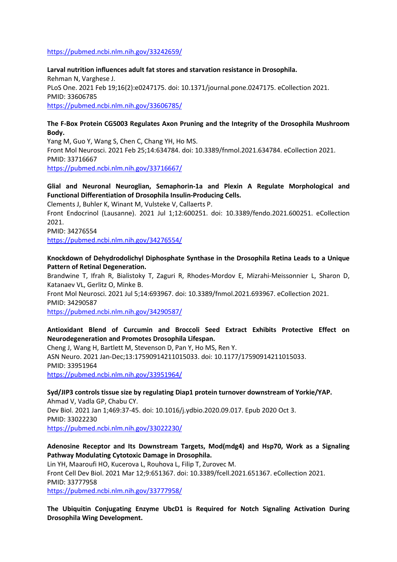<https://pubmed.ncbi.nlm.nih.gov/33242659/>

**Larval nutrition influences adult fat stores and starvation resistance in Drosophila.** Rehman N, Varghese J. PLoS One. 2021 Feb 19;16(2):e0247175. doi: 10.1371/journal.pone.0247175. eCollection 2021. PMID: 33606785 <https://pubmed.ncbi.nlm.nih.gov/33606785/>

#### **The F-Box Protein CG5003 Regulates Axon Pruning and the Integrity of the Drosophila Mushroom Body.**

Yang M, Guo Y, Wang S, Chen C, Chang YH, Ho MS. Front Mol Neurosci. 2021 Feb 25;14:634784. doi: 10.3389/fnmol.2021.634784. eCollection 2021. PMID: 33716667 <https://pubmed.ncbi.nlm.nih.gov/33716667/>

## **Glial and Neuronal Neuroglian, Semaphorin-1a and Plexin A Regulate Morphological and Functional Differentiation of Drosophila Insulin-Producing Cells.**

Clements J, Buhler K, Winant M, Vulsteke V, Callaerts P.

Front Endocrinol (Lausanne). 2021 Jul 1;12:600251. doi: 10.3389/fendo.2021.600251. eCollection 2021.

PMID: 34276554

<https://pubmed.ncbi.nlm.nih.gov/34276554/>

## **Knockdown of Dehydrodolichyl Diphosphate Synthase in the Drosophila Retina Leads to a Unique Pattern of Retinal Degeneration.**

Brandwine T, Ifrah R, Bialistoky T, Zaguri R, Rhodes-Mordov E, Mizrahi-Meissonnier L, Sharon D, Katanaev VL, Gerlitz O, Minke B.

Front Mol Neurosci. 2021 Jul 5;14:693967. doi: 10.3389/fnmol.2021.693967. eCollection 2021. PMID: 34290587

<https://pubmed.ncbi.nlm.nih.gov/34290587/>

## **Antioxidant Blend of Curcumin and Broccoli Seed Extract Exhibits Protective Effect on Neurodegeneration and Promotes Drosophila Lifespan.**

Cheng J, Wang H, Bartlett M, Stevenson D, Pan Y, Ho MS, Ren Y. ASN Neuro. 2021 Jan-Dec;13:17590914211015033. doi: 10.1177/17590914211015033. PMID: 33951964 <https://pubmed.ncbi.nlm.nih.gov/33951964/>

# **Syd/JIP3 controls tissue size by regulating Diap1 protein turnover downstream of Yorkie/YAP.**

Ahmad V, Vadla GP, Chabu CY. Dev Biol. 2021 Jan 1;469:37-45. doi: 10.1016/j.ydbio.2020.09.017. Epub 2020 Oct 3. PMID: 33022230 <https://pubmed.ncbi.nlm.nih.gov/33022230/>

## **Adenosine Receptor and Its Downstream Targets, Mod(mdg4) and Hsp70, Work as a Signaling Pathway Modulating Cytotoxic Damage in Drosophila.**

Lin YH, Maaroufi HO, Kucerova L, Rouhova L, Filip T, Zurovec M. Front Cell Dev Biol. 2021 Mar 12;9:651367. doi: 10.3389/fcell.2021.651367. eCollection 2021. PMID: 33777958 <https://pubmed.ncbi.nlm.nih.gov/33777958/>

**The Ubiquitin Conjugating Enzyme UbcD1 is Required for Notch Signaling Activation During Drosophila Wing Development.**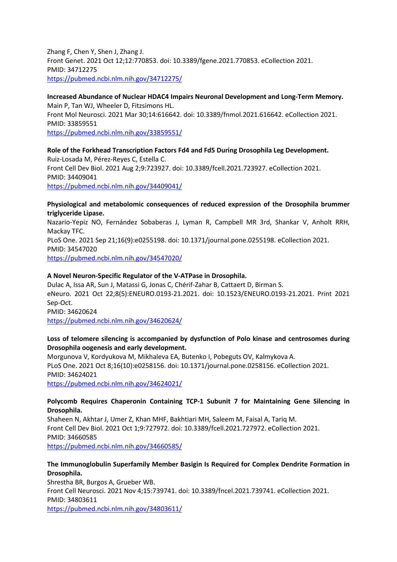Zhang F, Chen Y, Shen J, Zhang J. Front Genet. 2021 Oct 12;12:770853. doi: 10.3389/fgene.2021.770853. eCollection 2021. PMID: 34712275 <https://pubmed.ncbi.nlm.nih.gov/34712275/>

## **Increased Abundance of Nuclear HDAC4 Impairs Neuronal Development and Long-Term Memory.** Main P, Tan WJ, Wheeler D, Fitzsimons HL. Front Mol Neurosci. 2021 Mar 30;14:616642. doi: 10.3389/fnmol.2021.616642. eCollection 2021. PMID: 33859551 <https://pubmed.ncbi.nlm.nih.gov/33859551/>

**Role of the Forkhead Transcription Factors Fd4 and Fd5 During Drosophila Leg Development.** Ruiz-Losada M, Pérez-Reyes C, Estella C. Front Cell Dev Biol. 2021 Aug 2;9:723927. doi: 10.3389/fcell.2021.723927. eCollection 2021. PMID: 34409041 <https://pubmed.ncbi.nlm.nih.gov/34409041/>

#### **Physiological and metabolomic consequences of reduced expression of the Drosophila brummer triglyceride Lipase.**

Nazario-Yepiz NO, Fernández Sobaberas J, Lyman R, Campbell MR 3rd, Shankar V, Anholt RRH, Mackay TFC. PLoS One. 2021 Sep 21;16(9):e0255198. doi: 10.1371/journal.pone.0255198. eCollection 2021. PMID: 34547020 <https://pubmed.ncbi.nlm.nih.gov/34547020/>

## **A Novel Neuron-Specific Regulator of the V-ATPase in Drosophila.**

Dulac A, Issa AR, Sun J, Matassi G, Jonas C, Chérif-Zahar B, Cattaert D, Birman S. eNeuro. 2021 Oct 22;8(5):ENEURO.0193-21.2021. doi: 10.1523/ENEURO.0193-21.2021. Print 2021 Sep-Oct. PMID: 34620624 <https://pubmed.ncbi.nlm.nih.gov/34620624/>

#### **Loss of telomere silencing is accompanied by dysfunction of Polo kinase and centrosomes during Drosophila oogenesis and early development.**

Morgunova V, Kordyukova M, Mikhaleva EA, Butenko I, Pobeguts OV, Kalmykova A. PLoS One. 2021 Oct 8;16(10):e0258156. doi: 10.1371/journal.pone.0258156. eCollection 2021. PMID: 34624021 <https://pubmed.ncbi.nlm.nih.gov/34624021/>

#### **Polycomb Requires Chaperonin Containing TCP-1 Subunit 7 for Maintaining Gene Silencing in Drosophila.**

Shaheen N, Akhtar J, Umer Z, Khan MHF, Bakhtiari MH, Saleem M, Faisal A, Tariq M. Front Cell Dev Biol. 2021 Oct 1;9:727972. doi: 10.3389/fcell.2021.727972. eCollection 2021. PMID: 34660585 <https://pubmed.ncbi.nlm.nih.gov/34660585/>

## **The Immunoglobulin Superfamily Member Basigin Is Required for Complex Dendrite Formation in Drosophila.**

Shrestha BR, Burgos A, Grueber WB. Front Cell Neurosci. 2021 Nov 4;15:739741. doi: 10.3389/fncel.2021.739741. eCollection 2021. PMID: 34803611 <https://pubmed.ncbi.nlm.nih.gov/34803611/>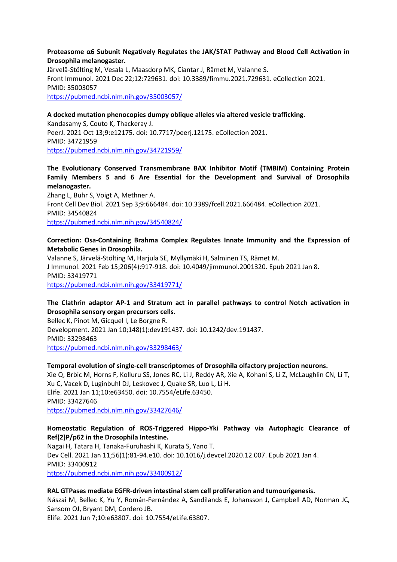#### **Proteasome α6 Subunit Negatively Regulates the JAK/STAT Pathway and Blood Cell Activation in Drosophila melanogaster.**

Järvelä-Stölting M, Vesala L, Maasdorp MK, Ciantar J, Rämet M, Valanne S. Front Immunol. 2021 Dec 22;12:729631. doi: 10.3389/fimmu.2021.729631. eCollection 2021. PMID: 35003057 <https://pubmed.ncbi.nlm.nih.gov/35003057/>

#### **A docked mutation phenocopies dumpy oblique alleles via altered vesicle trafficking.**

Kandasamy S, Couto K, Thackeray J. PeerJ. 2021 Oct 13;9:e12175. doi: 10.7717/peerj.12175. eCollection 2021. PMID: 34721959 <https://pubmed.ncbi.nlm.nih.gov/34721959/>

## **The Evolutionary Conserved Transmembrane BAX Inhibitor Motif (TMBIM) Containing Protein Family Members 5 and 6 Are Essential for the Development and Survival of Drosophila melanogaster.**

Zhang L, Buhr S, Voigt A, Methner A. Front Cell Dev Biol. 2021 Sep 3;9:666484. doi: 10.3389/fcell.2021.666484. eCollection 2021. PMID: 34540824 <https://pubmed.ncbi.nlm.nih.gov/34540824/>

#### **Correction: Osa-Containing Brahma Complex Regulates Innate Immunity and the Expression of Metabolic Genes in Drosophila.**

Valanne S, Järvelä-Stölting M, Harjula SE, Myllymäki H, Salminen TS, Rämet M. J Immunol. 2021 Feb 15;206(4):917-918. doi: 10.4049/jimmunol.2001320. Epub 2021 Jan 8. PMID: 33419771 <https://pubmed.ncbi.nlm.nih.gov/33419771/>

## **The Clathrin adaptor AP-1 and Stratum act in parallel pathways to control Notch activation in Drosophila sensory organ precursors cells.**

Bellec K, Pinot M, Gicquel I, Le Borgne R. Development. 2021 Jan 10;148(1):dev191437. doi: 10.1242/dev.191437. PMID: 33298463 <https://pubmed.ncbi.nlm.nih.gov/33298463/>

#### **Temporal evolution of single-cell transcriptomes of Drosophila olfactory projection neurons.**

Xie Q, Brbic M, Horns F, Kolluru SS, Jones RC, Li J, Reddy AR, Xie A, Kohani S, Li Z, McLaughlin CN, Li T, Xu C, Vacek D, Luginbuhl DJ, Leskovec J, Quake SR, Luo L, Li H. Elife. 2021 Jan 11;10:e63450. doi: 10.7554/eLife.63450. PMID: 33427646 <https://pubmed.ncbi.nlm.nih.gov/33427646/>

## **Homeostatic Regulation of ROS-Triggered Hippo-Yki Pathway via Autophagic Clearance of Ref(2)P/p62 in the Drosophila Intestine.**

Nagai H, Tatara H, Tanaka-Furuhashi K, Kurata S, Yano T. Dev Cell. 2021 Jan 11;56(1):81-94.e10. doi: 10.1016/j.devcel.2020.12.007. Epub 2021 Jan 4. PMID: 33400912 <https://pubmed.ncbi.nlm.nih.gov/33400912/>

#### **RAL GTPases mediate EGFR-driven intestinal stem cell proliferation and tumourigenesis.**

Nászai M, Bellec K, Yu Y, Román-Fernández A, Sandilands E, Johansson J, Campbell AD, Norman JC, Sansom OJ, Bryant DM, Cordero JB.

Elife. 2021 Jun 7;10:e63807. doi: 10.7554/eLife.63807.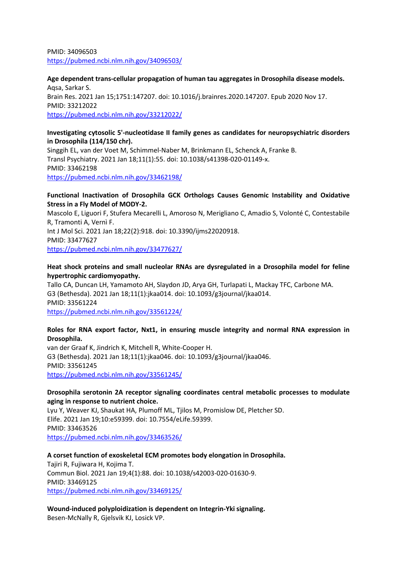PMID: 34096503 <https://pubmed.ncbi.nlm.nih.gov/34096503/>

**Age dependent trans-cellular propagation of human tau aggregates in Drosophila disease models.** Aqsa, Sarkar S. Brain Res. 2021 Jan 15;1751:147207. doi: 10.1016/j.brainres.2020.147207. Epub 2020 Nov 17. PMID: 33212022 <https://pubmed.ncbi.nlm.nih.gov/33212022/>

#### **Investigating cytosolic 5'-nucleotidase II family genes as candidates for neuropsychiatric disorders in Drosophila (114/150 chr).**

Singgih EL, van der Voet M, Schimmel-Naber M, Brinkmann EL, Schenck A, Franke B. Transl Psychiatry. 2021 Jan 18;11(1):55. doi: 10.1038/s41398-020-01149-x. PMID: 33462198 <https://pubmed.ncbi.nlm.nih.gov/33462198/>

## **Functional Inactivation of Drosophila GCK Orthologs Causes Genomic Instability and Oxidative Stress in a Fly Model of MODY-2.**

Mascolo E, Liguori F, Stufera Mecarelli L, Amoroso N, Merigliano C, Amadio S, Volonté C, Contestabile R, Tramonti A, Vernì F. Int J Mol Sci. 2021 Jan 18;22(2):918. doi: 10.3390/ijms22020918. PMID: 33477627 <https://pubmed.ncbi.nlm.nih.gov/33477627/>

## **Heat shock proteins and small nucleolar RNAs are dysregulated in a Drosophila model for feline hypertrophic cardiomyopathy.**

Tallo CA, Duncan LH, Yamamoto AH, Slaydon JD, Arya GH, Turlapati L, Mackay TFC, Carbone MA. G3 (Bethesda). 2021 Jan 18;11(1):jkaa014. doi: 10.1093/g3journal/jkaa014. PMID: 33561224 <https://pubmed.ncbi.nlm.nih.gov/33561224/>

## **Roles for RNA export factor, Nxt1, in ensuring muscle integrity and normal RNA expression in Drosophila.**

van der Graaf K, Jindrich K, Mitchell R, White-Cooper H. G3 (Bethesda). 2021 Jan 18;11(1):jkaa046. doi: 10.1093/g3journal/jkaa046. PMID: 33561245 <https://pubmed.ncbi.nlm.nih.gov/33561245/>

## **Drosophila serotonin 2A receptor signaling coordinates central metabolic processes to modulate aging in response to nutrient choice.**

Lyu Y, Weaver KJ, Shaukat HA, Plumoff ML, Tjilos M, Promislow DE, Pletcher SD. Elife. 2021 Jan 19;10:e59399. doi: 10.7554/eLife.59399. PMID: 33463526 <https://pubmed.ncbi.nlm.nih.gov/33463526/>

## **A corset function of exoskeletal ECM promotes body elongation in Drosophila.**

Tajiri R, Fujiwara H, Kojima T. Commun Biol. 2021 Jan 19;4(1):88. doi: 10.1038/s42003-020-01630-9. PMID: 33469125 <https://pubmed.ncbi.nlm.nih.gov/33469125/>

**Wound-induced polyploidization is dependent on Integrin-Yki signaling.** Besen-McNally R, Gjelsvik KJ, Losick VP.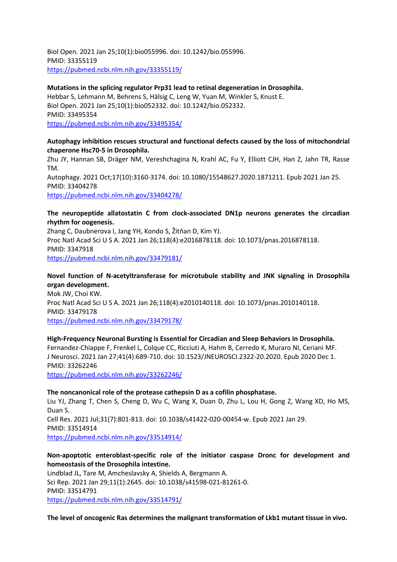Biol Open. 2021 Jan 25;10(1):bio055996. doi: 10.1242/bio.055996. PMID: 33355119 <https://pubmed.ncbi.nlm.nih.gov/33355119/>

#### **Mutations in the splicing regulator Prp31 lead to retinal degeneration in Drosophila.**

Hebbar S, Lehmann M, Behrens S, Hälsig C, Leng W, Yuan M, Winkler S, Knust E. Biol Open. 2021 Jan 25;10(1):bio052332. doi: 10.1242/bio.052332. PMID: 33495354 <https://pubmed.ncbi.nlm.nih.gov/33495354/>

#### **Autophagy inhibition rescues structural and functional defects caused by the loss of mitochondrial chaperone Hsc70-5 in Drosophila.**

Zhu JY, Hannan SB, Dräger NM, Vereshchagina N, Krahl AC, Fu Y, Elliott CJH, Han Z, Jahn TR, Rasse TM. Autophagy. 2021 Oct;17(10):3160-3174. doi: 10.1080/15548627.2020.1871211. Epub 2021 Jan 25. PMID: 33404278

<https://pubmed.ncbi.nlm.nih.gov/33404278/>

## **The neuropeptide allatostatin C from clock-associated DN1p neurons generates the circadian rhythm for oogenesis.**

Zhang C, Daubnerova I, Jang YH, Kondo S, Žitňan D, Kim YJ. Proc Natl Acad Sci U S A. 2021 Jan 26;118(4):e2016878118. doi: 10.1073/pnas.2016878118. PMID: 3347918 <https://pubmed.ncbi.nlm.nih.gov/33479181/>

# **Novel function of N-acetyltransferase for microtubule stability and JNK signaling in Drosophila**

**organ development.** Mok JW, Choi KW. Proc Natl Acad Sci U S A. 2021 Jan 26;118(4):e2010140118. doi: 10.1073/pnas.2010140118. PMID: 33479178 <https://pubmed.ncbi.nlm.nih.gov/33479178/>

# **High-Frequency Neuronal Bursting is Essential for Circadian and Sleep Behaviors in Drosophila.**

Fernandez-Chiappe F, Frenkel L, Colque CC, Ricciuti A, Hahm B, Cerredo K, Muraro NI, Ceriani MF. J Neurosci. 2021 Jan 27;41(4):689-710. doi: 10.1523/JNEUROSCI.2322-20.2020. Epub 2020 Dec 1. PMID: 33262246

<https://pubmed.ncbi.nlm.nih.gov/33262246/>

#### **The noncanonical role of the protease cathepsin D as a cofilin phosphatase.**

Liu YJ, Zhang T, Chen S, Cheng D, Wu C, Wang X, Duan D, Zhu L, Lou H, Gong Z, Wang XD, Ho MS, Duan S. Cell Res. 2021 Jul;31(7):801-813. doi: 10.1038/s41422-020-00454-w. Epub 2021 Jan 29. PMID: 33514914 <https://pubmed.ncbi.nlm.nih.gov/33514914/>

## **Non-apoptotic enteroblast-specific role of the initiator caspase Dronc for development and homeostasis of the Drosophila intestine.**

Lindblad JL, Tare M, Amcheslavsky A, Shields A, Bergmann A. Sci Rep. 2021 Jan 29;11(1):2645. doi: 10.1038/s41598-021-81261-0. PMID: 33514791 <https://pubmed.ncbi.nlm.nih.gov/33514791/>

**The level of oncogenic Ras determines the malignant transformation of Lkb1 mutant tissue in vivo.**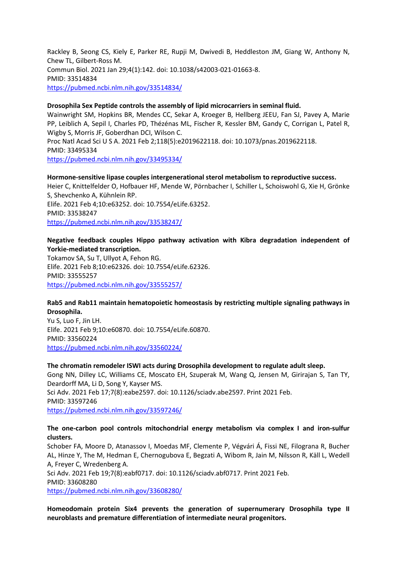Rackley B, Seong CS, Kiely E, Parker RE, Rupji M, Dwivedi B, Heddleston JM, Giang W, Anthony N, Chew TL, Gilbert-Ross M. Commun Biol. 2021 Jan 29;4(1):142. doi: 10.1038/s42003-021-01663-8. PMID: 33514834 <https://pubmed.ncbi.nlm.nih.gov/33514834/>

#### **Drosophila Sex Peptide controls the assembly of lipid microcarriers in seminal fluid.**

Wainwright SM, Hopkins BR, Mendes CC, Sekar A, Kroeger B, Hellberg JEEU, Fan SJ, Pavey A, Marie PP, Leiblich A, Sepil I, Charles PD, Thézénas ML, Fischer R, Kessler BM, Gandy C, Corrigan L, Patel R, Wigby S, Morris JF, Goberdhan DCI, Wilson C.

Proc Natl Acad Sci U S A. 2021 Feb 2;118(5):e2019622118. doi: 10.1073/pnas.2019622118. PMID: 33495334 <https://pubmed.ncbi.nlm.nih.gov/33495334/>

#### **Hormone-sensitive lipase couples intergenerational sterol metabolism to reproductive success.**

Heier C, Knittelfelder O, Hofbauer HF, Mende W, Pörnbacher I, Schiller L, Schoiswohl G, Xie H, Grönke S, Shevchenko A, Kühnlein RP. Elife. 2021 Feb 4;10:e63252. doi: 10.7554/eLife.63252. PMID: 33538247 <https://pubmed.ncbi.nlm.nih.gov/33538247/>

## **Negative feedback couples Hippo pathway activation with Kibra degradation independent of Yorkie-mediated transcription.**

Tokamov SA, Su T, Ullyot A, Fehon RG. Elife. 2021 Feb 8;10:e62326. doi: 10.7554/eLife.62326. PMID: 33555257 <https://pubmed.ncbi.nlm.nih.gov/33555257/>

## **Rab5 and Rab11 maintain hematopoietic homeostasis by restricting multiple signaling pathways in Drosophila.**

Yu S, Luo F, Jin LH. Elife. 2021 Feb 9;10:e60870. doi: 10.7554/eLife.60870. PMID: 33560224 <https://pubmed.ncbi.nlm.nih.gov/33560224/>

## **The chromatin remodeler ISWI acts during Drosophila development to regulate adult sleep.**

Gong NN, Dilley LC, Williams CE, Moscato EH, Szuperak M, Wang Q, Jensen M, Girirajan S, Tan TY, Deardorff MA, Li D, Song Y, Kayser MS. Sci Adv. 2021 Feb 17;7(8):eabe2597. doi: 10.1126/sciadv.abe2597. Print 2021 Feb. PMID: 33597246 <https://pubmed.ncbi.nlm.nih.gov/33597246/>

#### **The one-carbon pool controls mitochondrial energy metabolism via complex I and iron-sulfur clusters.**

Schober FA, Moore D, Atanassov I, Moedas MF, Clemente P, Végvári Á, Fissi NE, Filograna R, Bucher AL, Hinze Y, The M, Hedman E, Chernogubova E, Begzati A, Wibom R, Jain M, Nilsson R, Käll L, Wedell A, Freyer C, Wredenberg A. Sci Adv. 2021 Feb 19;7(8):eabf0717. doi: 10.1126/sciadv.abf0717. Print 2021 Feb. PMID: 33608280 <https://pubmed.ncbi.nlm.nih.gov/33608280/>

**Homeodomain protein Six4 prevents the generation of supernumerary Drosophila type II neuroblasts and premature differentiation of intermediate neural progenitors.**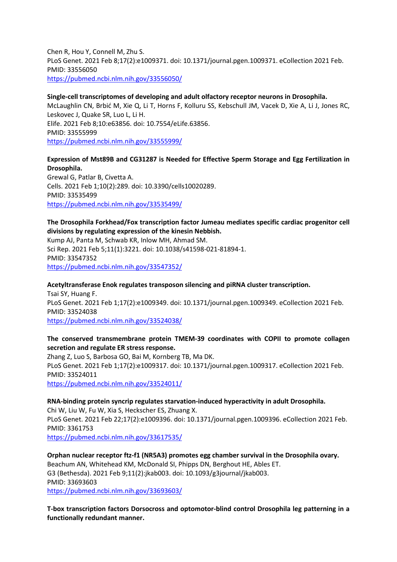Chen R, Hou Y, Connell M, Zhu S. PLoS Genet. 2021 Feb 8;17(2):e1009371. doi: 10.1371/journal.pgen.1009371. eCollection 2021 Feb. PMID: 33556050 <https://pubmed.ncbi.nlm.nih.gov/33556050/>

#### **Single-cell transcriptomes of developing and adult olfactory receptor neurons in Drosophila.**

McLaughlin CN, Brbić M, Xie Q, Li T, Horns F, Kolluru SS, Kebschull JM, Vacek D, Xie A, Li J, Jones RC, Leskovec J, Quake SR, Luo L, Li H. Elife. 2021 Feb 8;10:e63856. doi: 10.7554/eLife.63856. PMID: 33555999 <https://pubmed.ncbi.nlm.nih.gov/33555999/>

#### **Expression of Mst89B and CG31287 is Needed for Effective Sperm Storage and Egg Fertilization in Drosophila.**

Grewal G, Patlar B, Civetta A. Cells. 2021 Feb 1;10(2):289. doi: 10.3390/cells10020289. PMID: 33535499 <https://pubmed.ncbi.nlm.nih.gov/33535499/>

**The Drosophila Forkhead/Fox transcription factor Jumeau mediates specific cardiac progenitor cell divisions by regulating expression of the kinesin Nebbish.**

Kump AJ, Panta M, Schwab KR, Inlow MH, Ahmad SM. Sci Rep. 2021 Feb 5;11(1):3221. doi: 10.1038/s41598-021-81894-1. PMID: 33547352 <https://pubmed.ncbi.nlm.nih.gov/33547352/>

**Acetyltransferase Enok regulates transposon silencing and piRNA cluster transcription.** Tsai SY, Huang F. PLoS Genet. 2021 Feb 1;17(2):e1009349. doi: 10.1371/journal.pgen.1009349. eCollection 2021 Feb. PMID: 33524038 <https://pubmed.ncbi.nlm.nih.gov/33524038/>

#### **The conserved transmembrane protein TMEM-39 coordinates with COPII to promote collagen secretion and regulate ER stress response.**

Zhang Z, Luo S, Barbosa GO, Bai M, Kornberg TB, Ma DK. PLoS Genet. 2021 Feb 1;17(2):e1009317. doi: 10.1371/journal.pgen.1009317. eCollection 2021 Feb. PMID: 33524011 <https://pubmed.ncbi.nlm.nih.gov/33524011/>

#### **RNA-binding protein syncrip regulates starvation-induced hyperactivity in adult Drosophila.**

Chi W, Liu W, Fu W, Xia S, Heckscher ES, Zhuang X. PLoS Genet. 2021 Feb 22;17(2):e1009396. doi: 10.1371/journal.pgen.1009396. eCollection 2021 Feb. PMID: 3361753 <https://pubmed.ncbi.nlm.nih.gov/33617535/>

#### **Orphan nuclear receptor ftz-f1 (NR5A3) promotes egg chamber survival in the Drosophila ovary.**

Beachum AN, Whitehead KM, McDonald SI, Phipps DN, Berghout HE, Ables ET. G3 (Bethesda). 2021 Feb 9;11(2):jkab003. doi: 10.1093/g3journal/jkab003. PMID: 33693603 <https://pubmed.ncbi.nlm.nih.gov/33693603/>

**T-box transcription factors Dorsocross and optomotor-blind control Drosophila leg patterning in a functionally redundant manner.**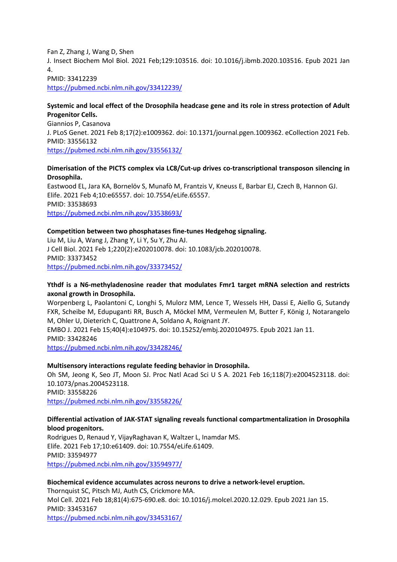Fan Z, Zhang J, Wang D, Shen J. Insect Biochem Mol Biol. 2021 Feb;129:103516. doi: 10.1016/j.ibmb.2020.103516. Epub 2021 Jan 4. PMID: 33412239

<https://pubmed.ncbi.nlm.nih.gov/33412239/>

#### **Systemic and local effect of the Drosophila headcase gene and its role in stress protection of Adult Progenitor Cells.**

Giannios P, Casanova J. PLoS Genet. 2021 Feb 8;17(2):e1009362. doi: 10.1371/journal.pgen.1009362. eCollection 2021 Feb. PMID: 33556132 <https://pubmed.ncbi.nlm.nih.gov/33556132/>

#### **Dimerisation of the PICTS complex via LC8/Cut-up drives co-transcriptional transposon silencing in Drosophila.**

Eastwood EL, Jara KA, Bornelöv S, Munafò M, Frantzis V, Kneuss E, Barbar EJ, Czech B, Hannon GJ. Elife. 2021 Feb 4;10:e65557. doi: 10.7554/eLife.65557. PMID: 33538693 <https://pubmed.ncbi.nlm.nih.gov/33538693/>

#### **Competition between two phosphatases fine-tunes Hedgehog signaling.**

Liu M, Liu A, Wang J, Zhang Y, Li Y, Su Y, Zhu AJ. J Cell Biol. 2021 Feb 1;220(2):e202010078. doi: 10.1083/jcb.202010078. PMID: 33373452 <https://pubmed.ncbi.nlm.nih.gov/33373452/>

## **Ythdf is a N6-methyladenosine reader that modulates Fmr1 target mRNA selection and restricts axonal growth in Drosophila.**

Worpenberg L, Paolantoni C, Longhi S, Mulorz MM, Lence T, Wessels HH, Dassi E, Aiello G, Sutandy FXR, Scheibe M, Edupuganti RR, Busch A, Möckel MM, Vermeulen M, Butter F, König J, Notarangelo M, Ohler U, Dieterich C, Quattrone A, Soldano A, Roignant JY.

EMBO J. 2021 Feb 15;40(4):e104975. doi: 10.15252/embj.2020104975. Epub 2021 Jan 11. PMID: 33428246

<https://pubmed.ncbi.nlm.nih.gov/33428246/>

## **Multisensory interactions regulate feeding behavior in Drosophila.**

Oh SM, Jeong K, Seo JT, Moon SJ. Proc Natl Acad Sci U S A. 2021 Feb 16;118(7):e2004523118. doi: 10.1073/pnas.2004523118. PMID: 33558226 <https://pubmed.ncbi.nlm.nih.gov/33558226/>

#### **Differential activation of JAK-STAT signaling reveals functional compartmentalization in Drosophila blood progenitors.**

Rodrigues D, Renaud Y, VijayRaghavan K, Waltzer L, Inamdar MS. Elife. 2021 Feb 17;10:e61409. doi: 10.7554/eLife.61409. PMID: 33594977 <https://pubmed.ncbi.nlm.nih.gov/33594977/>

#### **Biochemical evidence accumulates across neurons to drive a network-level eruption.**

Thornquist SC, Pitsch MJ, Auth CS, Crickmore MA. Mol Cell. 2021 Feb 18;81(4):675-690.e8. doi: 10.1016/j.molcel.2020.12.029. Epub 2021 Jan 15. PMID: 33453167 <https://pubmed.ncbi.nlm.nih.gov/33453167/>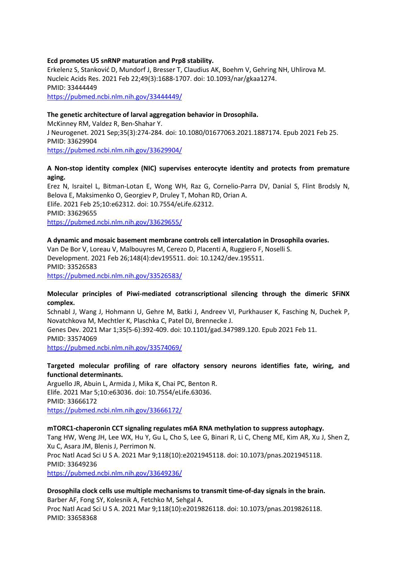#### **Ecd promotes U5 snRNP maturation and Prp8 stability.**

Erkelenz S, Stanković D, Mundorf J, Bresser T, Claudius AK, Boehm V, Gehring NH, Uhlirova M. Nucleic Acids Res. 2021 Feb 22;49(3):1688-1707. doi: 10.1093/nar/gkaa1274. PMID: 33444449 <https://pubmed.ncbi.nlm.nih.gov/33444449/>

#### **The genetic architecture of larval aggregation behavior in Drosophila.**

McKinney RM, Valdez R, Ben-Shahar Y. J Neurogenet. 2021 Sep;35(3):274-284. doi: 10.1080/01677063.2021.1887174. Epub 2021 Feb 25. PMID: 33629904 <https://pubmed.ncbi.nlm.nih.gov/33629904/>

#### **A Non-stop identity complex (NIC) supervises enterocyte identity and protects from premature aging.**

Erez N, Israitel L, Bitman-Lotan E, Wong WH, Raz G, Cornelio-Parra DV, Danial S, Flint Brodsly N, Belova E, Maksimenko O, Georgiev P, Druley T, Mohan RD, Orian A. Elife. 2021 Feb 25;10:e62312. doi: 10.7554/eLife.62312. PMID: 33629655 <https://pubmed.ncbi.nlm.nih.gov/33629655/>

#### **A dynamic and mosaic basement membrane controls cell intercalation in Drosophila ovaries.**

Van De Bor V, Loreau V, Malbouyres M, Cerezo D, Placenti A, Ruggiero F, Noselli S. Development. 2021 Feb 26;148(4):dev195511. doi: 10.1242/dev.195511. PMID: 33526583 <https://pubmed.ncbi.nlm.nih.gov/33526583/>

#### **Molecular principles of Piwi-mediated cotranscriptional silencing through the dimeric SFiNX complex.**

Schnabl J, Wang J, Hohmann U, Gehre M, Batki J, Andreev VI, Purkhauser K, Fasching N, Duchek P, Novatchkova M, Mechtler K, Plaschka C, Patel DJ, Brennecke J. Genes Dev. 2021 Mar 1;35(5-6):392-409. doi: 10.1101/gad.347989.120. Epub 2021 Feb 11. PMID: 33574069 <https://pubmed.ncbi.nlm.nih.gov/33574069/>

#### **Targeted molecular profiling of rare olfactory sensory neurons identifies fate, wiring, and functional determinants.**

Arguello JR, Abuin L, Armida J, Mika K, Chai PC, Benton R. Elife. 2021 Mar 5;10:e63036. doi: 10.7554/eLife.63036. PMID: 33666172 <https://pubmed.ncbi.nlm.nih.gov/33666172/>

#### **mTORC1-chaperonin CCT signaling regulates m6A RNA methylation to suppress autophagy.**

Tang HW, Weng JH, Lee WX, Hu Y, Gu L, Cho S, Lee G, Binari R, Li C, Cheng ME, Kim AR, Xu J, Shen Z, Xu C, Asara JM, Blenis J, Perrimon N.

Proc Natl Acad Sci U S A. 2021 Mar 9;118(10):e2021945118. doi: 10.1073/pnas.2021945118. PMID: 33649236

<https://pubmed.ncbi.nlm.nih.gov/33649236/>

#### **Drosophila clock cells use multiple mechanisms to transmit time-of-day signals in the brain.** Barber AF, Fong SY, Kolesnik A, Fetchko M, Sehgal A. Proc Natl Acad Sci U S A. 2021 Mar 9;118(10):e2019826118. doi: 10.1073/pnas.2019826118. PMID: 33658368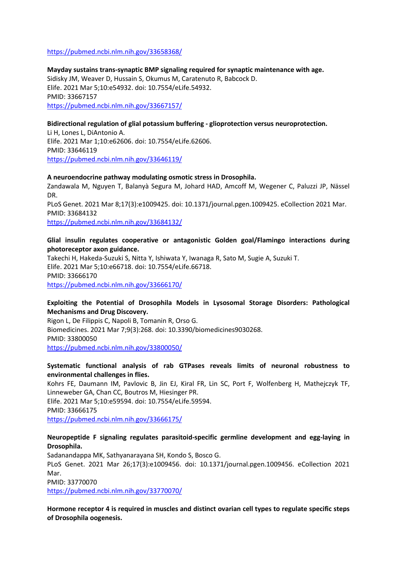#### <https://pubmed.ncbi.nlm.nih.gov/33658368/>

**Mayday sustains trans-synaptic BMP signaling required for synaptic maintenance with age.** Sidisky JM, Weaver D, Hussain S, Okumus M, Caratenuto R, Babcock D. Elife. 2021 Mar 5;10:e54932. doi: 10.7554/eLife.54932. PMID: 33667157 <https://pubmed.ncbi.nlm.nih.gov/33667157/>

#### **Bidirectional regulation of glial potassium buffering - glioprotection versus neuroprotection.**

Li H, Lones L, DiAntonio A. Elife. 2021 Mar 1;10:e62606. doi: 10.7554/eLife.62606. PMID: 33646119 <https://pubmed.ncbi.nlm.nih.gov/33646119/>

#### **A neuroendocrine pathway modulating osmotic stress in Drosophila.**

Zandawala M, Nguyen T, Balanyà Segura M, Johard HAD, Amcoff M, Wegener C, Paluzzi JP, Nässel DR. PLoS Genet. 2021 Mar 8;17(3):e1009425. doi: 10.1371/journal.pgen.1009425. eCollection 2021 Mar. PMID: 33684132 <https://pubmed.ncbi.nlm.nih.gov/33684132/>

#### **Glial insulin regulates cooperative or antagonistic Golden goal/Flamingo interactions during photoreceptor axon guidance.**

Takechi H, Hakeda-Suzuki S, Nitta Y, Ishiwata Y, Iwanaga R, Sato M, Sugie A, Suzuki T. Elife. 2021 Mar 5;10:e66718. doi: 10.7554/eLife.66718. PMID: 33666170 <https://pubmed.ncbi.nlm.nih.gov/33666170/>

#### **Exploiting the Potential of Drosophila Models in Lysosomal Storage Disorders: Pathological Mechanisms and Drug Discovery.**

Rigon L, De Filippis C, Napoli B, Tomanin R, Orso G. Biomedicines. 2021 Mar 7;9(3):268. doi: 10.3390/biomedicines9030268. PMID: 33800050 <https://pubmed.ncbi.nlm.nih.gov/33800050/>

#### **Systematic functional analysis of rab GTPases reveals limits of neuronal robustness to environmental challenges in flies.**

Kohrs FE, Daumann IM, Pavlovic B, Jin EJ, Kiral FR, Lin SC, Port F, Wolfenberg H, Mathejczyk TF, Linneweber GA, Chan CC, Boutros M, Hiesinger PR. Elife. 2021 Mar 5;10:e59594. doi: 10.7554/eLife.59594. PMID: 33666175 <https://pubmed.ncbi.nlm.nih.gov/33666175/>

#### **Neuropeptide F signaling regulates parasitoid-specific germline development and egg-laying in Drosophila.**

Sadanandappa MK, Sathyanarayana SH, Kondo S, Bosco G. PLoS Genet. 2021 Mar 26;17(3):e1009456. doi: 10.1371/journal.pgen.1009456. eCollection 2021 Mar.

PMID: 33770070

<https://pubmed.ncbi.nlm.nih.gov/33770070/>

**Hormone receptor 4 is required in muscles and distinct ovarian cell types to regulate specific steps of Drosophila oogenesis.**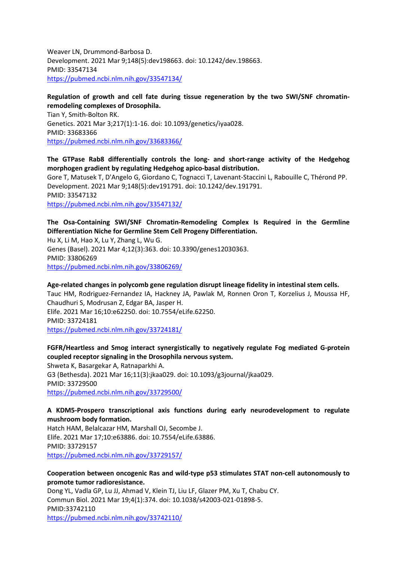Weaver LN, Drummond-Barbosa D. Development. 2021 Mar 9;148(5):dev198663. doi: 10.1242/dev.198663. PMID: 33547134 <https://pubmed.ncbi.nlm.nih.gov/33547134/>

## **Regulation of growth and cell fate during tissue regeneration by the two SWI/SNF chromatinremodeling complexes of Drosophila.**

Tian Y, Smith-Bolton RK. Genetics. 2021 Mar 3;217(1):1-16. doi: 10.1093/genetics/iyaa028. PMID: 33683366 <https://pubmed.ncbi.nlm.nih.gov/33683366/>

## **The GTPase Rab8 differentially controls the long- and short-range activity of the Hedgehog morphogen gradient by regulating Hedgehog apico-basal distribution.**

Gore T, Matusek T, D'Angelo G, Giordano C, Tognacci T, Lavenant-Staccini L, Rabouille C, Thérond PP. Development. 2021 Mar 9;148(5):dev191791. doi: 10.1242/dev.191791. PMID: 33547132

<https://pubmed.ncbi.nlm.nih.gov/33547132/>

**The Osa-Containing SWI/SNF Chromatin-Remodeling Complex Is Required in the Germline Differentiation Niche for Germline Stem Cell Progeny Differentiation.** Hu X, Li M, Hao X, Lu Y, Zhang L, Wu G.

Genes (Basel). 2021 Mar 4;12(3):363. doi: 10.3390/genes12030363. PMID: 33806269 <https://pubmed.ncbi.nlm.nih.gov/33806269/>

## **Age-related changes in polycomb gene regulation disrupt lineage fidelity in intestinal stem cells.**

Tauc HM, Rodriguez-Fernandez IA, Hackney JA, Pawlak M, Ronnen Oron T, Korzelius J, Moussa HF, Chaudhuri S, Modrusan Z, Edgar BA, Jasper H.

Elife. 2021 Mar 16;10:e62250. doi: 10.7554/eLife.62250. PMID: 33724181 <https://pubmed.ncbi.nlm.nih.gov/33724181/>

## **FGFR/Heartless and Smog interact synergistically to negatively regulate Fog mediated G-protein coupled receptor signaling in the Drosophila nervous system.**

Shweta K, Basargekar A, Ratnaparkhi A. G3 (Bethesda). 2021 Mar 16;11(3):jkaa029. doi: 10.1093/g3journal/jkaa029. PMID: 33729500 <https://pubmed.ncbi.nlm.nih.gov/33729500/>

## **A KDM5-Prospero transcriptional axis functions during early neurodevelopment to regulate mushroom body formation.**

Hatch HAM, Belalcazar HM, Marshall OJ, Secombe J. Elife. 2021 Mar 17;10:e63886. doi: 10.7554/eLife.63886. PMID: 33729157 <https://pubmed.ncbi.nlm.nih.gov/33729157/>

## **Cooperation between oncogenic Ras and wild-type p53 stimulates STAT non-cell autonomously to promote tumor radioresistance.**

Dong YL, Vadla GP, Lu JJ, Ahmad V, Klein TJ, Liu LF, Glazer PM, Xu T, Chabu CY. Commun Biol. 2021 Mar 19;4(1):374. doi: 10.1038/s42003-021-01898-5. PMID:33742110 <https://pubmed.ncbi.nlm.nih.gov/33742110/>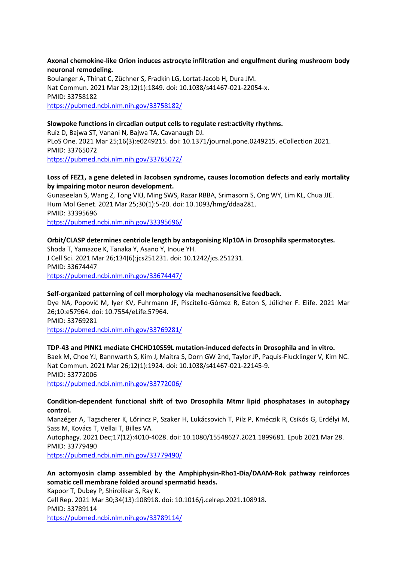**Axonal chemokine-like Orion induces astrocyte infiltration and engulfment during mushroom body neuronal remodeling.**

Boulanger A, Thinat C, Züchner S, Fradkin LG, Lortat-Jacob H, Dura JM. Nat Commun. 2021 Mar 23;12(1):1849. doi: 10.1038/s41467-021-22054-x. PMID: 33758182 <https://pubmed.ncbi.nlm.nih.gov/33758182/>

#### **Slowpoke functions in circadian output cells to regulate rest:activity rhythms.**

Ruiz D, Bajwa ST, Vanani N, Bajwa TA, Cavanaugh DJ. PLoS One. 2021 Mar 25;16(3):e0249215. doi: 10.1371/journal.pone.0249215. eCollection 2021. PMID: 33765072 <https://pubmed.ncbi.nlm.nih.gov/33765072/>

#### **Loss of FEZ1, a gene deleted in Jacobsen syndrome, causes locomotion defects and early mortality by impairing motor neuron development.**

Gunaseelan S, Wang Z, Tong VKJ, Ming SWS, Razar RBBA, Srimasorn S, Ong WY, Lim KL, Chua JJE. Hum Mol Genet. 2021 Mar 25;30(1):5-20. doi: 10.1093/hmg/ddaa281. PMID: 33395696 <https://pubmed.ncbi.nlm.nih.gov/33395696/>

#### **Orbit/CLASP determines centriole length by antagonising Klp10A in Drosophila spermatocytes.**

Shoda T, Yamazoe K, Tanaka Y, Asano Y, Inoue YH. J Cell Sci. 2021 Mar 26;134(6):jcs251231. doi: 10.1242/jcs.251231. PMID: 33674447 <https://pubmed.ncbi.nlm.nih.gov/33674447/>

#### **Self-organized patterning of cell morphology via mechanosensitive feedback.**

Dye NA, Popović M, Iyer KV, Fuhrmann JF, Piscitello-Gómez R, Eaton S, Jülicher F. Elife. 2021 Mar 26;10:e57964. doi: 10.7554/eLife.57964. PMID: 33769281 <https://pubmed.ncbi.nlm.nih.gov/33769281/>

#### **TDP-43 and PINK1 mediate CHCHD10S59L mutation-induced defects in Drosophila and in vitro.**

Baek M, Choe YJ, Bannwarth S, Kim J, Maitra S, Dorn GW 2nd, Taylor JP, Paquis-Flucklinger V, Kim NC. Nat Commun. 2021 Mar 26;12(1):1924. doi: 10.1038/s41467-021-22145-9. PMID: 33772006 <https://pubmed.ncbi.nlm.nih.gov/33772006/>

#### **Condition-dependent functional shift of two Drosophila Mtmr lipid phosphatases in autophagy control.**

Manzéger A, Tagscherer K, Lőrincz P, Szaker H, Lukácsovich T, Pilz P, Kméczik R, Csikós G, Erdélyi M, Sass M, Kovács T, Vellai T, Billes VA.

Autophagy. 2021 Dec;17(12):4010-4028. doi: 10.1080/15548627.2021.1899681. Epub 2021 Mar 28. PMID: 33779490

<https://pubmed.ncbi.nlm.nih.gov/33779490/>

## **An actomyosin clamp assembled by the Amphiphysin-Rho1-Dia/DAAM-Rok pathway reinforces somatic cell membrane folded around spermatid heads.**

Kapoor T, Dubey P, Shirolikar S, Ray K. Cell Rep. 2021 Mar 30;34(13):108918. doi: 10.1016/j.celrep.2021.108918. PMID: 33789114 <https://pubmed.ncbi.nlm.nih.gov/33789114/>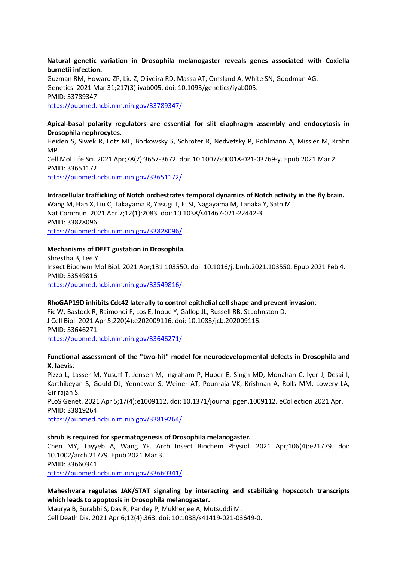#### **Natural genetic variation in Drosophila melanogaster reveals genes associated with Coxiella burnetii infection.**

Guzman RM, Howard ZP, Liu Z, Oliveira RD, Massa AT, Omsland A, White SN, Goodman AG. Genetics. 2021 Mar 31;217(3):iyab005. doi: 10.1093/genetics/iyab005. PMID: 33789347 <https://pubmed.ncbi.nlm.nih.gov/33789347/>

## **Apical-basal polarity regulators are essential for slit diaphragm assembly and endocytosis in Drosophila nephrocytes.**

Heiden S, Siwek R, Lotz ML, Borkowsky S, Schröter R, Nedvetsky P, Rohlmann A, Missler M, Krahn MP. Cell Mol Life Sci. 2021 Apr;78(7):3657-3672. doi: 10.1007/s00018-021-03769-y. Epub 2021 Mar 2. PMID: 33651172 <https://pubmed.ncbi.nlm.nih.gov/33651172/>

#### **Intracellular trafficking of Notch orchestrates temporal dynamics of Notch activity in the fly brain.**

Wang M, Han X, Liu C, Takayama R, Yasugi T, Ei SI, Nagayama M, Tanaka Y, Sato M. Nat Commun. 2021 Apr 7;12(1):2083. doi: 10.1038/s41467-021-22442-3. PMID: 33828096

<https://pubmed.ncbi.nlm.nih.gov/33828096/>

#### **Mechanisms of DEET gustation in Drosophila.**

Shrestha B, Lee Y. Insect Biochem Mol Biol. 2021 Apr;131:103550. doi: 10.1016/j.ibmb.2021.103550. Epub 2021 Feb 4. PMID: 33549816 <https://pubmed.ncbi.nlm.nih.gov/33549816/>

#### **RhoGAP19D inhibits Cdc42 laterally to control epithelial cell shape and prevent invasion.**

Fic W, Bastock R, Raimondi F, Los E, Inoue Y, Gallop JL, Russell RB, St Johnston D. J Cell Biol. 2021 Apr 5;220(4):e202009116. doi: 10.1083/jcb.202009116. PMID: 33646271 <https://pubmed.ncbi.nlm.nih.gov/33646271/>

#### **Functional assessment of the "two-hit" model for neurodevelopmental defects in Drosophila and X. laevis.**

Pizzo L, Lasser M, Yusuff T, Jensen M, Ingraham P, Huber E, Singh MD, Monahan C, Iyer J, Desai I, Karthikeyan S, Gould DJ, Yennawar S, Weiner AT, Pounraja VK, Krishnan A, Rolls MM, Lowery LA, Girirajan S.

PLoS Genet. 2021 Apr 5;17(4):e1009112. doi: 10.1371/journal.pgen.1009112. eCollection 2021 Apr. PMID: 33819264

<https://pubmed.ncbi.nlm.nih.gov/33819264/>

#### **shrub is required for spermatogenesis of Drosophila melanogaster.**

Chen MY, Tayyeb A, Wang YF. Arch Insect Biochem Physiol. 2021 Apr;106(4):e21779. doi: 10.1002/arch.21779. Epub 2021 Mar 3. PMID: 33660341 <https://pubmed.ncbi.nlm.nih.gov/33660341/>

## **Maheshvara regulates JAK/STAT signaling by interacting and stabilizing hopscotch transcripts which leads to apoptosis in Drosophila melanogaster.**

Maurya B, Surabhi S, Das R, Pandey P, Mukherjee A, Mutsuddi M. Cell Death Dis. 2021 Apr 6;12(4):363. doi: 10.1038/s41419-021-03649-0.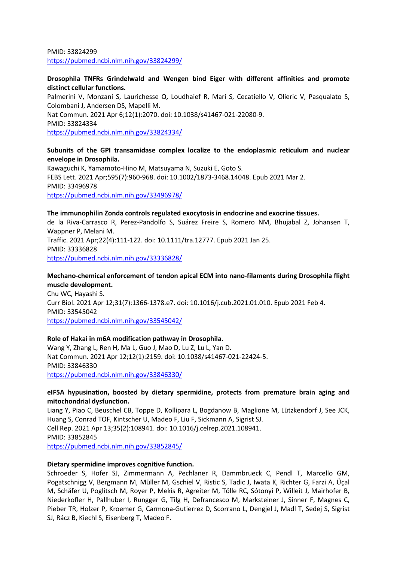PMID: 33824299 <https://pubmed.ncbi.nlm.nih.gov/33824299/>

#### **Drosophila TNFRs Grindelwald and Wengen bind Eiger with different affinities and promote distinct cellular functions.**

Palmerini V, Monzani S, Laurichesse Q, Loudhaief R, Mari S, Cecatiello V, Olieric V, Pasqualato S, Colombani J, Andersen DS, Mapelli M. Nat Commun. 2021 Apr 6;12(1):2070. doi: 10.1038/s41467-021-22080-9. PMID: 33824334 <https://pubmed.ncbi.nlm.nih.gov/33824334/>

#### **Subunits of the GPI transamidase complex localize to the endoplasmic reticulum and nuclear envelope in Drosophila.**

Kawaguchi K, Yamamoto-Hino M, Matsuyama N, Suzuki E, Goto S. FEBS Lett. 2021 Apr;595(7):960-968. doi: 10.1002/1873-3468.14048. Epub 2021 Mar 2. PMID: 33496978 <https://pubmed.ncbi.nlm.nih.gov/33496978/>

## **The immunophilin Zonda controls regulated exocytosis in endocrine and exocrine tissues.** de la Riva-Carrasco R, Perez-Pandolfo S, Suárez Freire S, Romero NM, Bhujabal Z, Johansen T, Wappner P, Melani M. Traffic. 2021 Apr;22(4):111-122. doi: 10.1111/tra.12777. Epub 2021 Jan 25. PMID: 33336828 <https://pubmed.ncbi.nlm.nih.gov/33336828/>

#### **Mechano-chemical enforcement of tendon apical ECM into nano-filaments during Drosophila flight muscle development.**

Chu WC, Hayashi S. Curr Biol. 2021 Apr 12;31(7):1366-1378.e7. doi: 10.1016/j.cub.2021.01.010. Epub 2021 Feb 4. PMID: 33545042 <https://pubmed.ncbi.nlm.nih.gov/33545042/>

## **Role of Hakai in m6A modification pathway in Drosophila.**

Wang Y, Zhang L, Ren H, Ma L, Guo J, Mao D, Lu Z, Lu L, Yan D. Nat Commun. 2021 Apr 12;12(1):2159. doi: 10.1038/s41467-021-22424-5. PMID: 33846330 <https://pubmed.ncbi.nlm.nih.gov/33846330/>

## **eIF5A hypusination, boosted by dietary spermidine, protects from premature brain aging and mitochondrial dysfunction.**

Liang Y, Piao C, Beuschel CB, Toppe D, Kollipara L, Bogdanow B, Maglione M, Lützkendorf J, See JCK, Huang S, Conrad TOF, Kintscher U, Madeo F, Liu F, Sickmann A, Sigrist SJ. Cell Rep. 2021 Apr 13;35(2):108941. doi: 10.1016/j.celrep.2021.108941. PMID: 33852845 <https://pubmed.ncbi.nlm.nih.gov/33852845/>

#### **Dietary spermidine improves cognitive function.**

Schroeder S, Hofer SJ, Zimmermann A, Pechlaner R, Dammbrueck C, Pendl T, Marcello GM, Pogatschnigg V, Bergmann M, Müller M, Gschiel V, Ristic S, Tadic J, Iwata K, Richter G, Farzi A, Üçal M, Schäfer U, Poglitsch M, Royer P, Mekis R, Agreiter M, Tölle RC, Sótonyi P, Willeit J, Mairhofer B, Niederkofler H, Pallhuber I, Rungger G, Tilg H, Defrancesco M, Marksteiner J, Sinner F, Magnes C, Pieber TR, Holzer P, Kroemer G, Carmona-Gutierrez D, Scorrano L, Dengjel J, Madl T, Sedej S, Sigrist SJ, Rácz B, Kiechl S, Eisenberg T, Madeo F.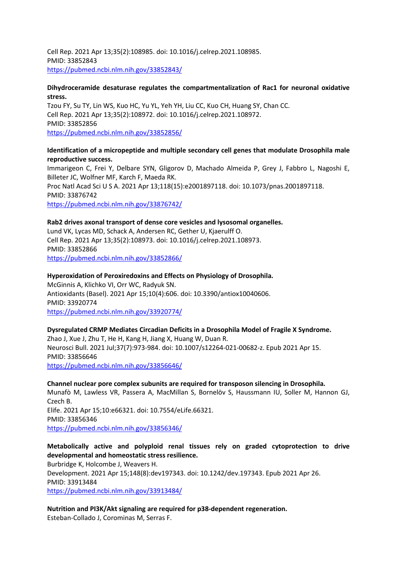Cell Rep. 2021 Apr 13;35(2):108985. doi: 10.1016/j.celrep.2021.108985. PMID: 33852843 <https://pubmed.ncbi.nlm.nih.gov/33852843/>

#### **Dihydroceramide desaturase regulates the compartmentalization of Rac1 for neuronal oxidative stress.**

Tzou FY, Su TY, Lin WS, Kuo HC, Yu YL, Yeh YH, Liu CC, Kuo CH, Huang SY, Chan CC. Cell Rep. 2021 Apr 13;35(2):108972. doi: 10.1016/j.celrep.2021.108972. PMID: 33852856 <https://pubmed.ncbi.nlm.nih.gov/33852856/>

#### **Identification of a micropeptide and multiple secondary cell genes that modulate Drosophila male reproductive success.**

Immarigeon C, Frei Y, Delbare SYN, Gligorov D, Machado Almeida P, Grey J, Fabbro L, Nagoshi E, Billeter JC, Wolfner MF, Karch F, Maeda RK. Proc Natl Acad Sci U S A. 2021 Apr 13;118(15):e2001897118. doi: 10.1073/pnas.2001897118. PMID: 33876742 <https://pubmed.ncbi.nlm.nih.gov/33876742/>

#### **Rab2 drives axonal transport of dense core vesicles and lysosomal organelles.**

Lund VK, Lycas MD, Schack A, Andersen RC, Gether U, Kjaerulff O. Cell Rep. 2021 Apr 13;35(2):108973. doi: 10.1016/j.celrep.2021.108973. PMID: 33852866 <https://pubmed.ncbi.nlm.nih.gov/33852866/>

#### **Hyperoxidation of Peroxiredoxins and Effects on Physiology of Drosophila.**

McGinnis A, Klichko VI, Orr WC, Radyuk SN. Antioxidants (Basel). 2021 Apr 15;10(4):606. doi: 10.3390/antiox10040606. PMID: 33920774 <https://pubmed.ncbi.nlm.nih.gov/33920774/>

## **Dysregulated CRMP Mediates Circadian Deficits in a Drosophila Model of Fragile X Syndrome.** Zhao J, Xue J, Zhu T, He H, Kang H, Jiang X, Huang W, Duan R. Neurosci Bull. 2021 Jul;37(7):973-984. doi: 10.1007/s12264-021-00682-z. Epub 2021 Apr 15. PMID: 33856646 <https://pubmed.ncbi.nlm.nih.gov/33856646/>

**Channel nuclear pore complex subunits are required for transposon silencing in Drosophila.** Munafò M, Lawless VR, Passera A, MacMillan S, Bornelöv S, Haussmann IU, Soller M, Hannon GJ, Czech B. Elife. 2021 Apr 15;10:e66321. doi: 10.7554/eLife.66321. PMID: 33856346 <https://pubmed.ncbi.nlm.nih.gov/33856346/>

## **Metabolically active and polyploid renal tissues rely on graded cytoprotection to drive developmental and homeostatic stress resilience.** Burbridge K, Holcombe J, Weavers H. Development. 2021 Apr 15;148(8):dev197343. doi: 10.1242/dev.197343. Epub 2021 Apr 26. PMID: 33913484 <https://pubmed.ncbi.nlm.nih.gov/33913484/>

**Nutrition and PI3K/Akt signaling are required for p38-dependent regeneration.** Esteban-Collado J, Corominas M, Serras F.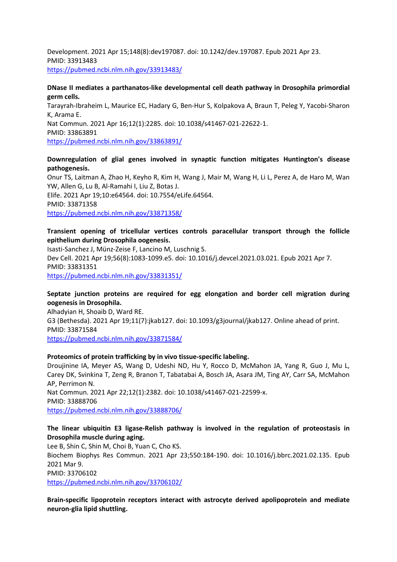Development. 2021 Apr 15;148(8):dev197087. doi: 10.1242/dev.197087. Epub 2021 Apr 23. PMID: 33913483 <https://pubmed.ncbi.nlm.nih.gov/33913483/>

#### **DNase II mediates a parthanatos-like developmental cell death pathway in Drosophila primordial germ cells.**

Tarayrah-Ibraheim L, Maurice EC, Hadary G, Ben-Hur S, Kolpakova A, Braun T, Peleg Y, Yacobi-Sharon K, Arama E. Nat Commun. 2021 Apr 16;12(1):2285. doi: 10.1038/s41467-021-22622-1. PMID: 33863891 <https://pubmed.ncbi.nlm.nih.gov/33863891/>

#### **Downregulation of glial genes involved in synaptic function mitigates Huntington's disease pathogenesis.**

Onur TS, Laitman A, Zhao H, Keyho R, Kim H, Wang J, Mair M, Wang H, Li L, Perez A, de Haro M, Wan YW, Allen G, Lu B, Al-Ramahi I, Liu Z, Botas J. Elife. 2021 Apr 19;10:e64564. doi: 10.7554/eLife.64564. PMID: 33871358 <https://pubmed.ncbi.nlm.nih.gov/33871358/>

## **Transient opening of tricellular vertices controls paracellular transport through the follicle epithelium during Drosophila oogenesis.**

Isasti-Sanchez J, Münz-Zeise F, Lancino M, Luschnig S. Dev Cell. 2021 Apr 19;56(8):1083-1099.e5. doi: 10.1016/j.devcel.2021.03.021. Epub 2021 Apr 7. PMID: 33831351 <https://pubmed.ncbi.nlm.nih.gov/33831351/>

## **Septate junction proteins are required for egg elongation and border cell migration during oogenesis in Drosophila.**

Alhadyian H, Shoaib D, Ward RE. G3 (Bethesda). 2021 Apr 19;11(7):jkab127. doi: 10.1093/g3journal/jkab127. Online ahead of print. PMID: 33871584 <https://pubmed.ncbi.nlm.nih.gov/33871584/>

#### **Proteomics of protein trafficking by in vivo tissue-specific labeling.**

Droujinine IA, Meyer AS, Wang D, Udeshi ND, Hu Y, Rocco D, McMahon JA, Yang R, Guo J, Mu L, Carey DK, Svinkina T, Zeng R, Branon T, Tabatabai A, Bosch JA, Asara JM, Ting AY, Carr SA, McMahon AP, Perrimon N. Nat Commun. 2021 Apr 22;12(1):2382. doi: 10.1038/s41467-021-22599-x.

PMID: 33888706

<https://pubmed.ncbi.nlm.nih.gov/33888706/>

## **The linear ubiquitin E3 ligase-Relish pathway is involved in the regulation of proteostasis in Drosophila muscle during aging.**

Lee B, Shin C, Shin M, Choi B, Yuan C, Cho KS. Biochem Biophys Res Commun. 2021 Apr 23;550:184-190. doi: 10.1016/j.bbrc.2021.02.135. Epub 2021 Mar 9. PMID: 33706102 <https://pubmed.ncbi.nlm.nih.gov/33706102/>

**Brain-specific lipoprotein receptors interact with astrocyte derived apolipoprotein and mediate neuron-glia lipid shuttling.**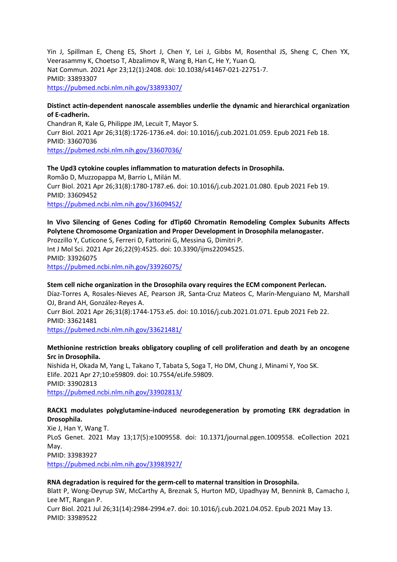Yin J, Spillman E, Cheng ES, Short J, Chen Y, Lei J, Gibbs M, Rosenthal JS, Sheng C, Chen YX, Veerasammy K, Choetso T, Abzalimov R, Wang B, Han C, He Y, Yuan Q. Nat Commun. 2021 Apr 23;12(1):2408. doi: 10.1038/s41467-021-22751-7. PMID: 33893307 <https://pubmed.ncbi.nlm.nih.gov/33893307/>

#### **Distinct actin-dependent nanoscale assemblies underlie the dynamic and hierarchical organization of E-cadherin.**

Chandran R, Kale G, Philippe JM, Lecuit T, Mayor S. Curr Biol. 2021 Apr 26;31(8):1726-1736.e4. doi: 10.1016/j.cub.2021.01.059. Epub 2021 Feb 18. PMID: 33607036 <https://pubmed.ncbi.nlm.nih.gov/33607036/>

**The Upd3 cytokine couples inflammation to maturation defects in Drosophila.** Romão D, Muzzopappa M, Barrio L, Milán M. Curr Biol. 2021 Apr 26;31(8):1780-1787.e6. doi: 10.1016/j.cub.2021.01.080. Epub 2021 Feb 19. PMID: 33609452 <https://pubmed.ncbi.nlm.nih.gov/33609452/>

#### **In Vivo Silencing of Genes Coding for dTip60 Chromatin Remodeling Complex Subunits Affects Polytene Chromosome Organization and Proper Development in Drosophila melanogaster.** Prozzillo Y, Cuticone S, Ferreri D, Fattorini G, Messina G, Dimitri P.

Int J Mol Sci. 2021 Apr 26;22(9):4525. doi: 10.3390/ijms22094525. PMID: 33926075 <https://pubmed.ncbi.nlm.nih.gov/33926075/>

#### **Stem cell niche organization in the Drosophila ovary requires the ECM component Perlecan.**

Díaz-Torres A, Rosales-Nieves AE, Pearson JR, Santa-Cruz Mateos C, Marín-Menguiano M, Marshall OJ, Brand AH, González-Reyes A.

Curr Biol. 2021 Apr 26;31(8):1744-1753.e5. doi: 10.1016/j.cub.2021.01.071. Epub 2021 Feb 22. PMID: 33621481

<https://pubmed.ncbi.nlm.nih.gov/33621481/>

## **Methionine restriction breaks obligatory coupling of cell proliferation and death by an oncogene Src in Drosophila.**

Nishida H, Okada M, Yang L, Takano T, Tabata S, Soga T, Ho DM, Chung J, Minami Y, Yoo SK. Elife. 2021 Apr 27;10:e59809. doi: 10.7554/eLife.59809. PMID: 33902813 <https://pubmed.ncbi.nlm.nih.gov/33902813/>

## **RACK1 modulates polyglutamine-induced neurodegeneration by promoting ERK degradation in Drosophila.**

Xie J, Han Y, Wang T. PLoS Genet. 2021 May 13;17(5):e1009558. doi: 10.1371/journal.pgen.1009558. eCollection 2021 May. PMID: 33983927 <https://pubmed.ncbi.nlm.nih.gov/33983927/>

**RNA degradation is required for the germ-cell to maternal transition in Drosophila.**

Blatt P, Wong-Deyrup SW, McCarthy A, Breznak S, Hurton MD, Upadhyay M, Bennink B, Camacho J, Lee MT, Rangan P. Curr Biol. 2021 Jul 26;31(14):2984-2994.e7. doi: 10.1016/j.cub.2021.04.052. Epub 2021 May 13. PMID: 33989522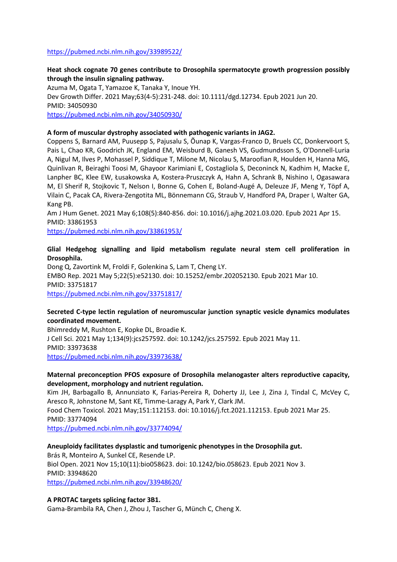#### <https://pubmed.ncbi.nlm.nih.gov/33989522/>

## **Heat shock cognate 70 genes contribute to Drosophila spermatocyte growth progression possibly through the insulin signaling pathway.**

Azuma M, Ogata T, Yamazoe K, Tanaka Y, Inoue YH.

Dev Growth Differ. 2021 May;63(4-5):231-248. doi: 10.1111/dgd.12734. Epub 2021 Jun 20. PMID: 34050930

<https://pubmed.ncbi.nlm.nih.gov/34050930/>

#### **A form of muscular dystrophy associated with pathogenic variants in JAG2.**

Coppens S, Barnard AM, Puusepp S, Pajusalu S, Õunap K, Vargas-Franco D, Bruels CC, Donkervoort S, Pais L, Chao KR, Goodrich JK, England EM, Weisburd B, Ganesh VS, Gudmundsson S, O'Donnell-Luria A, Nigul M, Ilves P, Mohassel P, Siddique T, Milone M, Nicolau S, Maroofian R, Houlden H, Hanna MG, Quinlivan R, Beiraghi Toosi M, Ghayoor Karimiani E, Costagliola S, Deconinck N, Kadhim H, Macke E, Lanpher BC, Klee EW, Łusakowska A, Kostera-Pruszczyk A, Hahn A, Schrank B, Nishino I, Ogasawara M, El Sherif R, Stojkovic T, Nelson I, Bonne G, Cohen E, Boland-Augé A, Deleuze JF, Meng Y, Töpf A, Vilain C, Pacak CA, Rivera-Zengotita ML, Bönnemann CG, Straub V, Handford PA, Draper I, Walter GA, Kang PB.

Am J Hum Genet. 2021 May 6;108(5):840-856. doi: 10.1016/j.ajhg.2021.03.020. Epub 2021 Apr 15. PMID: 33861953

<https://pubmed.ncbi.nlm.nih.gov/33861953/>

#### **Glial Hedgehog signalling and lipid metabolism regulate neural stem cell proliferation in Drosophila.**

Dong Q, Zavortink M, Froldi F, Golenkina S, Lam T, Cheng LY. EMBO Rep. 2021 May 5;22(5):e52130. doi: 10.15252/embr.202052130. Epub 2021 Mar 10. PMID: 33751817 <https://pubmed.ncbi.nlm.nih.gov/33751817/>

#### **Secreted C-type lectin regulation of neuromuscular junction synaptic vesicle dynamics modulates coordinated movement.**

Bhimreddy M, Rushton E, Kopke DL, Broadie K. J Cell Sci. 2021 May 1;134(9):jcs257592. doi: 10.1242/jcs.257592. Epub 2021 May 11. PMID: 33973638 <https://pubmed.ncbi.nlm.nih.gov/33973638/>

#### **Maternal preconception PFOS exposure of Drosophila melanogaster alters reproductive capacity, development, morphology and nutrient regulation.**

Kim JH, Barbagallo B, Annunziato K, Farias-Pereira R, Doherty JJ, Lee J, Zina J, Tindal C, McVey C, Aresco R, Johnstone M, Sant KE, Timme-Laragy A, Park Y, Clark JM. Food Chem Toxicol. 2021 May;151:112153. doi: 10.1016/j.fct.2021.112153. Epub 2021 Mar 25. PMID: 33774094

<https://pubmed.ncbi.nlm.nih.gov/33774094/>

#### **Aneuploidy facilitates dysplastic and tumorigenic phenotypes in the Drosophila gut.** Brás R, Monteiro A, Sunkel CE, Resende LP.

Biol Open. 2021 Nov 15;10(11):bio058623. doi: 10.1242/bio.058623. Epub 2021 Nov 3. PMID: 33948620

<https://pubmed.ncbi.nlm.nih.gov/33948620/>

#### **A PROTAC targets splicing factor 3B1.**

Gama-Brambila RA, Chen J, Zhou J, Tascher G, Münch C, Cheng X.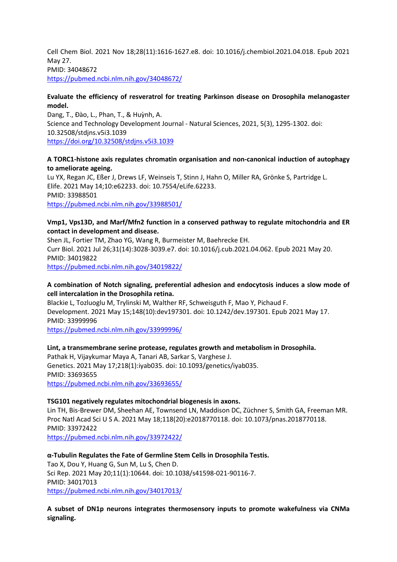Cell Chem Biol. 2021 Nov 18;28(11):1616-1627.e8. doi: 10.1016/j.chembiol.2021.04.018. Epub 2021 May 27. PMID: 34048672 <https://pubmed.ncbi.nlm.nih.gov/34048672/>

## **Evaluate the efficiency of resveratrol for treating Parkinson disease on Drosophila melanogaster model.**

Dang, T., Đào, L., Phan, T., & Huỳnh, A. Science and Technology Development Journal - Natural Sciences, 2021, 5(3), 1295-1302. doi: 10.32508/stdjns.v5i3.1039 <https://doi.org/10.32508/stdjns.v5i3.1039>

## **A TORC1-histone axis regulates chromatin organisation and non-canonical induction of autophagy to ameliorate ageing.**

Lu YX, Regan JC, Eßer J, Drews LF, Weinseis T, Stinn J, Hahn O, Miller RA, Grönke S, Partridge L. Elife. 2021 May 14;10:e62233. doi: 10.7554/eLife.62233. PMID: 33988501 <https://pubmed.ncbi.nlm.nih.gov/33988501/>

#### **Vmp1, Vps13D, and Marf/Mfn2 function in a conserved pathway to regulate mitochondria and ER contact in development and disease.**

Shen JL, Fortier TM, Zhao YG, Wang R, Burmeister M, Baehrecke EH. Curr Biol. 2021 Jul 26;31(14):3028-3039.e7. doi: 10.1016/j.cub.2021.04.062. Epub 2021 May 20. PMID: 34019822 <https://pubmed.ncbi.nlm.nih.gov/34019822/>

## **A combination of Notch signaling, preferential adhesion and endocytosis induces a slow mode of cell intercalation in the Drosophila retina.**

Blackie L, Tozluoglu M, Trylinski M, Walther RF, Schweisguth F, Mao Y, Pichaud F. Development. 2021 May 15;148(10):dev197301. doi: 10.1242/dev.197301. Epub 2021 May 17. PMID: 33999996 <https://pubmed.ncbi.nlm.nih.gov/33999996/>

## **Lint, a transmembrane serine protease, regulates growth and metabolism in Drosophila.**

Pathak H, Vijaykumar Maya A, Tanari AB, Sarkar S, Varghese J. Genetics. 2021 May 17;218(1):iyab035. doi: 10.1093/genetics/iyab035. PMID: 33693655 <https://pubmed.ncbi.nlm.nih.gov/33693655/>

## **TSG101 negatively regulates mitochondrial biogenesis in axons.**

Lin TH, Bis-Brewer DM, Sheehan AE, Townsend LN, Maddison DC, Züchner S, Smith GA, Freeman MR. Proc Natl Acad Sci U S A. 2021 May 18;118(20):e2018770118. doi: 10.1073/pnas.2018770118. PMID: 33972422 <https://pubmed.ncbi.nlm.nih.gov/33972422/>

## **α-Tubulin Regulates the Fate of Germline Stem Cells in Drosophila Testis.**

Tao X, Dou Y, Huang G, Sun M, Lu S, Chen D. Sci Rep. 2021 May 20;11(1):10644. doi: 10.1038/s41598-021-90116-7. PMID: 34017013 <https://pubmed.ncbi.nlm.nih.gov/34017013/>

#### **A subset of DN1p neurons integrates thermosensory inputs to promote wakefulness via CNMa signaling.**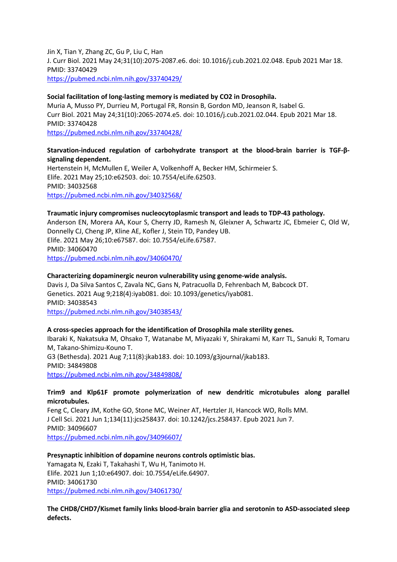Jin X, Tian Y, Zhang ZC, Gu P, Liu C, Han J. Curr Biol. 2021 May 24;31(10):2075-2087.e6. doi: 10.1016/j.cub.2021.02.048. Epub 2021 Mar 18. PMID: 33740429 <https://pubmed.ncbi.nlm.nih.gov/33740429/>

#### **Social facilitation of long-lasting memory is mediated by CO2 in Drosophila.**

Muria A, Musso PY, Durrieu M, Portugal FR, Ronsin B, Gordon MD, Jeanson R, Isabel G. Curr Biol. 2021 May 24;31(10):2065-2074.e5. doi: 10.1016/j.cub.2021.02.044. Epub 2021 Mar 18. PMID: 33740428

<https://pubmed.ncbi.nlm.nih.gov/33740428/>

## **Starvation-induced regulation of carbohydrate transport at the blood-brain barrier is TGF-βsignaling dependent.**

Hertenstein H, McMullen E, Weiler A, Volkenhoff A, Becker HM, Schirmeier S. Elife. 2021 May 25;10:e62503. doi: 10.7554/eLife.62503. PMID: 34032568 <https://pubmed.ncbi.nlm.nih.gov/34032568/>

## **Traumatic injury compromises nucleocytoplasmic transport and leads to TDP-43 pathology.**

Anderson EN, Morera AA, Kour S, Cherry JD, Ramesh N, Gleixner A, Schwartz JC, Ebmeier C, Old W, Donnelly CJ, Cheng JP, Kline AE, Kofler J, Stein TD, Pandey UB. Elife. 2021 May 26;10:e67587. doi: 10.7554/eLife.67587. PMID: 34060470 <https://pubmed.ncbi.nlm.nih.gov/34060470/>

#### **Characterizing dopaminergic neuron vulnerability using genome-wide analysis.**

Davis J, Da Silva Santos C, Zavala NC, Gans N, Patracuolla D, Fehrenbach M, Babcock DT. Genetics. 2021 Aug 9;218(4):iyab081. doi: 10.1093/genetics/iyab081. PMID: 34038543 <https://pubmed.ncbi.nlm.nih.gov/34038543/>

## **A cross-species approach for the identification of Drosophila male sterility genes.**

Ibaraki K, Nakatsuka M, Ohsako T, Watanabe M, Miyazaki Y, Shirakami M, Karr TL, Sanuki R, Tomaru M, Takano-Shimizu-Kouno T. G3 (Bethesda). 2021 Aug 7;11(8):jkab183. doi: 10.1093/g3journal/jkab183. PMID: 34849808 <https://pubmed.ncbi.nlm.nih.gov/34849808/>

#### **Trim9 and Klp61F promote polymerization of new dendritic microtubules along parallel microtubules.**

Feng C, Cleary JM, Kothe GO, Stone MC, Weiner AT, Hertzler JI, Hancock WO, Rolls MM. J Cell Sci. 2021 Jun 1;134(11):jcs258437. doi: 10.1242/jcs.258437. Epub 2021 Jun 7. PMID: 34096607 <https://pubmed.ncbi.nlm.nih.gov/34096607/>

## **Presynaptic inhibition of dopamine neurons controls optimistic bias.** Yamagata N, Ezaki T, Takahashi T, Wu H, Tanimoto H.

Elife. 2021 Jun 1;10:e64907. doi: 10.7554/eLife.64907. PMID: 34061730 <https://pubmed.ncbi.nlm.nih.gov/34061730/>

**The CHD8/CHD7/Kismet family links blood-brain barrier glia and serotonin to ASD-associated sleep defects.**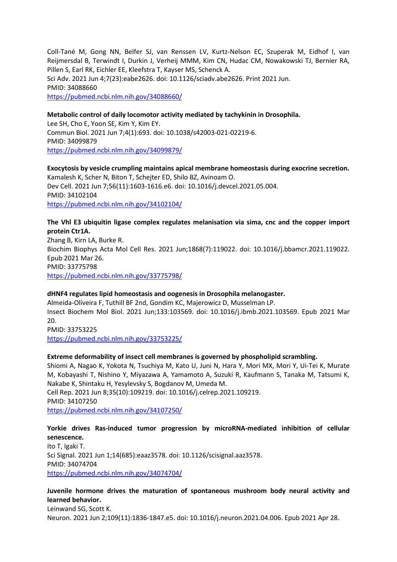Coll-Tané M, Gong NN, Belfer SJ, van Renssen LV, Kurtz-Nelson EC, Szuperak M, Eidhof I, van Reijmersdal B, Terwindt I, Durkin J, Verheij MMM, Kim CN, Hudac CM, Nowakowski TJ, Bernier RA, Pillen S, Earl RK, Eichler EE, Kleefstra T, Kayser MS, Schenck A. Sci Adv. 2021 Jun 4;7(23):eabe2626. doi: 10.1126/sciadv.abe2626. Print 2021 Jun. PMID: 34088660 <https://pubmed.ncbi.nlm.nih.gov/34088660/>

#### **Metabolic control of daily locomotor activity mediated by tachykinin in Drosophila.**

Lee SH, Cho E, Yoon SE, Kim Y, Kim EY. Commun Biol. 2021 Jun 7;4(1):693. doi: 10.1038/s42003-021-02219-6. PMID: 34099879 <https://pubmed.ncbi.nlm.nih.gov/34099879/>

**Exocytosis by vesicle crumpling maintains apical membrane homeostasis during exocrine secretion.** Kamalesh K, Scher N, Biton T, Schejter ED, Shilo BZ, Avinoam O. Dev Cell. 2021 Jun 7;56(11):1603-1616.e6. doi: 10.1016/j.devcel.2021.05.004. PMID: 34102104 <https://pubmed.ncbi.nlm.nih.gov/34102104/>

**The Vhl E3 ubiquitin ligase complex regulates melanisation via sima, cnc and the copper import protein Ctr1A.** Zhang B, Kirn LA, Burke R. Biochim Biophys Acta Mol Cell Res. 2021 Jun;1868(7):119022. doi: 10.1016/j.bbamcr.2021.119022. Epub 2021 Mar 26. PMID: 33775798 <https://pubmed.ncbi.nlm.nih.gov/33775798/>

#### **dHNF4 regulates lipid homeostasis and oogenesis in Drosophila melanogaster.**

Almeida-Oliveira F, Tuthill BF 2nd, Gondim KC, Majerowicz D, Musselman LP. Insect Biochem Mol Biol. 2021 Jun;133:103569. doi: 10.1016/j.ibmb.2021.103569. Epub 2021 Mar 20. PMID: 33753225

<https://pubmed.ncbi.nlm.nih.gov/33753225/>

#### **Extreme deformability of insect cell membranes is governed by phospholipid scrambling.**

Shiomi A, Nagao K, Yokota N, Tsuchiya M, Kato U, Juni N, Hara Y, Mori MX, Mori Y, Ui-Tei K, Murate M, Kobayashi T, Nishino Y, Miyazawa A, Yamamoto A, Suzuki R, Kaufmann S, Tanaka M, Tatsumi K, Nakabe K, Shintaku H, Yesylevsky S, Bogdanov M, Umeda M. Cell Rep. 2021 Jun 8;35(10):109219. doi: 10.1016/j.celrep.2021.109219. PMID: 34107250

<https://pubmed.ncbi.nlm.nih.gov/34107250/>

## **Yorkie drives Ras-induced tumor progression by microRNA-mediated inhibition of cellular senescence.**

Ito T, Igaki T. Sci Signal. 2021 Jun 1;14(685):eaaz3578. doi: 10.1126/scisignal.aaz3578. PMID: 34074704 <https://pubmed.ncbi.nlm.nih.gov/34074704/>

#### **Juvenile hormone drives the maturation of spontaneous mushroom body neural activity and learned behavior.** Leinwand SG, Scott K.

Neuron. 2021 Jun 2;109(11):1836-1847.e5. doi: 10.1016/j.neuron.2021.04.006. Epub 2021 Apr 28.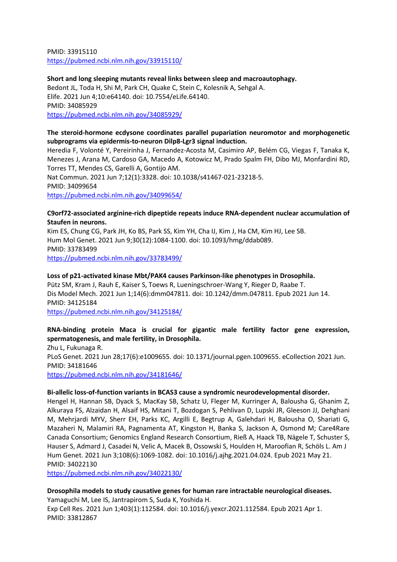PMID: 33915110 <https://pubmed.ncbi.nlm.nih.gov/33915110/>

**Short and long sleeping mutants reveal links between sleep and macroautophagy.** Bedont JL, Toda H, Shi M, Park CH, Quake C, Stein C, Kolesnik A, Sehgal A. Elife. 2021 Jun 4;10:e64140. doi: 10.7554/eLife.64140. PMID: 34085929 <https://pubmed.ncbi.nlm.nih.gov/34085929/>

#### **The steroid-hormone ecdysone coordinates parallel pupariation neuromotor and morphogenetic subprograms via epidermis-to-neuron Dilp8-Lgr3 signal induction.**

Heredia F, Volonté Y, Pereirinha J, Fernandez-Acosta M, Casimiro AP, Belém CG, Viegas F, Tanaka K, Menezes J, Arana M, Cardoso GA, Macedo A, Kotowicz M, Prado Spalm FH, Dibo MJ, Monfardini RD, Torres TT, Mendes CS, Garelli A, Gontijo AM. Nat Commun. 2021 Jun 7;12(1):3328. doi: 10.1038/s41467-021-23218-5. PMID: 34099654

<https://pubmed.ncbi.nlm.nih.gov/34099654/>

## **C9orf72-associated arginine-rich dipeptide repeats induce RNA-dependent nuclear accumulation of Staufen in neurons.**

Kim ES, Chung CG, Park JH, Ko BS, Park SS, Kim YH, Cha IJ, Kim J, Ha CM, Kim HJ, Lee SB. Hum Mol Genet. 2021 Jun 9;30(12):1084-1100. doi: 10.1093/hmg/ddab089. PMID: 33783499 <https://pubmed.ncbi.nlm.nih.gov/33783499/>

#### **Loss of p21-activated kinase Mbt/PAK4 causes Parkinson-like phenotypes in Drosophila.**

Pütz SM, Kram J, Rauh E, Kaiser S, Toews R, Lueningschroer-Wang Y, Rieger D, Raabe T. Dis Model Mech. 2021 Jun 1;14(6):dmm047811. doi: 10.1242/dmm.047811. Epub 2021 Jun 14. PMID: 34125184

<https://pubmed.ncbi.nlm.nih.gov/34125184/>

## **RNA-binding protein Maca is crucial for gigantic male fertility factor gene expression, spermatogenesis, and male fertility, in Drosophila.**

Zhu L, Fukunaga R. PLoS Genet. 2021 Jun 28;17(6):e1009655. doi: 10.1371/journal.pgen.1009655. eCollection 2021 Jun. PMID: 34181646 <https://pubmed.ncbi.nlm.nih.gov/34181646/>

#### **Bi-allelic loss-of-function variants in BCAS3 cause a syndromic neurodevelopmental disorder.**

Hengel H, Hannan SB, Dyack S, MacKay SB, Schatz U, Fleger M, Kurringer A, Balousha G, Ghanim Z, Alkuraya FS, Alzaidan H, Alsaif HS, Mitani T, Bozdogan S, Pehlivan D, Lupski JR, Gleeson JJ, Dehghani M, Mehrjardi MYV, Sherr EH, Parks KC, Argilli E, Begtrup A, Galehdari H, Balousha O, Shariati G, Mazaheri N, Malamiri RA, Pagnamenta AT, Kingston H, Banka S, Jackson A, Osmond M; Care4Rare Canada Consortium; Genomics England Research Consortium, Rieß A, Haack TB, Nägele T, Schuster S, Hauser S, Admard J, Casadei N, Velic A, Macek B, Ossowski S, Houlden H, Maroofian R, Schöls L. Am J Hum Genet. 2021 Jun 3;108(6):1069-1082. doi: 10.1016/j.ajhg.2021.04.024. Epub 2021 May 21. PMID: 34022130

<https://pubmed.ncbi.nlm.nih.gov/34022130/>

#### **Drosophila models to study causative genes for human rare intractable neurological diseases.** Yamaguchi M, Lee IS, Jantrapirom S, Suda K, Yoshida H.

Exp Cell Res. 2021 Jun 1;403(1):112584. doi: 10.1016/j.yexcr.2021.112584. Epub 2021 Apr 1. PMID: 33812867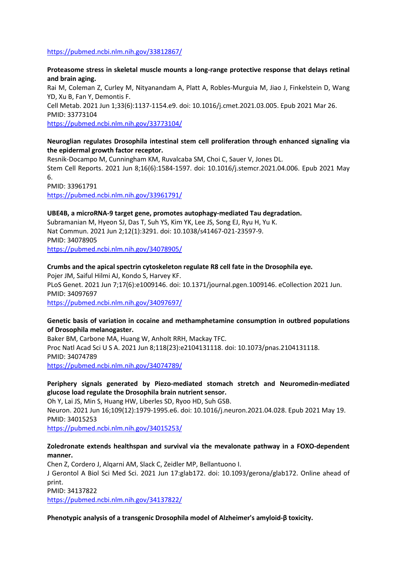#### <https://pubmed.ncbi.nlm.nih.gov/33812867/>

#### **Proteasome stress in skeletal muscle mounts a long-range protective response that delays retinal and brain aging.**

Rai M, Coleman Z, Curley M, Nityanandam A, Platt A, Robles-Murguia M, Jiao J, Finkelstein D, Wang YD, Xu B, Fan Y, Demontis F. Cell Metab. 2021 Jun 1;33(6):1137-1154.e9. doi: 10.1016/j.cmet.2021.03.005. Epub 2021 Mar 26. PMID: 33773104

<https://pubmed.ncbi.nlm.nih.gov/33773104/>

## **Neuroglian regulates Drosophila intestinal stem cell proliferation through enhanced signaling via the epidermal growth factor receptor.**

Resnik-Docampo M, Cunningham KM, Ruvalcaba SM, Choi C, Sauer V, Jones DL. Stem Cell Reports. 2021 Jun 8;16(6):1584-1597. doi: 10.1016/j.stemcr.2021.04.006. Epub 2021 May 6. PMID: 33961791 <https://pubmed.ncbi.nlm.nih.gov/33961791/>

#### **UBE4B, a microRNA-9 target gene, promotes autophagy-mediated Tau degradation.**

Subramanian M, Hyeon SJ, Das T, Suh YS, Kim YK, Lee JS, Song EJ, Ryu H, Yu K. Nat Commun. 2021 Jun 2;12(1):3291. doi: 10.1038/s41467-021-23597-9. PMID: 34078905 <https://pubmed.ncbi.nlm.nih.gov/34078905/>

#### **Crumbs and the apical spectrin cytoskeleton regulate R8 cell fate in the Drosophila eye.**

Pojer JM, Saiful Hilmi AJ, Kondo S, Harvey KF. PLoS Genet. 2021 Jun 7;17(6):e1009146. doi: 10.1371/journal.pgen.1009146. eCollection 2021 Jun. PMID: 34097697 <https://pubmed.ncbi.nlm.nih.gov/34097697/>

# **Genetic basis of variation in cocaine and methamphetamine consumption in outbred populations**

# **of Drosophila melanogaster.** Baker BM, Carbone MA, Huang W, Anholt RRH, Mackay TFC.

Proc Natl Acad Sci U S A. 2021 Jun 8;118(23):e2104131118. doi: 10.1073/pnas.2104131118. PMID: 34074789 <https://pubmed.ncbi.nlm.nih.gov/34074789/>

## **Periphery signals generated by Piezo-mediated stomach stretch and Neuromedin-mediated glucose load regulate the Drosophila brain nutrient sensor.**

Oh Y, Lai JS, Min S, Huang HW, Liberles SD, Ryoo HD, Suh GSB. Neuron. 2021 Jun 16;109(12):1979-1995.e6. doi: 10.1016/j.neuron.2021.04.028. Epub 2021 May 19. PMID: 34015253

<https://pubmed.ncbi.nlm.nih.gov/34015253/>

#### **Zoledronate extends healthspan and survival via the mevalonate pathway in a FOXO-dependent manner.**

Chen Z, Cordero J, Alqarni AM, Slack C, Zeidler MP, Bellantuono I.

J Gerontol A Biol Sci Med Sci. 2021 Jun 17:glab172. doi: 10.1093/gerona/glab172. Online ahead of print.

PMID: 34137822

<https://pubmed.ncbi.nlm.nih.gov/34137822/>

#### **Phenotypic analysis of a transgenic Drosophila model of Alzheimer's amyloid-β toxicity.**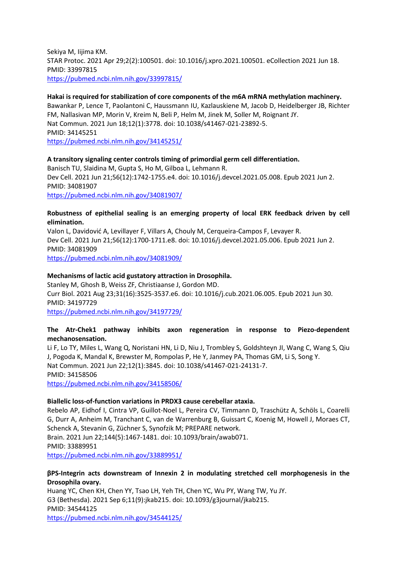Sekiya M, Iijima KM. STAR Protoc. 2021 Apr 29;2(2):100501. doi: 10.1016/j.xpro.2021.100501. eCollection 2021 Jun 18. PMID: 33997815 <https://pubmed.ncbi.nlm.nih.gov/33997815/>

## **Hakai is required for stabilization of core components of the m6A mRNA methylation machinery.**

Bawankar P, Lence T, Paolantoni C, Haussmann IU, Kazlauskiene M, Jacob D, Heidelberger JB, Richter FM, Nallasivan MP, Morin V, Kreim N, Beli P, Helm M, Jinek M, Soller M, Roignant JY. Nat Commun. 2021 Jun 18;12(1):3778. doi: 10.1038/s41467-021-23892-5. PMID: 34145251

<https://pubmed.ncbi.nlm.nih.gov/34145251/>

#### **A transitory signaling center controls timing of primordial germ cell differentiation.**

Banisch TU, Slaidina M, Gupta S, Ho M, Gilboa L, Lehmann R. Dev Cell. 2021 Jun 21;56(12):1742-1755.e4. doi: 10.1016/j.devcel.2021.05.008. Epub 2021 Jun 2. PMID: 34081907 <https://pubmed.ncbi.nlm.nih.gov/34081907/>

#### **Robustness of epithelial sealing is an emerging property of local ERK feedback driven by cell elimination.**

Valon L, Davidović A, Levillayer F, Villars A, Chouly M, Cerqueira-Campos F, Levayer R. Dev Cell. 2021 Jun 21;56(12):1700-1711.e8. doi: 10.1016/j.devcel.2021.05.006. Epub 2021 Jun 2. PMID: 34081909

<https://pubmed.ncbi.nlm.nih.gov/34081909/>

#### **Mechanisms of lactic acid gustatory attraction in Drosophila.**

Stanley M, Ghosh B, Weiss ZF, Christiaanse J, Gordon MD. Curr Biol. 2021 Aug 23;31(16):3525-3537.e6. doi: 10.1016/j.cub.2021.06.005. Epub 2021 Jun 30. PMID: 34197729 <https://pubmed.ncbi.nlm.nih.gov/34197729/>

## **The Atr-Chek1 pathway inhibits axon regeneration in response to Piezo-dependent mechanosensation.**

Li F, Lo TY, Miles L, Wang Q, Noristani HN, Li D, Niu J, Trombley S, Goldshteyn JI, Wang C, Wang S, Qiu J, Pogoda K, Mandal K, Brewster M, Rompolas P, He Y, Janmey PA, Thomas GM, Li S, Song Y. Nat Commun. 2021 Jun 22;12(1):3845. doi: 10.1038/s41467-021-24131-7. PMID: 34158506 <https://pubmed.ncbi.nlm.nih.gov/34158506/>

#### **Biallelic loss-of-function variations in PRDX3 cause cerebellar ataxia.**

Rebelo AP, Eidhof I, Cintra VP, Guillot-Noel L, Pereira CV, Timmann D, Traschütz A, Schöls L, Coarelli G, Durr A, Anheim M, Tranchant C, van de Warrenburg B, Guissart C, Koenig M, Howell J, Moraes CT, Schenck A, Stevanin G, Züchner S, Synofzik M; PREPARE network. Brain. 2021 Jun 22;144(5):1467-1481. doi: 10.1093/brain/awab071. PMID: 33889951

<https://pubmed.ncbi.nlm.nih.gov/33889951/>

#### **βPS-Integrin acts downstream of Innexin 2 in modulating stretched cell morphogenesis in the Drosophila ovary.**

Huang YC, Chen KH, Chen YY, Tsao LH, Yeh TH, Chen YC, Wu PY, Wang TW, Yu JY. G3 (Bethesda). 2021 Sep 6;11(9):jkab215. doi: 10.1093/g3journal/jkab215. PMID: 34544125 <https://pubmed.ncbi.nlm.nih.gov/34544125/>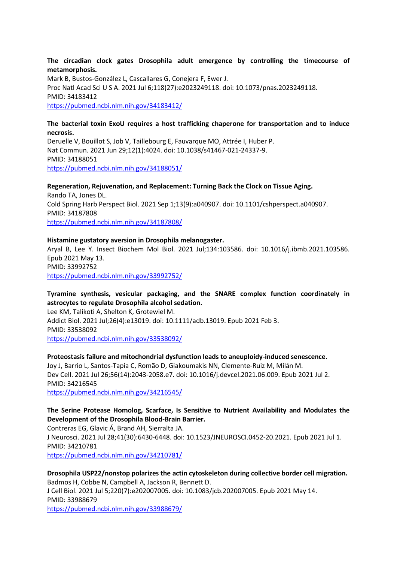**The circadian clock gates Drosophila adult emergence by controlling the timecourse of metamorphosis.**

Mark B, Bustos-González L, Cascallares G, Conejera F, Ewer J. Proc Natl Acad Sci U S A. 2021 Jul 6;118(27):e2023249118. doi: 10.1073/pnas.2023249118. PMID: 34183412 <https://pubmed.ncbi.nlm.nih.gov/34183412/>

## **The bacterial toxin ExoU requires a host trafficking chaperone for transportation and to induce necrosis.**

Deruelle V, Bouillot S, Job V, Taillebourg E, Fauvarque MO, Attrée I, Huber P. Nat Commun. 2021 Jun 29;12(1):4024. doi: 10.1038/s41467-021-24337-9. PMID: 34188051 <https://pubmed.ncbi.nlm.nih.gov/34188051/>

**Regeneration, Rejuvenation, and Replacement: Turning Back the Clock on Tissue Aging.** Rando TA, Jones DL. Cold Spring Harb Perspect Biol. 2021 Sep 1;13(9):a040907. doi: 10.1101/cshperspect.a040907. PMID: 34187808 <https://pubmed.ncbi.nlm.nih.gov/34187808/>

#### **Histamine gustatory aversion in Drosophila melanogaster.**

Aryal B, Lee Y. Insect Biochem Mol Biol. 2021 Jul;134:103586. doi: 10.1016/j.ibmb.2021.103586. Epub 2021 May 13. PMID: 33992752 <https://pubmed.ncbi.nlm.nih.gov/33992752/>

## **Tyramine synthesis, vesicular packaging, and the SNARE complex function coordinately in astrocytes to regulate Drosophila alcohol sedation.**

Lee KM, Talikoti A, Shelton K, Grotewiel M. Addict Biol. 2021 Jul;26(4):e13019. doi: 10.1111/adb.13019. Epub 2021 Feb 3. PMID: 33538092 <https://pubmed.ncbi.nlm.nih.gov/33538092/>

## **Proteostasis failure and mitochondrial dysfunction leads to aneuploidy-induced senescence.**

Joy J, Barrio L, Santos-Tapia C, Romão D, Giakoumakis NN, Clemente-Ruiz M, Milán M. Dev Cell. 2021 Jul 26;56(14):2043-2058.e7. doi: 10.1016/j.devcel.2021.06.009. Epub 2021 Jul 2. PMID: 34216545

<https://pubmed.ncbi.nlm.nih.gov/34216545/>

## **The Serine Protease Homolog, Scarface, Is Sensitive to Nutrient Availability and Modulates the Development of the Drosophila Blood-Brain Barrier.**

Contreras EG, Glavic Á, Brand AH, Sierralta JA. J Neurosci. 2021 Jul 28;41(30):6430-6448. doi: 10.1523/JNEUROSCI.0452-20.2021. Epub 2021 Jul 1. PMID: 34210781

<https://pubmed.ncbi.nlm.nih.gov/34210781/>

#### **Drosophila USP22/nonstop polarizes the actin cytoskeleton during collective border cell migration.** Badmos H, Cobbe N, Campbell A, Jackson R, Bennett D.

J Cell Biol. 2021 Jul 5;220(7):e202007005. doi: 10.1083/jcb.202007005. Epub 2021 May 14. PMID: 33988679

<https://pubmed.ncbi.nlm.nih.gov/33988679/>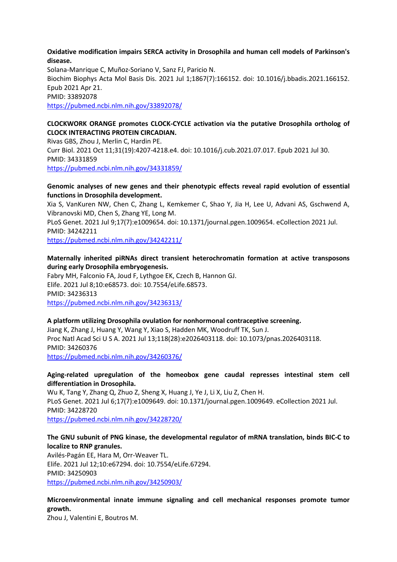#### **Oxidative modification impairs SERCA activity in Drosophila and human cell models of Parkinson's disease.**

Solana-Manrique C, Muñoz-Soriano V, Sanz FJ, Paricio N. Biochim Biophys Acta Mol Basis Dis. 2021 Jul 1;1867(7):166152. doi: 10.1016/j.bbadis.2021.166152. Epub 2021 Apr 21. PMID: 33892078 <https://pubmed.ncbi.nlm.nih.gov/33892078/>

## **CLOCKWORK ORANGE promotes CLOCK-CYCLE activation via the putative Drosophila ortholog of CLOCK INTERACTING PROTEIN CIRCADIAN.**

Rivas GBS, Zhou J, Merlin C, Hardin PE. Curr Biol. 2021 Oct 11;31(19):4207-4218.e4. doi: 10.1016/j.cub.2021.07.017. Epub 2021 Jul 30. PMID: 34331859 <https://pubmed.ncbi.nlm.nih.gov/34331859/>

## **Genomic analyses of new genes and their phenotypic effects reveal rapid evolution of essential functions in Drosophila development.**

Xia S, VanKuren NW, Chen C, Zhang L, Kemkemer C, Shao Y, Jia H, Lee U, Advani AS, Gschwend A, Vibranovski MD, Chen S, Zhang YE, Long M.

PLoS Genet. 2021 Jul 9;17(7):e1009654. doi: 10.1371/journal.pgen.1009654. eCollection 2021 Jul. PMID: 34242211

<https://pubmed.ncbi.nlm.nih.gov/34242211/>

## **Maternally inherited piRNAs direct transient heterochromatin formation at active transposons during early Drosophila embryogenesis.**

Fabry MH, Falconio FA, Joud F, Lythgoe EK, Czech B, Hannon GJ. Elife. 2021 Jul 8;10:e68573. doi: 10.7554/eLife.68573. PMID: 34236313 <https://pubmed.ncbi.nlm.nih.gov/34236313/>

#### **A platform utilizing Drosophila ovulation for nonhormonal contraceptive screening.**

Jiang K, Zhang J, Huang Y, Wang Y, Xiao S, Hadden MK, Woodruff TK, Sun J. Proc Natl Acad Sci U S A. 2021 Jul 13;118(28):e2026403118. doi: 10.1073/pnas.2026403118. PMID: 34260376 <https://pubmed.ncbi.nlm.nih.gov/34260376/>

#### **Aging-related upregulation of the homeobox gene caudal represses intestinal stem cell differentiation in Drosophila.**

Wu K, Tang Y, Zhang Q, Zhuo Z, Sheng X, Huang J, Ye J, Li X, Liu Z, Chen H. PLoS Genet. 2021 Jul 6;17(7):e1009649. doi: 10.1371/journal.pgen.1009649. eCollection 2021 Jul. PMID: 34228720

<https://pubmed.ncbi.nlm.nih.gov/34228720/>

## **The GNU subunit of PNG kinase, the developmental regulator of mRNA translation, binds BIC-C to localize to RNP granules.**

Avilés-Pagán EE, Hara M, Orr-Weaver TL. Elife. 2021 Jul 12;10:e67294. doi: 10.7554/eLife.67294. PMID: 34250903 <https://pubmed.ncbi.nlm.nih.gov/34250903/>

## **Microenvironmental innate immune signaling and cell mechanical responses promote tumor growth.**

Zhou J, Valentini E, Boutros M.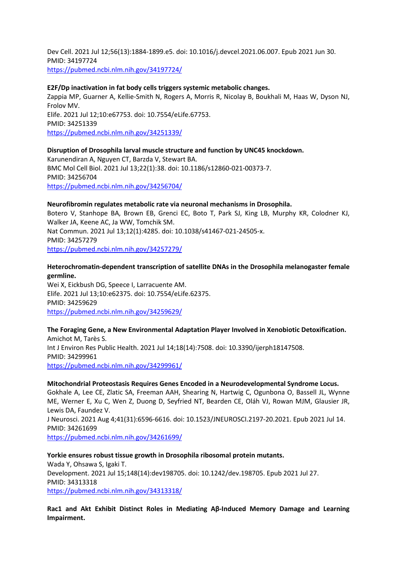Dev Cell. 2021 Jul 12;56(13):1884-1899.e5. doi: 10.1016/j.devcel.2021.06.007. Epub 2021 Jun 30. PMID: 34197724 <https://pubmed.ncbi.nlm.nih.gov/34197724/>

#### **E2F/Dp inactivation in fat body cells triggers systemic metabolic changes.**

Zappia MP, Guarner A, Kellie-Smith N, Rogers A, Morris R, Nicolay B, Boukhali M, Haas W, Dyson NJ, Frolov MV. Elife. 2021 Jul 12;10:e67753. doi: 10.7554/eLife.67753. PMID: 34251339 <https://pubmed.ncbi.nlm.nih.gov/34251339/>

#### **Disruption of Drosophila larval muscle structure and function by UNC45 knockdown.**

Karunendiran A, Nguyen CT, Barzda V, Stewart BA. BMC Mol Cell Biol. 2021 Jul 13;22(1):38. doi: 10.1186/s12860-021-00373-7. PMID: 34256704 <https://pubmed.ncbi.nlm.nih.gov/34256704/>

#### **Neurofibromin regulates metabolic rate via neuronal mechanisms in Drosophila.**

Botero V, Stanhope BA, Brown EB, Grenci EC, Boto T, Park SJ, King LB, Murphy KR, Colodner KJ, Walker JA, Keene AC, Ja WW, Tomchik SM. Nat Commun. 2021 Jul 13;12(1):4285. doi: 10.1038/s41467-021-24505-x. PMID: 34257279 <https://pubmed.ncbi.nlm.nih.gov/34257279/>

#### **Heterochromatin-dependent transcription of satellite DNAs in the Drosophila melanogaster female germline.**

Wei X, Eickbush DG, Speece I, Larracuente AM. Elife. 2021 Jul 13;10:e62375. doi: 10.7554/eLife.62375. PMID: 34259629 <https://pubmed.ncbi.nlm.nih.gov/34259629/>

**The Foraging Gene, a New Environmental Adaptation Player Involved in Xenobiotic Detoxification.** Amichot M, Tarès S. Int J Environ Res Public Health. 2021 Jul 14;18(14):7508. doi: 10.3390/ijerph18147508. PMID: 34299961 <https://pubmed.ncbi.nlm.nih.gov/34299961/>

#### **Mitochondrial Proteostasis Requires Genes Encoded in a Neurodevelopmental Syndrome Locus.**

Gokhale A, Lee CE, Zlatic SA, Freeman AAH, Shearing N, Hartwig C, Ogunbona O, Bassell JL, Wynne ME, Werner E, Xu C, Wen Z, Duong D, Seyfried NT, Bearden CE, Oláh VJ, Rowan MJM, Glausier JR, Lewis DA, Faundez V.

J Neurosci. 2021 Aug 4;41(31):6596-6616. doi: 10.1523/JNEUROSCI.2197-20.2021. Epub 2021 Jul 14. PMID: 34261699

<https://pubmed.ncbi.nlm.nih.gov/34261699/>

#### **Yorkie ensures robust tissue growth in Drosophila ribosomal protein mutants.** Wada Y, Ohsawa S, Igaki T. Development. 2021 Jul 15;148(14):dev198705. doi: 10.1242/dev.198705. Epub 2021 Jul 27. PMID: 34313318 <https://pubmed.ncbi.nlm.nih.gov/34313318/>

**Rac1 and Akt Exhibit Distinct Roles in Mediating Aβ-Induced Memory Damage and Learning Impairment.**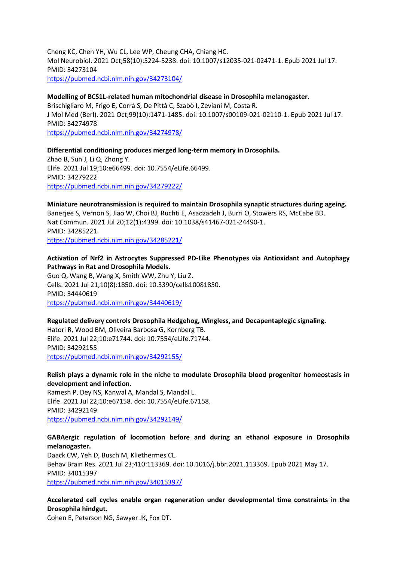Cheng KC, Chen YH, Wu CL, Lee WP, Cheung CHA, Chiang HC. Mol Neurobiol. 2021 Oct;58(10):5224-5238. doi: 10.1007/s12035-021-02471-1. Epub 2021 Jul 17. PMID: 34273104 <https://pubmed.ncbi.nlm.nih.gov/34273104/>

#### **Modelling of BCS1L-related human mitochondrial disease in Drosophila melanogaster.**

Brischigliaro M, Frigo E, Corrà S, De Pittà C, Szabò I, Zeviani M, Costa R. J Mol Med (Berl). 2021 Oct;99(10):1471-1485. doi: 10.1007/s00109-021-02110-1. Epub 2021 Jul 17. PMID: 34274978 <https://pubmed.ncbi.nlm.nih.gov/34274978/>

#### **Differential conditioning produces merged long-term memory in Drosophila.**

Zhao B, Sun J, Li Q, Zhong Y. Elife. 2021 Jul 19;10:e66499. doi: 10.7554/eLife.66499. PMID: 34279222 <https://pubmed.ncbi.nlm.nih.gov/34279222/>

## **Miniature neurotransmission is required to maintain Drosophila synaptic structures during ageing.**

Banerjee S, Vernon S, Jiao W, Choi BJ, Ruchti E, Asadzadeh J, Burri O, Stowers RS, McCabe BD. Nat Commun. 2021 Jul 20;12(1):4399. doi: 10.1038/s41467-021-24490-1. PMID: 34285221 <https://pubmed.ncbi.nlm.nih.gov/34285221/>

#### **Activation of Nrf2 in Astrocytes Suppressed PD-Like Phenotypes via Antioxidant and Autophagy Pathways in Rat and Drosophila Models.**

Guo Q, Wang B, Wang X, Smith WW, Zhu Y, Liu Z. Cells. 2021 Jul 21;10(8):1850. doi: 10.3390/cells10081850. PMID: 34440619 <https://pubmed.ncbi.nlm.nih.gov/34440619/>

#### **Regulated delivery controls Drosophila Hedgehog, Wingless, and Decapentaplegic signaling.**

Hatori R, Wood BM, Oliveira Barbosa G, Kornberg TB. Elife. 2021 Jul 22;10:e71744. doi: 10.7554/eLife.71744. PMID: 34292155 <https://pubmed.ncbi.nlm.nih.gov/34292155/>

#### **Relish plays a dynamic role in the niche to modulate Drosophila blood progenitor homeostasis in development and infection.**

Ramesh P, Dey NS, Kanwal A, Mandal S, Mandal L. Elife. 2021 Jul 22;10:e67158. doi: 10.7554/eLife.67158. PMID: 34292149 <https://pubmed.ncbi.nlm.nih.gov/34292149/>

#### **GABAergic regulation of locomotion before and during an ethanol exposure in Drosophila melanogaster.**

Daack CW, Yeh D, Busch M, Kliethermes CL. Behav Brain Res. 2021 Jul 23;410:113369. doi: 10.1016/j.bbr.2021.113369. Epub 2021 May 17. PMID: 34015397 <https://pubmed.ncbi.nlm.nih.gov/34015397/>

## **Accelerated cell cycles enable organ regeneration under developmental time constraints in the Drosophila hindgut.**

Cohen E, Peterson NG, Sawyer JK, Fox DT.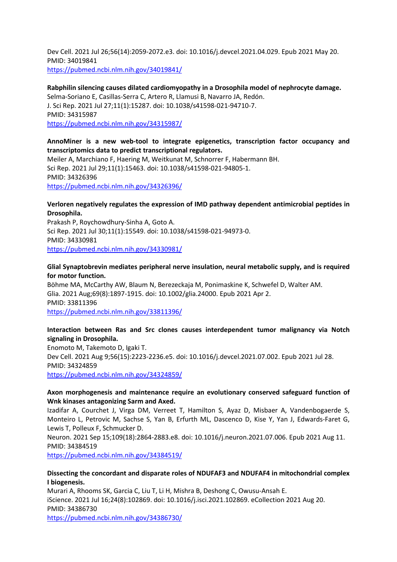Dev Cell. 2021 Jul 26;56(14):2059-2072.e3. doi: 10.1016/j.devcel.2021.04.029. Epub 2021 May 20. PMID: 34019841 <https://pubmed.ncbi.nlm.nih.gov/34019841/>

**Rabphilin silencing causes dilated cardiomyopathy in a Drosophila model of nephrocyte damage.**

Selma-Soriano E, Casillas-Serra C, Artero R, Llamusi B, Navarro JA, Redón. J. Sci Rep. 2021 Jul 27;11(1):15287. doi: 10.1038/s41598-021-94710-7. PMID: 34315987 <https://pubmed.ncbi.nlm.nih.gov/34315987/>

#### **AnnoMiner is a new web-tool to integrate epigenetics, transcription factor occupancy and transcriptomics data to predict transcriptional regulators.**

Meiler A, Marchiano F, Haering M, Weitkunat M, Schnorrer F, Habermann BH. Sci Rep. 2021 Jul 29;11(1):15463. doi: 10.1038/s41598-021-94805-1. PMID: 34326396 <https://pubmed.ncbi.nlm.nih.gov/34326396/>

## **Verloren negatively regulates the expression of IMD pathway dependent antimicrobial peptides in Drosophila.**

Prakash P, Roychowdhury-Sinha A, Goto A. Sci Rep. 2021 Jul 30;11(1):15549. doi: 10.1038/s41598-021-94973-0. PMID: 34330981 <https://pubmed.ncbi.nlm.nih.gov/34330981/>

#### **Glial Synaptobrevin mediates peripheral nerve insulation, neural metabolic supply, and is required for motor function.**

Böhme MA, McCarthy AW, Blaum N, Berezeckaja M, Ponimaskine K, Schwefel D, Walter AM. Glia. 2021 Aug;69(8):1897-1915. doi: 10.1002/glia.24000. Epub 2021 Apr 2. PMID: 33811396 <https://pubmed.ncbi.nlm.nih.gov/33811396/>

## **Interaction between Ras and Src clones causes interdependent tumor malignancy via Notch signaling in Drosophila.**

Enomoto M, Takemoto D, Igaki T. Dev Cell. 2021 Aug 9;56(15):2223-2236.e5. doi: 10.1016/j.devcel.2021.07.002. Epub 2021 Jul 28. PMID: 34324859 <https://pubmed.ncbi.nlm.nih.gov/34324859/>

## **Axon morphogenesis and maintenance require an evolutionary conserved safeguard function of Wnk kinases antagonizing Sarm and Axed.**

Izadifar A, Courchet J, Virga DM, Verreet T, Hamilton S, Ayaz D, Misbaer A, Vandenbogaerde S, Monteiro L, Petrovic M, Sachse S, Yan B, Erfurth ML, Dascenco D, Kise Y, Yan J, Edwards-Faret G, Lewis T, Polleux F, Schmucker D.

Neuron. 2021 Sep 15;109(18):2864-2883.e8. doi: 10.1016/j.neuron.2021.07.006. Epub 2021 Aug 11. PMID: 34384519

<https://pubmed.ncbi.nlm.nih.gov/34384519/>

#### **Dissecting the concordant and disparate roles of NDUFAF3 and NDUFAF4 in mitochondrial complex I biogenesis.**

Murari A, Rhooms SK, Garcia C, Liu T, Li H, Mishra B, Deshong C, Owusu-Ansah E. iScience. 2021 Jul 16;24(8):102869. doi: 10.1016/j.isci.2021.102869. eCollection 2021 Aug 20. PMID: 34386730 <https://pubmed.ncbi.nlm.nih.gov/34386730/>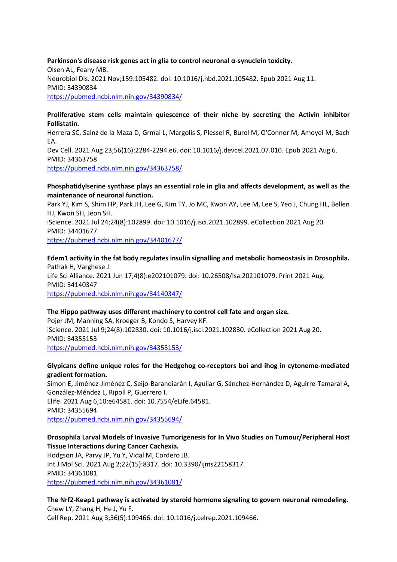**Parkinson's disease risk genes act in glia to control neuronal α-synuclein toxicity.** Olsen AL, Feany MB. Neurobiol Dis. 2021 Nov;159:105482. doi: 10.1016/j.nbd.2021.105482. Epub 2021 Aug 11. PMID: 34390834 <https://pubmed.ncbi.nlm.nih.gov/34390834/>

#### **Proliferative stem cells maintain quiescence of their niche by secreting the Activin inhibitor Follistatin.**

Herrera SC, Sainz de la Maza D, Grmai L, Margolis S, Plessel R, Burel M, O'Connor M, Amoyel M, Bach EA. Dev Cell. 2021 Aug 23;56(16):2284-2294.e6. doi: 10.1016/j.devcel.2021.07.010. Epub 2021 Aug 6. PMID: 34363758

<https://pubmed.ncbi.nlm.nih.gov/34363758/>

## **Phosphatidylserine synthase plays an essential role in glia and affects development, as well as the maintenance of neuronal function.**

Park YJ, Kim S, Shim HP, Park JH, Lee G, Kim TY, Jo MC, Kwon AY, Lee M, Lee S, Yeo J, Chung HL, Bellen HJ, Kwon SH, Jeon SH.

iScience. 2021 Jul 24;24(8):102899. doi: 10.1016/j.isci.2021.102899. eCollection 2021 Aug 20. PMID: 34401677

<https://pubmed.ncbi.nlm.nih.gov/34401677/>

# **Edem1 activity in the fat body regulates insulin signalling and metabolic homeostasis in Drosophila.** Pathak H, Varghese J.

Life Sci Alliance. 2021 Jun 17;4(8):e202101079. doi: 10.26508/lsa.202101079. Print 2021 Aug. PMID: 34140347 <https://pubmed.ncbi.nlm.nih.gov/34140347/>

## **The Hippo pathway uses different machinery to control cell fate and organ size.**

Pojer JM, Manning SA, Kroeger B, Kondo S, Harvey KF. iScience. 2021 Jul 9;24(8):102830. doi: 10.1016/j.isci.2021.102830. eCollection 2021 Aug 20. PMID: 34355153 <https://pubmed.ncbi.nlm.nih.gov/34355153/>

## **Glypicans define unique roles for the Hedgehog co-receptors boi and ihog in cytoneme-mediated gradient formation.**

Simon E, Jiménez-Jiménez C, Seijo-Barandiarán I, Aguilar G, Sánchez-Hernández D, Aguirre-Tamaral A, González-Méndez L, Ripoll P, Guerrero I. Elife. 2021 Aug 6;10:e64581. doi: 10.7554/eLife.64581. PMID: 34355694 <https://pubmed.ncbi.nlm.nih.gov/34355694/>

## **Drosophila Larval Models of Invasive Tumorigenesis for In Vivo Studies on Tumour/Peripheral Host Tissue Interactions during Cancer Cachexia.**

Hodgson JA, Parvy JP, Yu Y, Vidal M, Cordero JB. Int J Mol Sci. 2021 Aug 2;22(15):8317. doi: 10.3390/ijms22158317. PMID: 34361081 <https://pubmed.ncbi.nlm.nih.gov/34361081/>

#### **The Nrf2-Keap1 pathway is activated by steroid hormone signaling to govern neuronal remodeling.** Chew LY, Zhang H, He J, Yu F.

Cell Rep. 2021 Aug 3;36(5):109466. doi: 10.1016/j.celrep.2021.109466.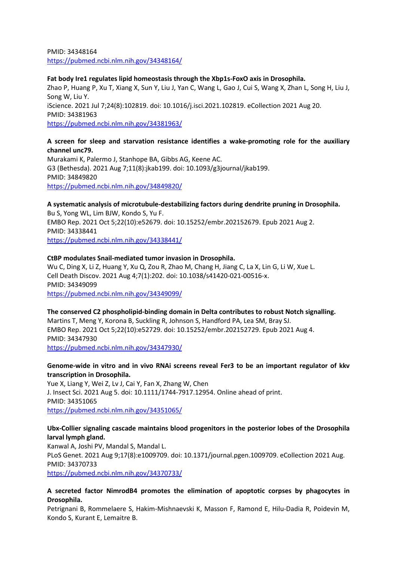PMID: 34348164 <https://pubmed.ncbi.nlm.nih.gov/34348164/>

#### **Fat body Ire1 regulates lipid homeostasis through the Xbp1s-FoxO axis in Drosophila.**

Zhao P, Huang P, Xu T, Xiang X, Sun Y, Liu J, Yan C, Wang L, Gao J, Cui S, Wang X, Zhan L, Song H, Liu J, Song W, Liu Y. iScience. 2021 Jul 7;24(8):102819. doi: 10.1016/j.isci.2021.102819. eCollection 2021 Aug 20. PMID: 34381963 <https://pubmed.ncbi.nlm.nih.gov/34381963/>

## **A screen for sleep and starvation resistance identifies a wake-promoting role for the auxiliary channel unc79.**

Murakami K, Palermo J, Stanhope BA, Gibbs AG, Keene AC. G3 (Bethesda). 2021 Aug 7;11(8):jkab199. doi: 10.1093/g3journal/jkab199. PMID: 34849820 <https://pubmed.ncbi.nlm.nih.gov/34849820/>

## **A systematic analysis of microtubule-destabilizing factors during dendrite pruning in Drosophila.** Bu S, Yong WL, Lim BJW, Kondo S, Yu F. EMBO Rep. 2021 Oct 5;22(10):e52679. doi: 10.15252/embr.202152679. Epub 2021 Aug 2. PMID: 34338441

<https://pubmed.ncbi.nlm.nih.gov/34338441/>

#### **CtBP modulates Snail-mediated tumor invasion in Drosophila.**

Wu C, Ding X, Li Z, Huang Y, Xu Q, Zou R, Zhao M, Chang H, Jiang C, La X, Lin G, Li W, Xue L. Cell Death Discov. 2021 Aug 4;7(1):202. doi: 10.1038/s41420-021-00516-x. PMID: 34349099 <https://pubmed.ncbi.nlm.nih.gov/34349099/>

## **The conserved C2 phospholipid-binding domain in Delta contributes to robust Notch signalling.** Martins T, Meng Y, Korona B, Suckling R, Johnson S, Handford PA, Lea SM, Bray SJ. EMBO Rep. 2021 Oct 5;22(10):e52729. doi: 10.15252/embr.202152729. Epub 2021 Aug 4. PMID: 34347930 <https://pubmed.ncbi.nlm.nih.gov/34347930/>

#### **Genome-wide in vitro and in vivo RNAi screens reveal Fer3 to be an important regulator of kkv transcription in Drosophila.**

Yue X, Liang Y, Wei Z, Lv J, Cai Y, Fan X, Zhang W, Chen J. Insect Sci. 2021 Aug 5. doi: 10.1111/1744-7917.12954. Online ahead of print. PMID: 34351065 <https://pubmed.ncbi.nlm.nih.gov/34351065/>

## **Ubx-Collier signaling cascade maintains blood progenitors in the posterior lobes of the Drosophila larval lymph gland.**

Kanwal A, Joshi PV, Mandal S, Mandal L. PLoS Genet. 2021 Aug 9;17(8):e1009709. doi: 10.1371/journal.pgen.1009709. eCollection 2021 Aug. PMID: 34370733 <https://pubmed.ncbi.nlm.nih.gov/34370733/>

## **A secreted factor NimrodB4 promotes the elimination of apoptotic corpses by phagocytes in Drosophila.**

Petrignani B, Rommelaere S, Hakim-Mishnaevski K, Masson F, Ramond E, Hilu-Dadia R, Poidevin M, Kondo S, Kurant E, Lemaitre B.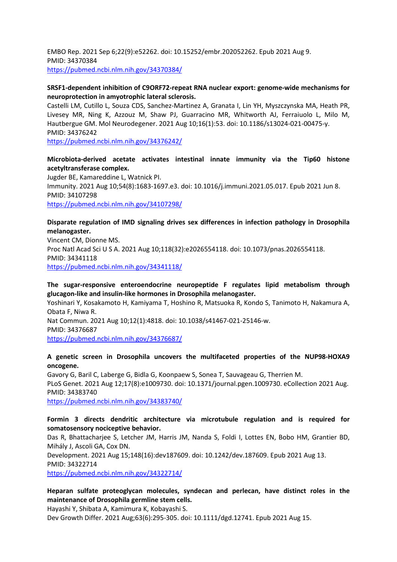EMBO Rep. 2021 Sep 6;22(9):e52262. doi: 10.15252/embr.202052262. Epub 2021 Aug 9. PMID: 34370384 <https://pubmed.ncbi.nlm.nih.gov/34370384/>

#### **SRSF1-dependent inhibition of C9ORF72-repeat RNA nuclear export: genome-wide mechanisms for neuroprotection in amyotrophic lateral sclerosis.**

Castelli LM, Cutillo L, Souza CDS, Sanchez-Martinez A, Granata I, Lin YH, Myszczynska MA, Heath PR, Livesey MR, Ning K, Azzouz M, Shaw PJ, Guarracino MR, Whitworth AJ, Ferraiuolo L, Milo M, Hautbergue GM. Mol Neurodegener. 2021 Aug 10;16(1):53. doi: 10.1186/s13024-021-00475-y. PMID: 34376242

<https://pubmed.ncbi.nlm.nih.gov/34376242/>

## **Microbiota-derived acetate activates intestinal innate immunity via the Tip60 histone acetyltransferase complex.**

Jugder BE, Kamareddine L, Watnick PI. Immunity. 2021 Aug 10;54(8):1683-1697.e3. doi: 10.1016/j.immuni.2021.05.017. Epub 2021 Jun 8. PMID: 34107298 <https://pubmed.ncbi.nlm.nih.gov/34107298/>

## **Disparate regulation of IMD signaling drives sex differences in infection pathology in Drosophila melanogaster.**

Vincent CM, Dionne MS. Proc Natl Acad Sci U S A. 2021 Aug 10;118(32):e2026554118. doi: 10.1073/pnas.2026554118. PMID: 34341118 <https://pubmed.ncbi.nlm.nih.gov/34341118/>

## **The sugar-responsive enteroendocrine neuropeptide F regulates lipid metabolism through glucagon-like and insulin-like hormones in Drosophila melanogaster.**

Yoshinari Y, Kosakamoto H, Kamiyama T, Hoshino R, Matsuoka R, Kondo S, Tanimoto H, Nakamura A, Obata F, Niwa R.

Nat Commun. 2021 Aug 10;12(1):4818. doi: 10.1038/s41467-021-25146-w.

PMID: 34376687

<https://pubmed.ncbi.nlm.nih.gov/34376687/>

## **A genetic screen in Drosophila uncovers the multifaceted properties of the NUP98-HOXA9 oncogene.**

Gavory G, Baril C, Laberge G, Bidla G, Koonpaew S, Sonea T, Sauvageau G, Therrien M. PLoS Genet. 2021 Aug 12;17(8):e1009730. doi: 10.1371/journal.pgen.1009730. eCollection 2021 Aug. PMID: 34383740 <https://pubmed.ncbi.nlm.nih.gov/34383740/>

# **Formin 3 directs dendritic architecture via microtubule regulation and is required for**

**somatosensory nociceptive behavior.**

Das R, Bhattacharjee S, Letcher JM, Harris JM, Nanda S, Foldi I, Lottes EN, Bobo HM, Grantier BD, Mihály J, Ascoli GA, Cox DN.

Development. 2021 Aug 15;148(16):dev187609. doi: 10.1242/dev.187609. Epub 2021 Aug 13. PMID: 34322714

<https://pubmed.ncbi.nlm.nih.gov/34322714/>

## **Heparan sulfate proteoglycan molecules, syndecan and perlecan, have distinct roles in the maintenance of Drosophila germline stem cells.**

Hayashi Y, Shibata A, Kamimura K, Kobayashi S.

Dev Growth Differ. 2021 Aug;63(6):295-305. doi: 10.1111/dgd.12741. Epub 2021 Aug 15.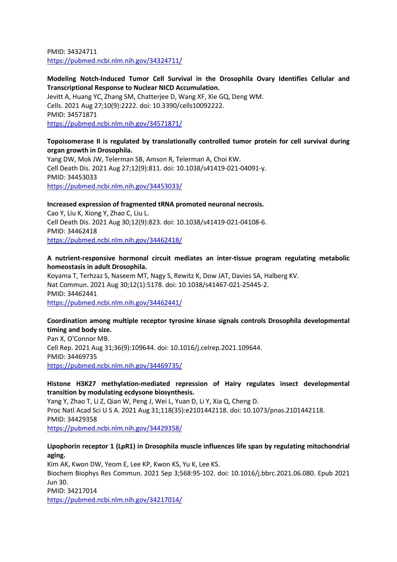PMID: 34324711 <https://pubmed.ncbi.nlm.nih.gov/34324711/>

## **Modeling Notch-Induced Tumor Cell Survival in the Drosophila Ovary Identifies Cellular and Transcriptional Response to Nuclear NICD Accumulation.**

Jevitt A, Huang YC, Zhang SM, Chatterjee D, Wang XF, Xie GQ, Deng WM. Cells. 2021 Aug 27;10(9):2222. doi: 10.3390/cells10092222. PMID: 34571871 <https://pubmed.ncbi.nlm.nih.gov/34571871/>

#### **Topoisomerase II is regulated by translationally controlled tumor protein for cell survival during organ growth in Drosophila.**

Yang DW, Mok JW, Telerman SB, Amson R, Telerman A, Choi KW. Cell Death Dis. 2021 Aug 27;12(9):811. doi: 10.1038/s41419-021-04091-y. PMID: 34453033 <https://pubmed.ncbi.nlm.nih.gov/34453033/>

## **Increased expression of fragmented tRNA promoted neuronal necrosis.**

Cao Y, Liu K, Xiong Y, Zhao C, Liu L. Cell Death Dis. 2021 Aug 30;12(9):823. doi: 10.1038/s41419-021-04108-6. PMID: 34462418 <https://pubmed.ncbi.nlm.nih.gov/34462418/>

#### **A nutrient-responsive hormonal circuit mediates an inter-tissue program regulating metabolic homeostasis in adult Drosophila.**

Koyama T, Terhzaz S, Naseem MT, Nagy S, Rewitz K, Dow JAT, Davies SA, Halberg KV. Nat Commun. 2021 Aug 30;12(1):5178. doi: 10.1038/s41467-021-25445-2. PMID: 34462441 <https://pubmed.ncbi.nlm.nih.gov/34462441/>

## **Coordination among multiple receptor tyrosine kinase signals controls Drosophila developmental timing and body size.**

Pan X, O'Connor MB. Cell Rep. 2021 Aug 31;36(9):109644. doi: 10.1016/j.celrep.2021.109644. PMID: 34469735 <https://pubmed.ncbi.nlm.nih.gov/34469735/>

## **Histone H3K27 methylation-mediated repression of Hairy regulates insect developmental transition by modulating ecdysone biosynthesis.**

Yang Y, Zhao T, Li Z, Qian W, Peng J, Wei L, Yuan D, Li Y, Xia Q, Cheng D. Proc Natl Acad Sci U S A. 2021 Aug 31;118(35):e2101442118. doi: 10.1073/pnas.2101442118. PMID: 34429358 <https://pubmed.ncbi.nlm.nih.gov/34429358/>

#### **Lipophorin receptor 1 (LpR1) in Drosophila muscle influences life span by regulating mitochondrial aging.**

Kim AK, Kwon DW, Yeom E, Lee KP, Kwon KS, Yu K, Lee KS. Biochem Biophys Res Commun. 2021 Sep 3;568:95-102. doi: 10.1016/j.bbrc.2021.06.080. Epub 2021 Jun 30. PMID: 34217014

<https://pubmed.ncbi.nlm.nih.gov/34217014/>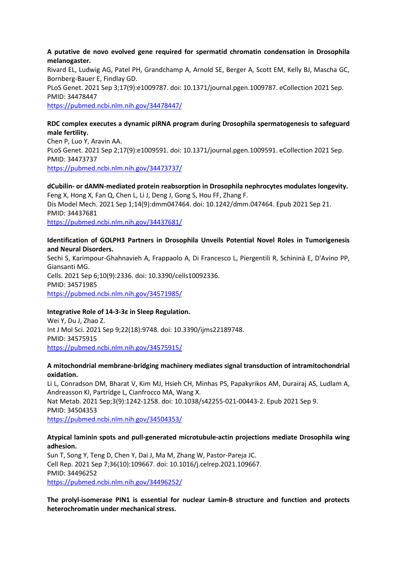#### **A putative de novo evolved gene required for spermatid chromatin condensation in Drosophila melanogaster.**

Rivard EL, Ludwig AG, Patel PH, Grandchamp A, Arnold SE, Berger A, Scott EM, Kelly BJ, Mascha GC, Bornberg-Bauer E, Findlay GD. PLoS Genet. 2021 Sep 3;17(9):e1009787. doi: 10.1371/journal.pgen.1009787. eCollection 2021 Sep. PMID: 34478447 <https://pubmed.ncbi.nlm.nih.gov/34478447/>

## **RDC complex executes a dynamic piRNA program during Drosophila spermatogenesis to safeguard male fertility.**

Chen P, Luo Y, Aravin AA. PLoS Genet. 2021 Sep 2;17(9):e1009591. doi: 10.1371/journal.pgen.1009591. eCollection 2021 Sep. PMID: 34473737 <https://pubmed.ncbi.nlm.nih.gov/34473737/>

#### **dCubilin- or dAMN-mediated protein reabsorption in Drosophila nephrocytes modulates longevity.** Feng X, Hong X, Fan Q, Chen L, Li J, Deng J, Gong S, Hou FF, Zhang F.

Dis Model Mech. 2021 Sep 1;14(9):dmm047464. doi: 10.1242/dmm.047464. Epub 2021 Sep 21. PMID: 34437681 <https://pubmed.ncbi.nlm.nih.gov/34437681/>

## **Identification of GOLPH3 Partners in Drosophila Unveils Potential Novel Roles in Tumorigenesis and Neural Disorders.**

Sechi S, Karimpour-Ghahnavieh A, Frappaolo A, Di Francesco L, Piergentili R, Schininà E, D'Avino PP, Giansanti MG. Cells. 2021 Sep 6;10(9):2336. doi: 10.3390/cells10092336. PMID: 34571985 <https://pubmed.ncbi.nlm.nih.gov/34571985/>

## **Integrative Role of 14-3-3ε in Sleep Regulation.**

Wei Y, Du J, Zhao Z. Int J Mol Sci. 2021 Sep 9;22(18):9748. doi: 10.3390/ijms22189748. PMID: 34575915 <https://pubmed.ncbi.nlm.nih.gov/34575915/>

#### **A mitochondrial membrane-bridging machinery mediates signal transduction of intramitochondrial oxidation.**

Li L, Conradson DM, Bharat V, Kim MJ, Hsieh CH, Minhas PS, Papakyrikos AM, Durairaj AS, Ludlam A, Andreasson KI, Partridge L, Cianfrocco MA, Wang X. Nat Metab. 2021 Sep;3(9):1242-1258. doi: 10.1038/s42255-021-00443-2. Epub 2021 Sep 9. PMID: 34504353 <https://pubmed.ncbi.nlm.nih.gov/34504353/>

#### **Atypical laminin spots and pull-generated microtubule-actin projections mediate Drosophila wing adhesion.**

Sun T, Song Y, Teng D, Chen Y, Dai J, Ma M, Zhang W, Pastor-Pareja JC. Cell Rep. 2021 Sep 7;36(10):109667. doi: 10.1016/j.celrep.2021.109667. PMID: 34496252 <https://pubmed.ncbi.nlm.nih.gov/34496252/>

**The prolyl-isomerase PIN1 is essential for nuclear Lamin-B structure and function and protects heterochromatin under mechanical stress.**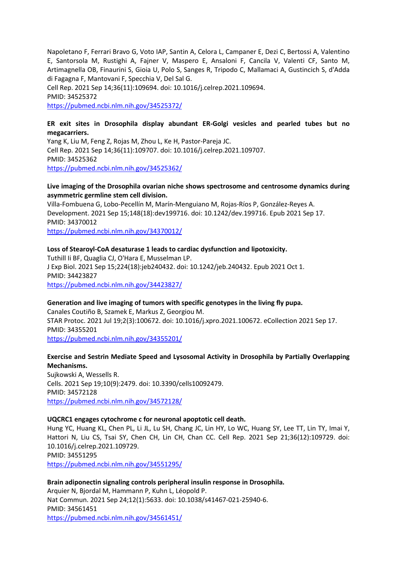Napoletano F, Ferrari Bravo G, Voto IAP, Santin A, Celora L, Campaner E, Dezi C, Bertossi A, Valentino E, Santorsola M, Rustighi A, Fajner V, Maspero E, Ansaloni F, Cancila V, Valenti CF, Santo M, Artimagnella OB, Finaurini S, Gioia U, Polo S, Sanges R, Tripodo C, Mallamaci A, Gustincich S, d'Adda di Fagagna F, Mantovani F, Specchia V, Del Sal G.

Cell Rep. 2021 Sep 14;36(11):109694. doi: 10.1016/j.celrep.2021.109694.

PMID: 34525372

<https://pubmed.ncbi.nlm.nih.gov/34525372/>

## **ER exit sites in Drosophila display abundant ER-Golgi vesicles and pearled tubes but no megacarriers.**

Yang K, Liu M, Feng Z, Rojas M, Zhou L, Ke H, Pastor-Pareja JC. Cell Rep. 2021 Sep 14;36(11):109707. doi: 10.1016/j.celrep.2021.109707. PMID: 34525362 <https://pubmed.ncbi.nlm.nih.gov/34525362/>

#### **Live imaging of the Drosophila ovarian niche shows spectrosome and centrosome dynamics during asymmetric germline stem cell division.**

Villa-Fombuena G, Lobo-Pecellín M, Marín-Menguiano M, Rojas-Ríos P, González-Reyes A. Development. 2021 Sep 15;148(18):dev199716. doi: 10.1242/dev.199716. Epub 2021 Sep 17. PMID: 34370012

<https://pubmed.ncbi.nlm.nih.gov/34370012/>

#### **Loss of Stearoyl-CoA desaturase 1 leads to cardiac dysfunction and lipotoxicity.**

Tuthill Ii BF, Quaglia CJ, O'Hara E, Musselman LP. J Exp Biol. 2021 Sep 15;224(18):jeb240432. doi: 10.1242/jeb.240432. Epub 2021 Oct 1. PMID: 34423827 <https://pubmed.ncbi.nlm.nih.gov/34423827/>

#### **Generation and live imaging of tumors with specific genotypes in the living fly pupa.**

Canales Coutiño B, Szamek E, Markus Z, Georgiou M. STAR Protoc. 2021 Jul 19;2(3):100672. doi: 10.1016/j.xpro.2021.100672. eCollection 2021 Sep 17. PMID: 34355201 <https://pubmed.ncbi.nlm.nih.gov/34355201/>

## **Exercise and Sestrin Mediate Speed and Lysosomal Activity in Drosophila by Partially Overlapping Mechanisms.**

Sujkowski A, Wessells R. Cells. 2021 Sep 19;10(9):2479. doi: 10.3390/cells10092479. PMID: 34572128 <https://pubmed.ncbi.nlm.nih.gov/34572128/>

#### **UQCRC1 engages cytochrome c for neuronal apoptotic cell death.**

Hung YC, Huang KL, Chen PL, Li JL, Lu SH, Chang JC, Lin HY, Lo WC, Huang SY, Lee TT, Lin TY, Imai Y, Hattori N, Liu CS, Tsai SY, Chen CH, Lin CH, Chan CC. Cell Rep. 2021 Sep 21;36(12):109729. doi: 10.1016/j.celrep.2021.109729. PMID: 34551295

<https://pubmed.ncbi.nlm.nih.gov/34551295/>

#### **Brain adiponectin signaling controls peripheral insulin response in Drosophila.** Arquier N, Bjordal M, Hammann P, Kuhn L, Léopold P. Nat Commun. 2021 Sep 24;12(1):5633. doi: 10.1038/s41467-021-25940-6. PMID: 34561451 <https://pubmed.ncbi.nlm.nih.gov/34561451/>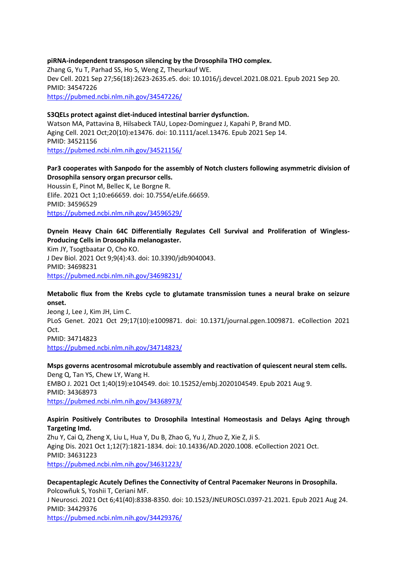## **piRNA-independent transposon silencing by the Drosophila THO complex.** Zhang G, Yu T, Parhad SS, Ho S, Weng Z, Theurkauf WE. Dev Cell. 2021 Sep 27;56(18):2623-2635.e5. doi: 10.1016/j.devcel.2021.08.021. Epub 2021 Sep 20. PMID: 34547226 <https://pubmed.ncbi.nlm.nih.gov/34547226/>

#### **S3QELs protect against diet-induced intestinal barrier dysfunction.**

Watson MA, Pattavina B, Hilsabeck TAU, Lopez-Dominguez J, Kapahi P, Brand MD. Aging Cell. 2021 Oct;20(10):e13476. doi: 10.1111/acel.13476. Epub 2021 Sep 14. PMID: 34521156 <https://pubmed.ncbi.nlm.nih.gov/34521156/>

## **Par3 cooperates with Sanpodo for the assembly of Notch clusters following asymmetric division of Drosophila sensory organ precursor cells.**

Houssin E, Pinot M, Bellec K, Le Borgne R. Elife. 2021 Oct 1;10:e66659. doi: 10.7554/eLife.66659. PMID: 34596529 <https://pubmed.ncbi.nlm.nih.gov/34596529/>

#### **Dynein Heavy Chain 64C Differentially Regulates Cell Survival and Proliferation of Wingless-Producing Cells in Drosophila melanogaster.**

Kim JY, Tsogtbaatar O, Cho KO. J Dev Biol. 2021 Oct 9;9(4):43. doi: 10.3390/jdb9040043. PMID: 34698231 <https://pubmed.ncbi.nlm.nih.gov/34698231/>

#### **Metabolic flux from the Krebs cycle to glutamate transmission tunes a neural brake on seizure onset.**

Jeong J, Lee J, Kim JH, Lim C. PLoS Genet. 2021 Oct 29;17(10):e1009871. doi: 10.1371/journal.pgen.1009871. eCollection 2021 Oct. PMID: 34714823 <https://pubmed.ncbi.nlm.nih.gov/34714823/>

**Msps governs acentrosomal microtubule assembly and reactivation of quiescent neural stem cells.** Deng Q, Tan YS, Chew LY, Wang H. EMBO J. 2021 Oct 1;40(19):e104549. doi: 10.15252/embj.2020104549. Epub 2021 Aug 9. PMID: 34368973 <https://pubmed.ncbi.nlm.nih.gov/34368973/>

#### **Aspirin Positively Contributes to Drosophila Intestinal Homeostasis and Delays Aging through Targeting Imd.**

Zhu Y, Cai Q, Zheng X, Liu L, Hua Y, Du B, Zhao G, Yu J, Zhuo Z, Xie Z, Ji S. Aging Dis. 2021 Oct 1;12(7):1821-1834. doi: 10.14336/AD.2020.1008. eCollection 2021 Oct. PMID: 34631223 <https://pubmed.ncbi.nlm.nih.gov/34631223/>

**Decapentaplegic Acutely Defines the Connectivity of Central Pacemaker Neurons in Drosophila.** Polcowñuk S, Yoshii T, Ceriani MF. J Neurosci. 2021 Oct 6;41(40):8338-8350. doi: 10.1523/JNEUROSCI.0397-21.2021. Epub 2021 Aug 24. PMID: 34429376 <https://pubmed.ncbi.nlm.nih.gov/34429376/>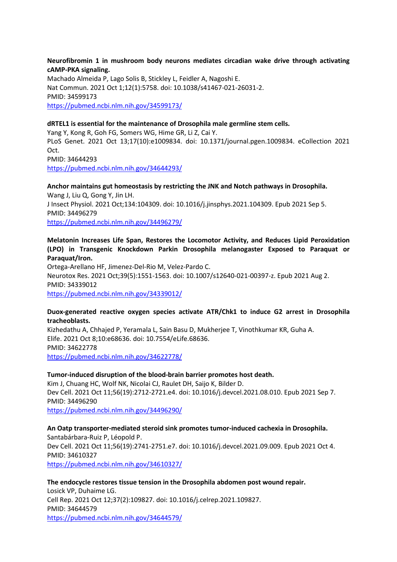**Neurofibromin 1 in mushroom body neurons mediates circadian wake drive through activating cAMP-PKA signaling.**

Machado Almeida P, Lago Solis B, Stickley L, Feidler A, Nagoshi E. Nat Commun. 2021 Oct 1;12(1):5758. doi: 10.1038/s41467-021-26031-2. PMID: 34599173 <https://pubmed.ncbi.nlm.nih.gov/34599173/>

#### **dRTEL1 is essential for the maintenance of Drosophila male germline stem cells.**

Yang Y, Kong R, Goh FG, Somers WG, Hime GR, Li Z, Cai Y. PLoS Genet. 2021 Oct 13;17(10):e1009834. doi: 10.1371/journal.pgen.1009834. eCollection 2021 Oct. PMID: 34644293 <https://pubmed.ncbi.nlm.nih.gov/34644293/>

## **Anchor maintains gut homeostasis by restricting the JNK and Notch pathways in Drosophila.** Wang J, Liu Q, Gong Y, Jin LH.

J Insect Physiol. 2021 Oct;134:104309. doi: 10.1016/j.jinsphys.2021.104309. Epub 2021 Sep 5. PMID: 34496279 <https://pubmed.ncbi.nlm.nih.gov/34496279/>

#### **Melatonin Increases Life Span, Restores the Locomotor Activity, and Reduces Lipid Peroxidation (LPO) in Transgenic Knockdown Parkin Drosophila melanogaster Exposed to Paraquat or Paraquat/Iron.**

Ortega-Arellano HF, Jimenez-Del-Rio M, Velez-Pardo C. Neurotox Res. 2021 Oct;39(5):1551-1563. doi: 10.1007/s12640-021-00397-z. Epub 2021 Aug 2. PMID: 34339012 <https://pubmed.ncbi.nlm.nih.gov/34339012/>

#### **Duox-generated reactive oxygen species activate ATR/Chk1 to induce G2 arrest in Drosophila tracheoblasts.**

Kizhedathu A, Chhajed P, Yeramala L, Sain Basu D, Mukherjee T, Vinothkumar KR, Guha A. Elife. 2021 Oct 8;10:e68636. doi: 10.7554/eLife.68636. PMID: 34622778 <https://pubmed.ncbi.nlm.nih.gov/34622778/>

#### **Tumor-induced disruption of the blood-brain barrier promotes host death.**

Kim J, Chuang HC, Wolf NK, Nicolai CJ, Raulet DH, Saijo K, Bilder D. Dev Cell. 2021 Oct 11;56(19):2712-2721.e4. doi: 10.1016/j.devcel.2021.08.010. Epub 2021 Sep 7. PMID: 34496290 <https://pubmed.ncbi.nlm.nih.gov/34496290/>

**An Oatp transporter-mediated steroid sink promotes tumor-induced cachexia in Drosophila.** Santabárbara-Ruiz P, Léopold P. Dev Cell. 2021 Oct 11;56(19):2741-2751.e7. doi: 10.1016/j.devcel.2021.09.009. Epub 2021 Oct 4. PMID: 34610327 <https://pubmed.ncbi.nlm.nih.gov/34610327/>

## **The endocycle restores tissue tension in the Drosophila abdomen post wound repair.** Losick VP, Duhaime LG. Cell Rep. 2021 Oct 12;37(2):109827. doi: 10.1016/j.celrep.2021.109827. PMID: 34644579 <https://pubmed.ncbi.nlm.nih.gov/34644579/>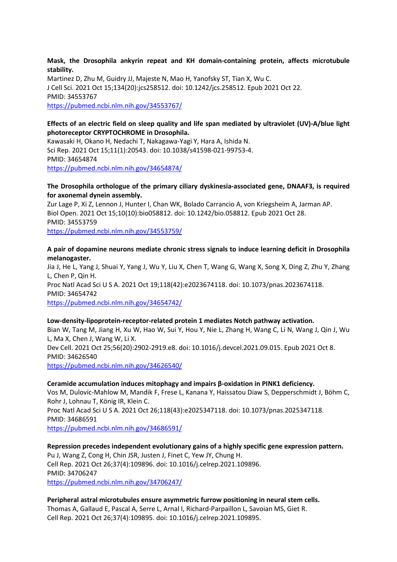**Mask, the Drosophila ankyrin repeat and KH domain-containing protein, affects microtubule stability.**

Martinez D, Zhu M, Guidry JJ, Majeste N, Mao H, Yanofsky ST, Tian X, Wu C. J Cell Sci. 2021 Oct 15;134(20):jcs258512. doi: 10.1242/jcs.258512. Epub 2021 Oct 22. PMID: 34553767 <https://pubmed.ncbi.nlm.nih.gov/34553767/>

## **Effects of an electric field on sleep quality and life span mediated by ultraviolet (UV)-A/blue light photoreceptor CRYPTOCHROME in Drosophila.**

Kawasaki H, Okano H, Nedachi T, Nakagawa-Yagi Y, Hara A, Ishida N. Sci Rep. 2021 Oct 15;11(1):20543. doi: 10.1038/s41598-021-99753-4. PMID: 34654874 <https://pubmed.ncbi.nlm.nih.gov/34654874/>

#### **The Drosophila orthologue of the primary ciliary dyskinesia-associated gene, DNAAF3, is required for axonemal dynein assembly.**

Zur Lage P, Xi Z, Lennon J, Hunter I, Chan WK, Bolado Carrancio A, von Kriegsheim A, Jarman AP. Biol Open. 2021 Oct 15;10(10):bio058812. doi: 10.1242/bio.058812. Epub 2021 Oct 28. PMID: 34553759

<https://pubmed.ncbi.nlm.nih.gov/34553759/>

#### **A pair of dopamine neurons mediate chronic stress signals to induce learning deficit in Drosophila melanogaster.**

Jia J, He L, Yang J, Shuai Y, Yang J, Wu Y, Liu X, Chen T, Wang G, Wang X, Song X, Ding Z, Zhu Y, Zhang L, Chen P, Qin H. Proc Natl Acad Sci U S A. 2021 Oct 19;118(42):e2023674118. doi: 10.1073/pnas.2023674118. PMID: 34654742 <https://pubmed.ncbi.nlm.nih.gov/34654742/>

# **Low-density-lipoprotein-receptor-related protein 1 mediates Notch pathway activation.**

Bian W, Tang M, Jiang H, Xu W, Hao W, Sui Y, Hou Y, Nie L, Zhang H, Wang C, Li N, Wang J, Qin J, Wu L, Ma X, Chen J, Wang W, Li X. Dev Cell. 2021 Oct 25;56(20):2902-2919.e8. doi: 10.1016/j.devcel.2021.09.015. Epub 2021 Oct 8. PMID: 34626540 <https://pubmed.ncbi.nlm.nih.gov/34626540/>

#### **Ceramide accumulation induces mitophagy and impairs β-oxidation in PINK1 deficiency.**

Vos M, Dulovic-Mahlow M, Mandik F, Frese L, Kanana Y, Haissatou Diaw S, Depperschmidt J, Böhm C, Rohr J, Lohnau T, König IR, Klein C. Proc Natl Acad Sci U S A. 2021 Oct 26;118(43):e2025347118. doi: 10.1073/pnas.2025347118.

PMID: 34686591

<https://pubmed.ncbi.nlm.nih.gov/34686591/>

**Repression precedes independent evolutionary gains of a highly specific gene expression pattern.** Pu J, Wang Z, Cong H, Chin JSR, Justen J, Finet C, Yew JY, Chung H. Cell Rep. 2021 Oct 26;37(4):109896. doi: 10.1016/j.celrep.2021.109896. PMID: 34706247 <https://pubmed.ncbi.nlm.nih.gov/34706247/>

**Peripheral astral microtubules ensure asymmetric furrow positioning in neural stem cells.** Thomas A, Gallaud E, Pascal A, Serre L, Arnal I, Richard-Parpaillon L, Savoian MS, Giet R. Cell Rep. 2021 Oct 26;37(4):109895. doi: 10.1016/j.celrep.2021.109895.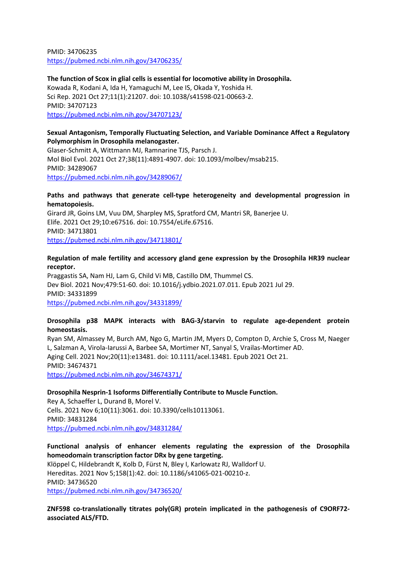PMID: 34706235 <https://pubmed.ncbi.nlm.nih.gov/34706235/>

**The function of Scox in glial cells is essential for locomotive ability in Drosophila.** Kowada R, Kodani A, Ida H, Yamaguchi M, Lee IS, Okada Y, Yoshida H. Sci Rep. 2021 Oct 27;11(1):21207. doi: 10.1038/s41598-021-00663-2. PMID: 34707123 <https://pubmed.ncbi.nlm.nih.gov/34707123/>

#### **Sexual Antagonism, Temporally Fluctuating Selection, and Variable Dominance Affect a Regulatory Polymorphism in Drosophila melanogaster.**

Glaser-Schmitt A, Wittmann MJ, Ramnarine TJS, Parsch J. Mol Biol Evol. 2021 Oct 27;38(11):4891-4907. doi: 10.1093/molbev/msab215. PMID: 34289067 <https://pubmed.ncbi.nlm.nih.gov/34289067/>

#### **Paths and pathways that generate cell-type heterogeneity and developmental progression in hematopoiesis.**

Girard JR, Goins LM, Vuu DM, Sharpley MS, Spratford CM, Mantri SR, Banerjee U. Elife. 2021 Oct 29;10:e67516. doi: 10.7554/eLife.67516. PMID: 34713801 <https://pubmed.ncbi.nlm.nih.gov/34713801/>

#### **Regulation of male fertility and accessory gland gene expression by the Drosophila HR39 nuclear receptor.**

Praggastis SA, Nam HJ, Lam G, Child Vi MB, Castillo DM, Thummel CS. Dev Biol. 2021 Nov;479:51-60. doi: 10.1016/j.ydbio.2021.07.011. Epub 2021 Jul 29. PMID: 34331899 <https://pubmed.ncbi.nlm.nih.gov/34331899/>

#### **Drosophila p38 MAPK interacts with BAG-3/starvin to regulate age-dependent protein homeostasis.**

Ryan SM, Almassey M, Burch AM, Ngo G, Martin JM, Myers D, Compton D, Archie S, Cross M, Naeger L, Salzman A, Virola-Iarussi A, Barbee SA, Mortimer NT, Sanyal S, Vrailas-Mortimer AD. Aging Cell. 2021 Nov;20(11):e13481. doi: 10.1111/acel.13481. Epub 2021 Oct 21. PMID: 34674371 <https://pubmed.ncbi.nlm.nih.gov/34674371/>

#### **Drosophila Nesprin-1 Isoforms Differentially Contribute to Muscle Function.**

Rey A, Schaeffer L, Durand B, Morel V. Cells. 2021 Nov 6;10(11):3061. doi: 10.3390/cells10113061. PMID: 34831284 <https://pubmed.ncbi.nlm.nih.gov/34831284/>

## **Functional analysis of enhancer elements regulating the expression of the Drosophila homeodomain transcription factor DRx by gene targeting.**

Klöppel C, Hildebrandt K, Kolb D, Fürst N, Bley I, Karlowatz RJ, Walldorf U. Hereditas. 2021 Nov 5;158(1):42. doi: 10.1186/s41065-021-00210-z. PMID: 34736520 <https://pubmed.ncbi.nlm.nih.gov/34736520/>

**ZNF598 co-translationally titrates poly(GR) protein implicated in the pathogenesis of C9ORF72 associated ALS/FTD.**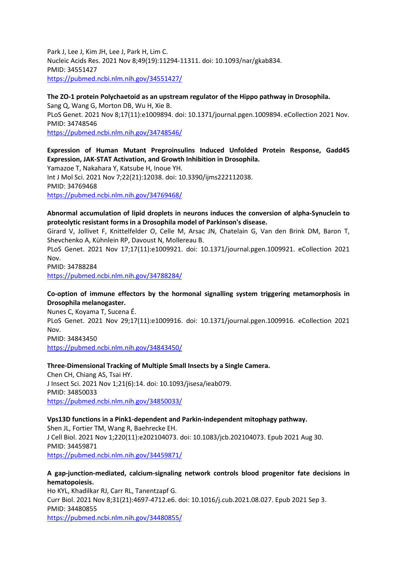Park J, Lee J, Kim JH, Lee J, Park H, Lim C. Nucleic Acids Res. 2021 Nov 8;49(19):11294-11311. doi: 10.1093/nar/gkab834. PMID: 34551427 <https://pubmed.ncbi.nlm.nih.gov/34551427/>

## **The ZO-1 protein Polychaetoid as an upstream regulator of the Hippo pathway in Drosophila.** Sang Q, Wang G, Morton DB, Wu H, Xie B. PLoS Genet. 2021 Nov 8;17(11):e1009894. doi: 10.1371/journal.pgen.1009894. eCollection 2021 Nov. PMID: 34748546 <https://pubmed.ncbi.nlm.nih.gov/34748546/>

## **Expression of Human Mutant Preproinsulins Induced Unfolded Protein Response, Gadd45 Expression, JAK-STAT Activation, and Growth Inhibition in Drosophila.**

Yamazoe T, Nakahara Y, Katsube H, Inoue YH. Int J Mol Sci. 2021 Nov 7;22(21):12038. doi: 10.3390/ijms222112038. PMID: 34769468 <https://pubmed.ncbi.nlm.nih.gov/34769468/>

## **Abnormal accumulation of lipid droplets in neurons induces the conversion of alpha-Synuclein to proteolytic resistant forms in a Drosophila model of Parkinson's disease.**

Girard V, Jollivet F, Knittelfelder O, Celle M, Arsac JN, Chatelain G, Van den Brink DM, Baron T, Shevchenko A, Kühnlein RP, Davoust N, Mollereau B.

PLoS Genet. 2021 Nov 17;17(11):e1009921. doi: 10.1371/journal.pgen.1009921. eCollection 2021 Nov.

PMID: 34788284

<https://pubmed.ncbi.nlm.nih.gov/34788284/>

## **Co-option of immune effectors by the hormonal signalling system triggering metamorphosis in Drosophila melanogaster.**

Nunes C, Koyama T, Sucena É. PLoS Genet. 2021 Nov 29;17(11):e1009916. doi: 10.1371/journal.pgen.1009916. eCollection 2021 Nov. PMID: 34843450

<https://pubmed.ncbi.nlm.nih.gov/34843450/>

## **Three-Dimensional Tracking of Multiple Small Insects by a Single Camera.**

Chen CH, Chiang AS, Tsai HY. J Insect Sci. 2021 Nov 1;21(6):14. doi: 10.1093/jisesa/ieab079. PMID: 34850033 <https://pubmed.ncbi.nlm.nih.gov/34850033/>

#### **Vps13D functions in a Pink1-dependent and Parkin-independent mitophagy pathway.**

Shen JL, Fortier TM, Wang R, Baehrecke EH. J Cell Biol. 2021 Nov 1;220(11):e202104073. doi: 10.1083/jcb.202104073. Epub 2021 Aug 30. PMID: 34459871 <https://pubmed.ncbi.nlm.nih.gov/34459871/>

## **A gap-junction-mediated, calcium-signaling network controls blood progenitor fate decisions in hematopoiesis.**

Ho KYL, Khadilkar RJ, Carr RL, Tanentzapf G. Curr Biol. 2021 Nov 8;31(21):4697-4712.e6. doi: 10.1016/j.cub.2021.08.027. Epub 2021 Sep 3. PMID: 34480855 <https://pubmed.ncbi.nlm.nih.gov/34480855/>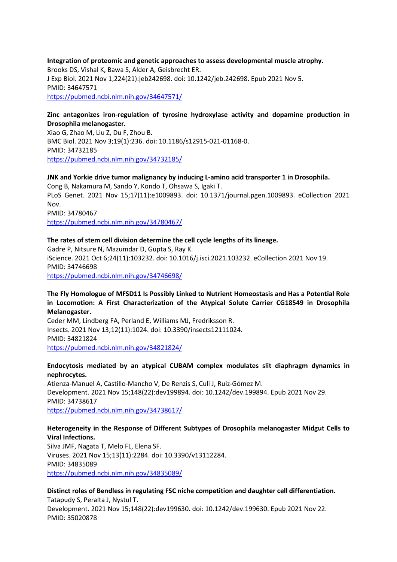**Integration of proteomic and genetic approaches to assess developmental muscle atrophy.** Brooks DS, Vishal K, Bawa S, Alder A, Geisbrecht ER. J Exp Biol. 2021 Nov 1;224(21):jeb242698. doi: 10.1242/jeb.242698. Epub 2021 Nov 5. PMID: 34647571 <https://pubmed.ncbi.nlm.nih.gov/34647571/>

#### **Zinc antagonizes iron-regulation of tyrosine hydroxylase activity and dopamine production in Drosophila melanogaster.**

Xiao G, Zhao M, Liu Z, Du F, Zhou B. BMC Biol. 2021 Nov 3;19(1):236. doi: 10.1186/s12915-021-01168-0. PMID: 34732185 <https://pubmed.ncbi.nlm.nih.gov/34732185/>

#### **JNK and Yorkie drive tumor malignancy by inducing L-amino acid transporter 1 in Drosophila.**

Cong B, Nakamura M, Sando Y, Kondo T, Ohsawa S, Igaki T. PLoS Genet. 2021 Nov 15;17(11):e1009893. doi: 10.1371/journal.pgen.1009893. eCollection 2021 Nov. PMID: 34780467 <https://pubmed.ncbi.nlm.nih.gov/34780467/>

#### **The rates of stem cell division determine the cell cycle lengths of its lineage.**

Gadre P, Nitsure N, Mazumdar D, Gupta S, Ray K. iScience. 2021 Oct 6;24(11):103232. doi: 10.1016/j.isci.2021.103232. eCollection 2021 Nov 19. PMID: 34746698 <https://pubmed.ncbi.nlm.nih.gov/34746698/>

## **The Fly Homologue of MFSD11 Is Possibly Linked to Nutrient Homeostasis and Has a Potential Role in Locomotion: A First Characterization of the Atypical Solute Carrier CG18549 in Drosophila Melanogaster.**

Ceder MM, Lindberg FA, Perland E, Williams MJ, Fredriksson R. Insects. 2021 Nov 13;12(11):1024. doi: 10.3390/insects12111024. PMID: 34821824 <https://pubmed.ncbi.nlm.nih.gov/34821824/>

#### **Endocytosis mediated by an atypical CUBAM complex modulates slit diaphragm dynamics in nephrocytes.**

Atienza-Manuel A, Castillo-Mancho V, De Renzis S, Culi J, Ruiz-Gómez M. Development. 2021 Nov 15;148(22):dev199894. doi: 10.1242/dev.199894. Epub 2021 Nov 29. PMID: 34738617 <https://pubmed.ncbi.nlm.nih.gov/34738617/>

## **Heterogeneity in the Response of Different Subtypes of Drosophila melanogaster Midgut Cells to Viral Infections.**

Silva JMF, Nagata T, Melo FL, Elena SF. Viruses. 2021 Nov 15;13(11):2284. doi: 10.3390/v13112284. PMID: 34835089 <https://pubmed.ncbi.nlm.nih.gov/34835089/>

## **Distinct roles of Bendless in regulating FSC niche competition and daughter cell differentiation.** Tatapudy S, Peralta J, Nystul T.

Development. 2021 Nov 15;148(22):dev199630. doi: 10.1242/dev.199630. Epub 2021 Nov 22. PMID: 35020878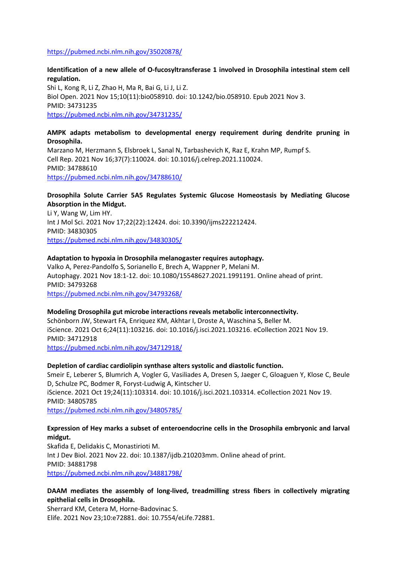#### <https://pubmed.ncbi.nlm.nih.gov/35020878/>

## **Identification of a new allele of O-fucosyltransferase 1 involved in Drosophila intestinal stem cell regulation.**

Shi L, Kong R, Li Z, Zhao H, Ma R, Bai G, Li J, Li Z. Biol Open. 2021 Nov 15;10(11):bio058910. doi: 10.1242/bio.058910. Epub 2021 Nov 3. PMID: 34731235 <https://pubmed.ncbi.nlm.nih.gov/34731235/>

#### **AMPK adapts metabolism to developmental energy requirement during dendrite pruning in Drosophila.**

Marzano M, Herzmann S, Elsbroek L, Sanal N, Tarbashevich K, Raz E, Krahn MP, Rumpf S. Cell Rep. 2021 Nov 16;37(7):110024. doi: 10.1016/j.celrep.2021.110024. PMID: 34788610 <https://pubmed.ncbi.nlm.nih.gov/34788610/>

#### **Drosophila Solute Carrier 5A5 Regulates Systemic Glucose Homeostasis by Mediating Glucose Absorption in the Midgut.**

Li Y, Wang W, Lim HY. Int J Mol Sci. 2021 Nov 17;22(22):12424. doi: 10.3390/ijms222212424. PMID: 34830305 <https://pubmed.ncbi.nlm.nih.gov/34830305/>

#### **Adaptation to hypoxia in Drosophila melanogaster requires autophagy.**

Valko A, Perez-Pandolfo S, Sorianello E, Brech A, Wappner P, Melani M. Autophagy. 2021 Nov 18:1-12. doi: 10.1080/15548627.2021.1991191. Online ahead of print. PMID: 34793268 <https://pubmed.ncbi.nlm.nih.gov/34793268/>

#### **Modeling Drosophila gut microbe interactions reveals metabolic interconnectivity.**

Schönborn JW, Stewart FA, Enriquez KM, Akhtar I, Droste A, Waschina S, Beller M. iScience. 2021 Oct 6;24(11):103216. doi: 10.1016/j.isci.2021.103216. eCollection 2021 Nov 19. PMID: 34712918

<https://pubmed.ncbi.nlm.nih.gov/34712918/>

#### **Depletion of cardiac cardiolipin synthase alters systolic and diastolic function.**

Smeir E, Leberer S, Blumrich A, Vogler G, Vasiliades A, Dresen S, Jaeger C, Gloaguen Y, Klose C, Beule D, Schulze PC, Bodmer R, Foryst-Ludwig A, Kintscher U. iScience. 2021 Oct 19;24(11):103314. doi: 10.1016/j.isci.2021.103314. eCollection 2021 Nov 19. PMID: 34805785 <https://pubmed.ncbi.nlm.nih.gov/34805785/>

#### **Expression of Hey marks a subset of enteroendocrine cells in the Drosophila embryonic and larval midgut.**

Skafida E, Delidakis C, Monastirioti M. Int J Dev Biol. 2021 Nov 22. doi: 10.1387/ijdb.210203mm. Online ahead of print. PMID: 34881798 <https://pubmed.ncbi.nlm.nih.gov/34881798/>

#### **DAAM mediates the assembly of long-lived, treadmilling stress fibers in collectively migrating epithelial cells in Drosophila.**

Sherrard KM, Cetera M, Horne-Badovinac S. Elife. 2021 Nov 23;10:e72881. doi: 10.7554/eLife.72881.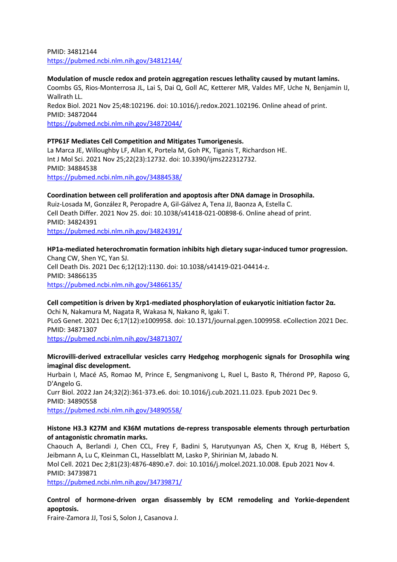PMID: 34812144 <https://pubmed.ncbi.nlm.nih.gov/34812144/>

**Modulation of muscle redox and protein aggregation rescues lethality caused by mutant lamins.** Coombs GS, Rios-Monterrosa JL, Lai S, Dai Q, Goll AC, Ketterer MR, Valdes MF, Uche N, Benjamin IJ, Wallrath LL.

Redox Biol. 2021 Nov 25;48:102196. doi: 10.1016/j.redox.2021.102196. Online ahead of print. PMID: 34872044

<https://pubmed.ncbi.nlm.nih.gov/34872044/>

## **PTP61F Mediates Cell Competition and Mitigates Tumorigenesis.**

La Marca JE, Willoughby LF, Allan K, Portela M, Goh PK, Tiganis T, Richardson HE. Int J Mol Sci. 2021 Nov 25;22(23):12732. doi: 10.3390/ijms222312732. PMID: 34884538 <https://pubmed.ncbi.nlm.nih.gov/34884538/>

#### **Coordination between cell proliferation and apoptosis after DNA damage in Drosophila.**

Ruiz-Losada M, González R, Peropadre A, Gil-Gálvez A, Tena JJ, Baonza A, Estella C. Cell Death Differ. 2021 Nov 25. doi: 10.1038/s41418-021-00898-6. Online ahead of print. PMID: 34824391

<https://pubmed.ncbi.nlm.nih.gov/34824391/>

**HP1a-mediated heterochromatin formation inhibits high dietary sugar-induced tumor progression.** Chang CW, Shen YC, Yan SJ. Cell Death Dis. 2021 Dec 6;12(12):1130. doi: 10.1038/s41419-021-04414-z. PMID: 34866135 <https://pubmed.ncbi.nlm.nih.gov/34866135/>

## **Cell competition is driven by Xrp1-mediated phosphorylation of eukaryotic initiation factor 2α.**

Ochi N, Nakamura M, Nagata R, Wakasa N, Nakano R, Igaki T. PLoS Genet. 2021 Dec 6;17(12):e1009958. doi: 10.1371/journal.pgen.1009958. eCollection 2021 Dec. PMID: 34871307 <https://pubmed.ncbi.nlm.nih.gov/34871307/>

## **Microvilli-derived extracellular vesicles carry Hedgehog morphogenic signals for Drosophila wing imaginal disc development.**

Hurbain I, Macé AS, Romao M, Prince E, Sengmanivong L, Ruel L, Basto R, Thérond PP, Raposo G, D'Angelo G. Curr Biol. 2022 Jan 24;32(2):361-373.e6. doi: 10.1016/j.cub.2021.11.023. Epub 2021 Dec 9. PMID: 34890558 <https://pubmed.ncbi.nlm.nih.gov/34890558/>

## **Histone H3.3 K27M and K36M mutations de-repress transposable elements through perturbation of antagonistic chromatin marks.**

Chaouch A, Berlandi J, Chen CCL, Frey F, Badini S, Harutyunyan AS, Chen X, Krug B, Hébert S, Jeibmann A, Lu C, Kleinman CL, Hasselblatt M, Lasko P, Shirinian M, Jabado N. Mol Cell. 2021 Dec 2;81(23):4876-4890.e7. doi: 10.1016/j.molcel.2021.10.008. Epub 2021 Nov 4. PMID: 34739871

<https://pubmed.ncbi.nlm.nih.gov/34739871/>

**Control of hormone-driven organ disassembly by ECM remodeling and Yorkie-dependent apoptosis.**

Fraire-Zamora JJ, Tosi S, Solon J, Casanova J.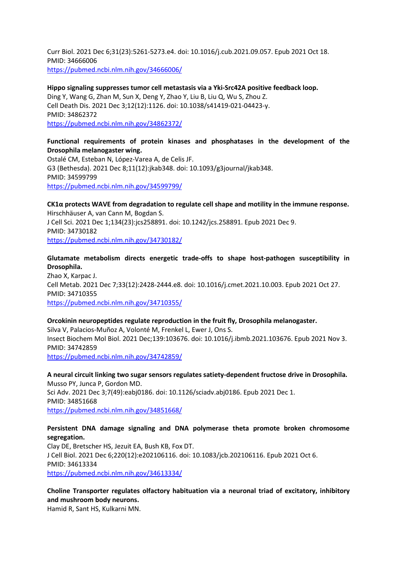Curr Biol. 2021 Dec 6;31(23):5261-5273.e4. doi: 10.1016/j.cub.2021.09.057. Epub 2021 Oct 18. PMID: 34666006 <https://pubmed.ncbi.nlm.nih.gov/34666006/>

#### **Hippo signaling suppresses tumor cell metastasis via a Yki-Src42A positive feedback loop.**

Ding Y, Wang G, Zhan M, Sun X, Deng Y, Zhao Y, Liu B, Liu Q, Wu S, Zhou Z. Cell Death Dis. 2021 Dec 3;12(12):1126. doi: 10.1038/s41419-021-04423-y. PMID: 34862372 <https://pubmed.ncbi.nlm.nih.gov/34862372/>

## **Functional requirements of protein kinases and phosphatases in the development of the Drosophila melanogaster wing.**

Ostalé CM, Esteban N, López-Varea A, de Celis JF. G3 (Bethesda). 2021 Dec 8;11(12):jkab348. doi: 10.1093/g3journal/jkab348. PMID: 34599799 <https://pubmed.ncbi.nlm.nih.gov/34599799/>

**CK1α protects WAVE from degradation to regulate cell shape and motility in the immune response.** Hirschhäuser A, van Cann M, Bogdan S. J Cell Sci. 2021 Dec 1;134(23):jcs258891. doi: 10.1242/jcs.258891. Epub 2021 Dec 9. PMID: 34730182 <https://pubmed.ncbi.nlm.nih.gov/34730182/>

**Glutamate metabolism directs energetic trade-offs to shape host-pathogen susceptibility in Drosophila.** Zhao X, Karpac J. Cell Metab. 2021 Dec 7;33(12):2428-2444.e8. doi: 10.1016/j.cmet.2021.10.003. Epub 2021 Oct 27.

PMID: 34710355 <https://pubmed.ncbi.nlm.nih.gov/34710355/>

#### **Orcokinin neuropeptides regulate reproduction in the fruit fly, Drosophila melanogaster.** Silva V, Palacios-Muñoz A, Volonté M, Frenkel L, Ewer J, Ons S. Insect Biochem Mol Biol. 2021 Dec;139:103676. doi: 10.1016/j.ibmb.2021.103676. Epub 2021 Nov 3. PMID: 34742859 <https://pubmed.ncbi.nlm.nih.gov/34742859/>

**A neural circuit linking two sugar sensors regulates satiety-dependent fructose drive in Drosophila.** Musso PY, Junca P, Gordon MD. Sci Adv. 2021 Dec 3;7(49):eabj0186. doi: 10.1126/sciadv.abj0186. Epub 2021 Dec 1. PMID: 34851668 <https://pubmed.ncbi.nlm.nih.gov/34851668/>

## **Persistent DNA damage signaling and DNA polymerase theta promote broken chromosome segregation.**

Clay DE, Bretscher HS, Jezuit EA, Bush KB, Fox DT. J Cell Biol. 2021 Dec 6;220(12):e202106116. doi: 10.1083/jcb.202106116. Epub 2021 Oct 6. PMID: 34613334 <https://pubmed.ncbi.nlm.nih.gov/34613334/>

**Choline Transporter regulates olfactory habituation via a neuronal triad of excitatory, inhibitory and mushroom body neurons.**

Hamid R, Sant HS, Kulkarni MN.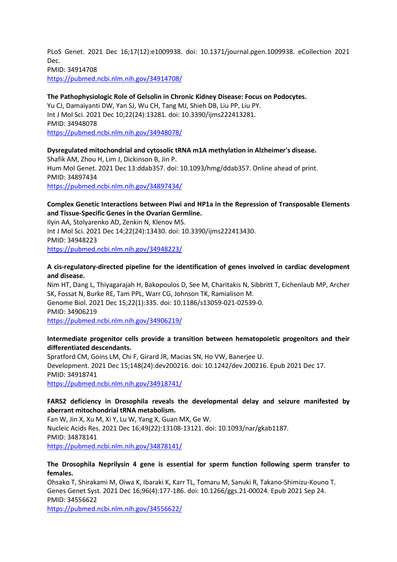PLoS Genet. 2021 Dec 16;17(12):e1009938. doi: 10.1371/journal.pgen.1009938. eCollection 2021 Dec. PMID: 34914708 <https://pubmed.ncbi.nlm.nih.gov/34914708/>

#### **The Pathophysiologic Role of Gelsolin in Chronic Kidney Disease: Focus on Podocytes.**

Yu CJ, Damaiyanti DW, Yan SJ, Wu CH, Tang MJ, Shieh DB, Liu PP, Liu PY. Int J Mol Sci. 2021 Dec 10;22(24):13281. doi: 10.3390/ijms222413281. PMID: 34948078 <https://pubmed.ncbi.nlm.nih.gov/34948078/>

#### **Dysregulated mitochondrial and cytosolic tRNA m1A methylation in Alzheimer's disease.**

Shafik AM, Zhou H, Lim J, Dickinson B, Jin P. Hum Mol Genet. 2021 Dec 13:ddab357. doi: 10.1093/hmg/ddab357. Online ahead of print. PMID: 34897434 <https://pubmed.ncbi.nlm.nih.gov/34897434/>

## **Complex Genetic Interactions between Piwi and HP1a in the Repression of Transposable Elements and Tissue-Specific Genes in the Ovarian Germline.**

Ilyin AA, Stolyarenko AD, Zenkin N, Klenov MS. Int J Mol Sci. 2021 Dec 14;22(24):13430. doi: 10.3390/ijms222413430. PMID: 34948223 <https://pubmed.ncbi.nlm.nih.gov/34948223/>

## **A cis-regulatory-directed pipeline for the identification of genes involved in cardiac development and disease.**

Nim HT, Dang L, Thiyagarajah H, Bakopoulos D, See M, Charitakis N, Sibbritt T, Eichenlaub MP, Archer SK, Fossat N, Burke RE, Tam PPL, Warr CG, Johnson TK, Ramialison M. Genome Biol. 2021 Dec 15;22(1):335. doi: 10.1186/s13059-021-02539-0. PMID: 34906219 <https://pubmed.ncbi.nlm.nih.gov/34906219/>

#### **Intermediate progenitor cells provide a transition between hematopoietic progenitors and their differentiated descendants.**

Spratford CM, Goins LM, Chi F, Girard JR, Macias SN, Ho VW, Banerjee U. Development. 2021 Dec 15;148(24):dev200216. doi: 10.1242/dev.200216. Epub 2021 Dec 17. PMID: 34918741 <https://pubmed.ncbi.nlm.nih.gov/34918741/>

#### **FARS2 deficiency in Drosophila reveals the developmental delay and seizure manifested by aberrant mitochondrial tRNA metabolism.**

Fan W, Jin X, Xu M, Xi Y, Lu W, Yang X, Guan MX, Ge W. Nucleic Acids Res. 2021 Dec 16;49(22):13108-13121. doi: 10.1093/nar/gkab1187. PMID: 34878141 <https://pubmed.ncbi.nlm.nih.gov/34878141/>

#### **The Drosophila Neprilysin 4 gene is essential for sperm function following sperm transfer to females.**

Ohsako T, Shirakami M, Oiwa K, Ibaraki K, Karr TL, Tomaru M, Sanuki R, Takano-Shimizu-Kouno T. Genes Genet Syst. 2021 Dec 16;96(4):177-186. doi: 10.1266/ggs.21-00024. Epub 2021 Sep 24. PMID: 34556622

<https://pubmed.ncbi.nlm.nih.gov/34556622/>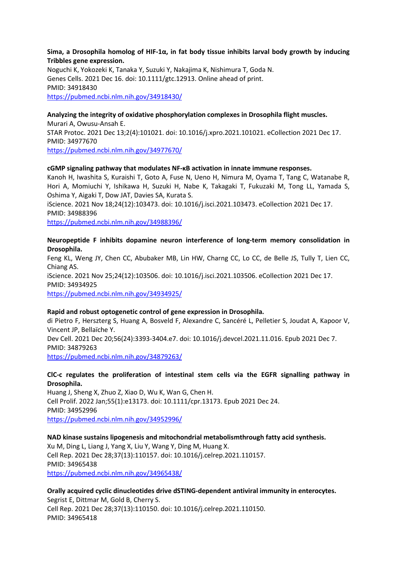#### **Sima, a Drosophila homolog of HIF-1α, in fat body tissue inhibits larval body growth by inducing Tribbles gene expression.**

Noguchi K, Yokozeki K, Tanaka Y, Suzuki Y, Nakajima K, Nishimura T, Goda N. Genes Cells. 2021 Dec 16. doi: 10.1111/gtc.12913. Online ahead of print. PMID: 34918430 <https://pubmed.ncbi.nlm.nih.gov/34918430/>

#### **Analyzing the integrity of oxidative phosphorylation complexes in Drosophila flight muscles.**

Murari A, Owusu-Ansah E. STAR Protoc. 2021 Dec 13;2(4):101021. doi: 10.1016/j.xpro.2021.101021. eCollection 2021 Dec 17. PMID: 34977670 <https://pubmed.ncbi.nlm.nih.gov/34977670/>

#### **cGMP signaling pathway that modulates NF-κB activation in innate immune responses.**

Kanoh H, Iwashita S, Kuraishi T, Goto A, Fuse N, Ueno H, Nimura M, Oyama T, Tang C, Watanabe R, Hori A, Momiuchi Y, Ishikawa H, Suzuki H, Nabe K, Takagaki T, Fukuzaki M, Tong LL, Yamada S, Oshima Y, Aigaki T, Dow JAT, Davies SA, Kurata S.

iScience. 2021 Nov 18;24(12):103473. doi: 10.1016/j.isci.2021.103473. eCollection 2021 Dec 17. PMID: 34988396

<https://pubmed.ncbi.nlm.nih.gov/34988396/>

#### **Neuropeptide F inhibits dopamine neuron interference of long-term memory consolidation in Drosophila.**

Feng KL, Weng JY, Chen CC, Abubaker MB, Lin HW, Charng CC, Lo CC, de Belle JS, Tully T, Lien CC, Chiang AS. iScience. 2021 Nov 25;24(12):103506. doi: 10.1016/j.isci.2021.103506. eCollection 2021 Dec 17. PMID: 34934925 <https://pubmed.ncbi.nlm.nih.gov/34934925/>

#### **Rapid and robust optogenetic control of gene expression in Drosophila.**

di Pietro F, Herszterg S, Huang A, Bosveld F, Alexandre C, Sancéré L, Pelletier S, Joudat A, Kapoor V, Vincent JP, Bellaïche Y. Dev Cell. 2021 Dec 20;56(24):3393-3404.e7. doi: 10.1016/j.devcel.2021.11.016. Epub 2021 Dec 7. PMID: 34879263 <https://pubmed.ncbi.nlm.nih.gov/34879263/>

#### **ClC-c regulates the proliferation of intestinal stem cells via the EGFR signalling pathway in Drosophila.**

Huang J, Sheng X, Zhuo Z, Xiao D, Wu K, Wan G, Chen H. Cell Prolif. 2022 Jan;55(1):e13173. doi: 10.1111/cpr.13173. Epub 2021 Dec 24. PMID: 34952996 <https://pubmed.ncbi.nlm.nih.gov/34952996/>

## **NAD kinase sustains lipogenesis and mitochondrial metabolismthrough fatty acid synthesis.** Xu M, Ding L, Liang J, Yang X, Liu Y, Wang Y, Ding M, Huang X. Cell Rep. 2021 Dec 28;37(13):110157. doi: 10.1016/j.celrep.2021.110157. PMID: 34965438 <https://pubmed.ncbi.nlm.nih.gov/34965438/>

#### **Orally acquired cyclic dinucleotides drive dSTING-dependent antiviral immunity in enterocytes.** Segrist E, Dittmar M, Gold B, Cherry S.

Cell Rep. 2021 Dec 28;37(13):110150. doi: 10.1016/j.celrep.2021.110150. PMID: 34965418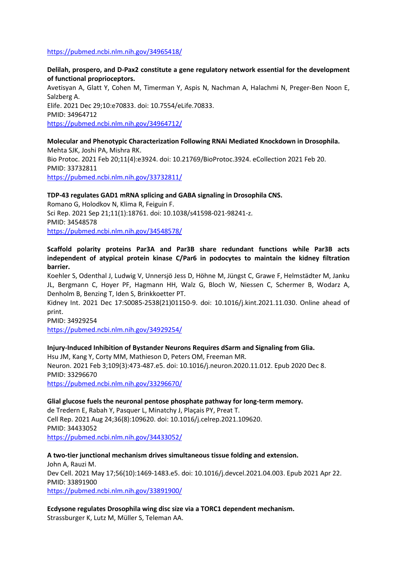#### <https://pubmed.ncbi.nlm.nih.gov/34965418/>

**Delilah, prospero, and D-Pax2 constitute a gene regulatory network essential for the development of functional proprioceptors.** Avetisyan A, Glatt Y, Cohen M, Timerman Y, Aspis N, Nachman A, Halachmi N, Preger-Ben Noon E, Salzberg A. Elife. 2021 Dec 29;10:e70833. doi: 10.7554/eLife.70833. PMID: 34964712 <https://pubmed.ncbi.nlm.nih.gov/34964712/>

**Molecular and Phenotypic Characterization Following RNAi Mediated Knockdown in Drosophila.** Mehta SJK, Joshi PA, Mishra RK. Bio Protoc. 2021 Feb 20;11(4):e3924. doi: 10.21769/BioProtoc.3924. eCollection 2021 Feb 20. PMID: 33732811 <https://pubmed.ncbi.nlm.nih.gov/33732811/>

#### **TDP-43 regulates GAD1 mRNA splicing and GABA signaling in Drosophila CNS.**

Romano G, Holodkov N, Klima R, Feiguin F. Sci Rep. 2021 Sep 21;11(1):18761. doi: 10.1038/s41598-021-98241-z. PMID: 34548578 <https://pubmed.ncbi.nlm.nih.gov/34548578/>

## **Scaffold polarity proteins Par3A and Par3B share redundant functions while Par3B acts independent of atypical protein kinase C/Par6 in podocytes to maintain the kidney filtration barrier.**

Koehler S, Odenthal J, Ludwig V, Unnersjö Jess D, Höhne M, Jüngst C, Grawe F, Helmstädter M, Janku JL, Bergmann C, Hoyer PF, Hagmann HH, Walz G, Bloch W, Niessen C, Schermer B, Wodarz A, Denholm B, Benzing T, Iden S, Brinkkoetter PT.

Kidney Int. 2021 Dec 17:S0085-2538(21)01150-9. doi: 10.1016/j.kint.2021.11.030. Online ahead of print.

PMID: 34929254

<https://pubmed.ncbi.nlm.nih.gov/34929254/>

#### **Injury-Induced Inhibition of Bystander Neurons Requires dSarm and Signaling from Glia.**

Hsu JM, Kang Y, Corty MM, Mathieson D, Peters OM, Freeman MR. Neuron. 2021 Feb 3;109(3):473-487.e5. doi: 10.1016/j.neuron.2020.11.012. Epub 2020 Dec 8. PMID: 33296670 <https://pubmed.ncbi.nlm.nih.gov/33296670/>

#### **Glial glucose fuels the neuronal pentose phosphate pathway for long-term memory.**

de Tredern E, Rabah Y, Pasquer L, Minatchy J, Plaçais PY, Preat T. Cell Rep. 2021 Aug 24;36(8):109620. doi: 10.1016/j.celrep.2021.109620. PMID: 34433052 <https://pubmed.ncbi.nlm.nih.gov/34433052/>

**A two-tier junctional mechanism drives simultaneous tissue folding and extension.** John A, Rauzi M. Dev Cell. 2021 May 17;56(10):1469-1483.e5. doi: 10.1016/j.devcel.2021.04.003. Epub 2021 Apr 22. PMID: 33891900 <https://pubmed.ncbi.nlm.nih.gov/33891900/>

**Ecdysone regulates Drosophila wing disc size via a TORC1 dependent mechanism.** Strassburger K, Lutz M, Müller S, Teleman AA.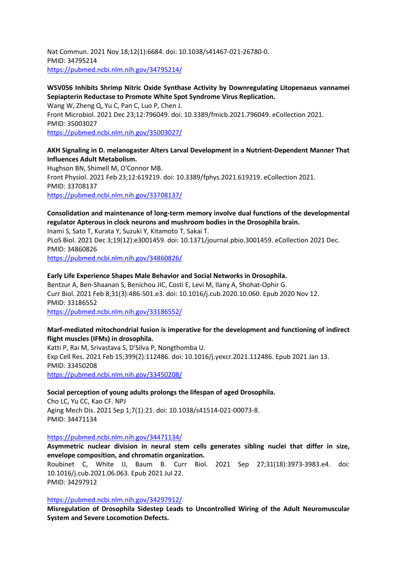Nat Commun. 2021 Nov 18;12(1):6684. doi: 10.1038/s41467-021-26780-0. PMID: 34795214 <https://pubmed.ncbi.nlm.nih.gov/34795214/>

#### **WSV056 Inhibits Shrimp Nitric Oxide Synthase Activity by Downregulating Litopenaeus vannamei Sepiapterin Reductase to Promote White Spot Syndrome Virus Replication.**

Wang W, Zheng Q, Yu C, Pan C, Luo P, Chen J. Front Microbiol. 2021 Dec 23;12:796049. doi: 10.3389/fmicb.2021.796049. eCollection 2021. PMID: 35003027 <https://pubmed.ncbi.nlm.nih.gov/35003027/>

## **AKH Signaling in D. melanogaster Alters Larval Development in a Nutrient-Dependent Manner That Influences Adult Metabolism.**

Hughson BN, Shimell M, O'Connor MB. Front Physiol. 2021 Feb 23;12:619219. doi: 10.3389/fphys.2021.619219. eCollection 2021. PMID: 33708137 <https://pubmed.ncbi.nlm.nih.gov/33708137/>

## **Consolidation and maintenance of long-term memory involve dual functions of the developmental regulator Apterous in clock neurons and mushroom bodies in the Drosophila brain.**

Inami S, Sato T, Kurata Y, Suzuki Y, Kitamoto T, Sakai T. PLoS Biol. 2021 Dec 3;19(12):e3001459. doi: 10.1371/journal.pbio.3001459. eCollection 2021 Dec. PMID: 34860826

<https://pubmed.ncbi.nlm.nih.gov/34860826/>

#### **Early Life Experience Shapes Male Behavior and Social Networks in Drosophila.**

Bentzur A, Ben-Shaanan S, Benichou JIC, Costi E, Levi M, Ilany A, Shohat-Ophir G. Curr Biol. 2021 Feb 8;31(3):486-501.e3. doi: 10.1016/j.cub.2020.10.060. Epub 2020 Nov 12. PMID: 33186552

<https://pubmed.ncbi.nlm.nih.gov/33186552/>

#### **Marf-mediated mitochondrial fusion is imperative for the development and functioning of indirect flight muscles (IFMs) in drosophila.**

Katti P, Rai M, Srivastava S, D'Silva P, Nongthomba U. Exp Cell Res. 2021 Feb 15;399(2):112486. doi: 10.1016/j.yexcr.2021.112486. Epub 2021 Jan 13. PMID: 33450208 <https://pubmed.ncbi.nlm.nih.gov/33450208/>

#### **Social perception of young adults prolongs the lifespan of aged Drosophila.**

Cho LC, Yu CC, Kao CF. NPJ Aging Mech Dis. 2021 Sep 1;7(1):21. doi: 10.1038/s41514-021-00073-8. PMID: 34471134

#### <https://pubmed.ncbi.nlm.nih.gov/34471134/>

**Asymmetric nuclear division in neural stem cells generates sibling nuclei that differ in size, envelope composition, and chromatin organization.**

Roubinet C, White IJ, Baum B. Curr Biol. 2021 Sep 27;31(18):3973-3983.e4. doi: 10.1016/j.cub.2021.06.063. Epub 2021 Jul 22. PMID: 34297912

#### <https://pubmed.ncbi.nlm.nih.gov/34297912/>

**Misregulation of Drosophila Sidestep Leads to Uncontrolled Wiring of the Adult Neuromuscular System and Severe Locomotion Defects.**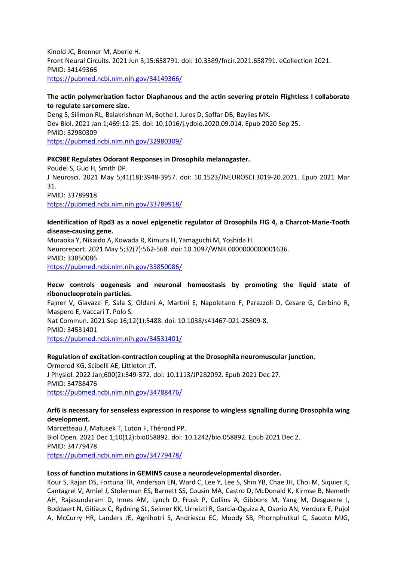Kinold JC, Brenner M, Aberle H. Front Neural Circuits. 2021 Jun 3;15:658791. doi: 10.3389/fncir.2021.658791. eCollection 2021. PMID: 34149366 <https://pubmed.ncbi.nlm.nih.gov/34149366/>

#### **The actin polymerization factor Diaphanous and the actin severing protein Flightless I collaborate to regulate sarcomere size.**

Deng S, Silimon RL, Balakrishnan M, Bothe I, Juros D, Soffar DB, Baylies MK. Dev Biol. 2021 Jan 1;469:12-25. doi: 10.1016/j.ydbio.2020.09.014. Epub 2020 Sep 25. PMID: 32980309 <https://pubmed.ncbi.nlm.nih.gov/32980309/>

#### **PKC98E Regulates Odorant Responses in Drosophila melanogaster.**

Poudel S, Guo H, Smith DP. J Neurosci. 2021 May 5;41(18):3948-3957. doi: 10.1523/JNEUROSCI.3019-20.2021. Epub 2021 Mar 31. PMID: 33789918 <https://pubmed.ncbi.nlm.nih.gov/33789918/>

#### **Identification of Rpd3 as a novel epigenetic regulator of Drosophila FIG 4, a Charcot-Marie-Tooth disease-causing gene.**

Muraoka Y, Nikaido A, Kowada R, Kimura H, Yamaguchi M, Yoshida H. Neuroreport. 2021 May 5;32(7):562-568. doi: 10.1097/WNR.0000000000001636. PMID: 33850086 <https://pubmed.ncbi.nlm.nih.gov/33850086/>

#### **Hecw controls oogenesis and neuronal homeostasis by promoting the liquid state of ribonucleoprotein particles.**

Fajner V, Giavazzi F, Sala S, Oldani A, Martini E, Napoletano F, Parazzoli D, Cesare G, Cerbino R, Maspero E, Vaccari T, Polo S. Nat Commun. 2021 Sep 16;12(1):5488. doi: 10.1038/s41467-021-25809-8. PMID: 34531401

<https://pubmed.ncbi.nlm.nih.gov/34531401/>

#### **Regulation of excitation-contraction coupling at the Drosophila neuromuscular junction.**

Ormerod KG, Scibelli AE, Littleton JT. J Physiol. 2022 Jan;600(2):349-372. doi: 10.1113/JP282092. Epub 2021 Dec 27. PMID: 34788476 <https://pubmed.ncbi.nlm.nih.gov/34788476/>

#### **Arf6 is necessary for senseless expression in response to wingless signalling during Drosophila wing development.**

Marcetteau J, Matusek T, Luton F, Thérond PP. Biol Open. 2021 Dec 1;10(12):bio058892. doi: 10.1242/bio.058892. Epub 2021 Dec 2. PMID: 34779478 <https://pubmed.ncbi.nlm.nih.gov/34779478/>

#### **Loss of function mutations in GEMIN5 cause a neurodevelopmental disorder.**

Kour S, Rajan DS, Fortuna TR, Anderson EN, Ward C, Lee Y, Lee S, Shin YB, Chae JH, Choi M, Siquier K, Cantagrel V, Amiel J, Stolerman ES, Barnett SS, Cousin MA, Castro D, McDonald K, Kirmse B, Nemeth AH, Rajasundaram D, Innes AM, Lynch D, Frosk P, Collins A, Gibbons M, Yang M, Desguerre I, Boddaert N, Gitiaux C, Rydning SL, Selmer KK, Urreizti R, Garcia-Oguiza A, Osorio AN, Verdura E, Pujol A, McCurry HR, Landers JE, Agnihotri S, Andriescu EC, Moody SB, Phornphutkul C, Sacoto MJG,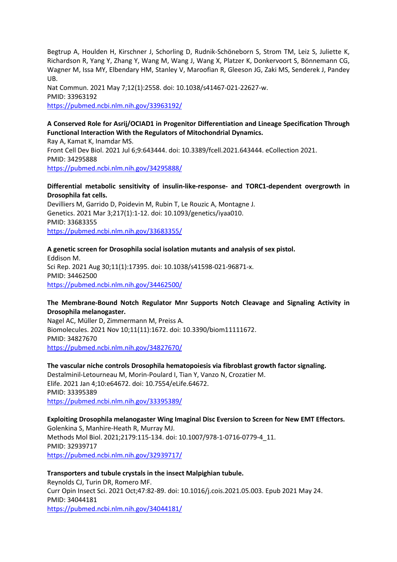Begtrup A, Houlden H, Kirschner J, Schorling D, Rudnik-Schöneborn S, Strom TM, Leiz S, Juliette K, Richardson R, Yang Y, Zhang Y, Wang M, Wang J, Wang X, Platzer K, Donkervoort S, Bönnemann CG, Wagner M, Issa MY, Elbendary HM, Stanley V, Maroofian R, Gleeson JG, Zaki MS, Senderek J, Pandey UB.

Nat Commun. 2021 May 7;12(1):2558. doi: 10.1038/s41467-021-22627-w. PMID: 33963192 <https://pubmed.ncbi.nlm.nih.gov/33963192/>

## **A Conserved Role for Asrij/OCIAD1 in Progenitor Differentiation and Lineage Specification Through Functional Interaction With the Regulators of Mitochondrial Dynamics.**

Ray A, Kamat K, Inamdar MS. Front Cell Dev Biol. 2021 Jul 6;9:643444. doi: 10.3389/fcell.2021.643444. eCollection 2021. PMID: 34295888 <https://pubmed.ncbi.nlm.nih.gov/34295888/>

#### **Differential metabolic sensitivity of insulin-like-response- and TORC1-dependent overgrowth in Drosophila fat cells.**

Devilliers M, Garrido D, Poidevin M, Rubin T, Le Rouzic A, Montagne J. Genetics. 2021 Mar 3;217(1):1-12. doi: 10.1093/genetics/iyaa010. PMID: 33683355 <https://pubmed.ncbi.nlm.nih.gov/33683355/>

#### **A genetic screen for Drosophila social isolation mutants and analysis of sex pistol.**

Eddison M. Sci Rep. 2021 Aug 30;11(1):17395. doi: 10.1038/s41598-021-96871-x. PMID: 34462500 <https://pubmed.ncbi.nlm.nih.gov/34462500/>

#### **The Membrane-Bound Notch Regulator Mnr Supports Notch Cleavage and Signaling Activity in Drosophila melanogaster.**

Nagel AC, Müller D, Zimmermann M, Preiss A. Biomolecules. 2021 Nov 10;11(11):1672. doi: 10.3390/biom11111672. PMID: 34827670 <https://pubmed.ncbi.nlm.nih.gov/34827670/>

#### **The vascular niche controls Drosophila hematopoiesis via fibroblast growth factor signaling.**

Destalminil-Letourneau M, Morin-Poulard I, Tian Y, Vanzo N, Crozatier M. Elife. 2021 Jan 4;10:e64672. doi: 10.7554/eLife.64672. PMID: 33395389 <https://pubmed.ncbi.nlm.nih.gov/33395389/>

## **Exploiting Drosophila melanogaster Wing Imaginal Disc Eversion to Screen for New EMT Effectors.**

Golenkina S, Manhire-Heath R, Murray MJ. Methods Mol Biol. 2021;2179:115-134. doi: 10.1007/978-1-0716-0779-4\_11. PMID: 32939717 <https://pubmed.ncbi.nlm.nih.gov/32939717/>

#### **Transporters and tubule crystals in the insect Malpighian tubule.**

Reynolds CJ, Turin DR, Romero MF. Curr Opin Insect Sci. 2021 Oct;47:82-89. doi: 10.1016/j.cois.2021.05.003. Epub 2021 May 24. PMID: 34044181 <https://pubmed.ncbi.nlm.nih.gov/34044181/>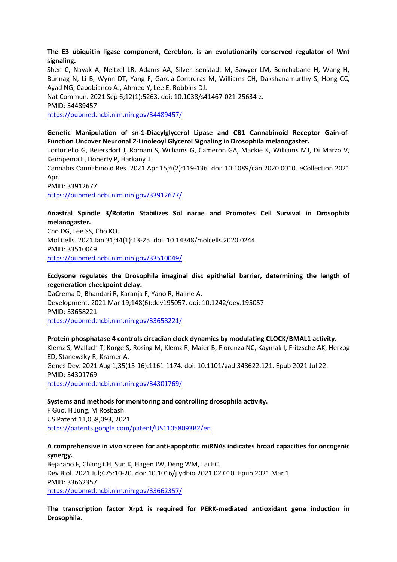#### **The E3 ubiquitin ligase component, Cereblon, is an evolutionarily conserved regulator of Wnt signaling.**

Shen C, Nayak A, Neitzel LR, Adams AA, Silver-Isenstadt M, Sawyer LM, Benchabane H, Wang H, Bunnag N, Li B, Wynn DT, Yang F, Garcia-Contreras M, Williams CH, Dakshanamurthy S, Hong CC, Ayad NG, Capobianco AJ, Ahmed Y, Lee E, Robbins DJ.

Nat Commun. 2021 Sep 6;12(1):5263. doi: 10.1038/s41467-021-25634-z.

PMID: 34489457

<https://pubmed.ncbi.nlm.nih.gov/34489457/>

## **Genetic Manipulation of sn-1-Diacylglycerol Lipase and CB1 Cannabinoid Receptor Gain-of-Function Uncover Neuronal 2-Linoleoyl Glycerol Signaling in Drosophila melanogaster.**

Tortoriello G, Beiersdorf J, Romani S, Williams G, Cameron GA, Mackie K, Williams MJ, Di Marzo V, Keimpema E, Doherty P, Harkany T.

Cannabis Cannabinoid Res. 2021 Apr 15;6(2):119-136. doi: 10.1089/can.2020.0010. eCollection 2021 Apr.

PMID: 33912677 <https://pubmed.ncbi.nlm.nih.gov/33912677/>

## **Anastral Spindle 3/Rotatin Stabilizes Sol narae and Promotes Cell Survival in Drosophila melanogaster.**

Cho DG, Lee SS, Cho KO. Mol Cells. 2021 Jan 31;44(1):13-25. doi: 10.14348/molcells.2020.0244. PMID: 33510049 <https://pubmed.ncbi.nlm.nih.gov/33510049/>

## **Ecdysone regulates the Drosophila imaginal disc epithelial barrier, determining the length of regeneration checkpoint delay.**

DaCrema D, Bhandari R, Karanja F, Yano R, Halme A. Development. 2021 Mar 19;148(6):dev195057. doi: 10.1242/dev.195057. PMID: 33658221 <https://pubmed.ncbi.nlm.nih.gov/33658221/>

## **Protein phosphatase 4 controls circadian clock dynamics by modulating CLOCK/BMAL1 activity.** Klemz S, Wallach T, Korge S, Rosing M, Klemz R, Maier B, Fiorenza NC, Kaymak I, Fritzsche AK, Herzog ED, Stanewsky R, Kramer A. Genes Dev. 2021 Aug 1;35(15-16):1161-1174. doi: 10.1101/gad.348622.121. Epub 2021 Jul 22. PMID: 34301769 <https://pubmed.ncbi.nlm.nih.gov/34301769/>

## **Systems and methods for monitoring and controlling drosophila activity.**

F Guo, H Jung, M Rosbash. US Patent 11,058,093, 2021 <https://patents.google.com/patent/US11058093B2/en>

## **A comprehensive in vivo screen for anti-apoptotic miRNAs indicates broad capacities for oncogenic synergy.**

Bejarano F, Chang CH, Sun K, Hagen JW, Deng WM, Lai EC. Dev Biol. 2021 Jul;475:10-20. doi: 10.1016/j.ydbio.2021.02.010. Epub 2021 Mar 1. PMID: 33662357 <https://pubmed.ncbi.nlm.nih.gov/33662357/>

**The transcription factor Xrp1 is required for PERK-mediated antioxidant gene induction in Drosophila.**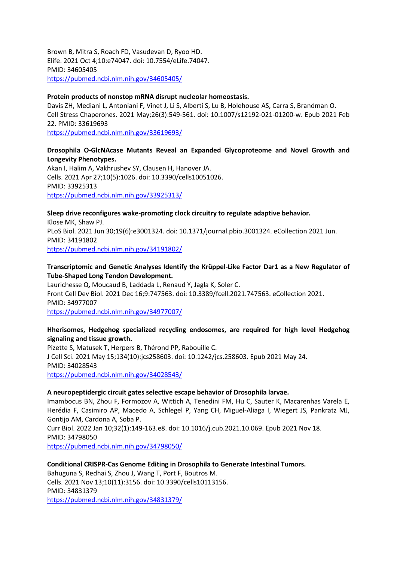Brown B, Mitra S, Roach FD, Vasudevan D, Ryoo HD. Elife. 2021 Oct 4;10:e74047. doi: 10.7554/eLife.74047. PMID: 34605405 <https://pubmed.ncbi.nlm.nih.gov/34605405/>

#### **Protein products of nonstop mRNA disrupt nucleolar homeostasis.**

Davis ZH, Mediani L, Antoniani F, Vinet J, Li S, Alberti S, Lu B, Holehouse AS, Carra S, Brandman O. Cell Stress Chaperones. 2021 May;26(3):549-561. doi: 10.1007/s12192-021-01200-w. Epub 2021 Feb 22. PMID: 33619693

<https://pubmed.ncbi.nlm.nih.gov/33619693/>

## **Drosophila O-GlcNAcase Mutants Reveal an Expanded Glycoproteome and Novel Growth and Longevity Phenotypes.**

Akan I, Halim A, Vakhrushev SY, Clausen H, Hanover JA. Cells. 2021 Apr 27;10(5):1026. doi: 10.3390/cells10051026. PMID: 33925313 <https://pubmed.ncbi.nlm.nih.gov/33925313/>

## **Sleep drive reconfigures wake-promoting clock circuitry to regulate adaptive behavior.**

Klose MK, Shaw PJ. PLoS Biol. 2021 Jun 30;19(6):e3001324. doi: 10.1371/journal.pbio.3001324. eCollection 2021 Jun. PMID: 34191802 <https://pubmed.ncbi.nlm.nih.gov/34191802/>

## **Transcriptomic and Genetic Analyses Identify the Krüppel-Like Factor Dar1 as a New Regulator of Tube-Shaped Long Tendon Development.**

Laurichesse Q, Moucaud B, Laddada L, Renaud Y, Jagla K, Soler C. Front Cell Dev Biol. 2021 Dec 16;9:747563. doi: 10.3389/fcell.2021.747563. eCollection 2021. PMID: 34977007

<https://pubmed.ncbi.nlm.nih.gov/34977007/>

## **Hherisomes, Hedgehog specialized recycling endosomes, are required for high level Hedgehog signaling and tissue growth.**

Pizette S, Matusek T, Herpers B, Thérond PP, Rabouille C. J Cell Sci. 2021 May 15;134(10):jcs258603. doi: 10.1242/jcs.258603. Epub 2021 May 24. PMID: 34028543 <https://pubmed.ncbi.nlm.nih.gov/34028543/>

## **A neuropeptidergic circuit gates selective escape behavior of Drosophila larvae.**

Imambocus BN, Zhou F, Formozov A, Wittich A, Tenedini FM, Hu C, Sauter K, Macarenhas Varela E, Herédia F, Casimiro AP, Macedo A, Schlegel P, Yang CH, Miguel-Aliaga I, Wiegert JS, Pankratz MJ, Gontijo AM, Cardona A, Soba P.

Curr Biol. 2022 Jan 10;32(1):149-163.e8. doi: 10.1016/j.cub.2021.10.069. Epub 2021 Nov 18. PMID: 34798050 <https://pubmed.ncbi.nlm.nih.gov/34798050/>

## **Conditional CRISPR-Cas Genome Editing in Drosophila to Generate Intestinal Tumors.**

Bahuguna S, Redhai S, Zhou J, Wang T, Port F, Boutros M. Cells. 2021 Nov 13;10(11):3156. doi: 10.3390/cells10113156. PMID: 34831379 <https://pubmed.ncbi.nlm.nih.gov/34831379/>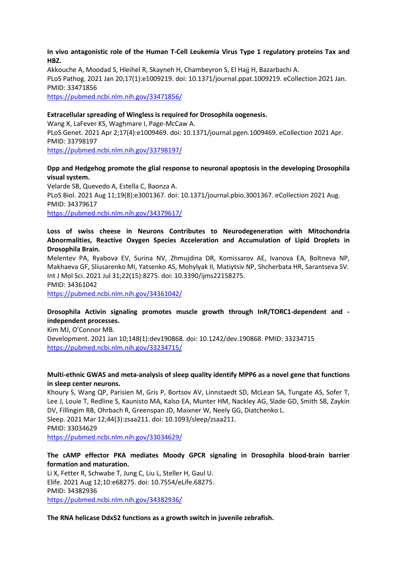#### **In vivo antagonistic role of the Human T-Cell Leukemia Virus Type 1 regulatory proteins Tax and HBZ.**

Akkouche A, Moodad S, Hleihel R, Skayneh H, Chambeyron S, El Hajj H, Bazarbachi A. PLoS Pathog. 2021 Jan 20;17(1):e1009219. doi: 10.1371/journal.ppat.1009219. eCollection 2021 Jan. PMID: 33471856 <https://pubmed.ncbi.nlm.nih.gov/33471856/>

#### **Extracellular spreading of Wingless is required for Drosophila oogenesis.**

Wang X, LaFever KS, Waghmare I, Page-McCaw A. PLoS Genet. 2021 Apr 2;17(4):e1009469. doi: 10.1371/journal.pgen.1009469. eCollection 2021 Apr. PMID: 33798197 <https://pubmed.ncbi.nlm.nih.gov/33798197/>

#### **Dpp and Hedgehog promote the glial response to neuronal apoptosis in the developing Drosophila visual system.**

Velarde SB, Quevedo A, Estella C, Baonza A. PLoS Biol. 2021 Aug 11;19(8):e3001367. doi: 10.1371/journal.pbio.3001367. eCollection 2021 Aug. PMID: 34379617 <https://pubmed.ncbi.nlm.nih.gov/34379617/>

#### **Loss of swiss cheese in Neurons Contributes to Neurodegeneration with Mitochondria Abnormalities, Reactive Oxygen Species Acceleration and Accumulation of Lipid Droplets in Drosophila Brain.**

Melentev PA, Ryabova EV, Surina NV, Zhmujdina DR, Komissarov AE, Ivanova EA, Boltneva NP, Makhaeva GF, Sliusarenko MI, Yatsenko AS, Mohylyak II, Matiytsiv NP, Shcherbata HR, Sarantseva SV. Int J Mol Sci. 2021 Jul 31;22(15):8275. doi: 10.3390/ijms22158275. PMID: 34361042

<https://pubmed.ncbi.nlm.nih.gov/34361042/>

#### **Drosophila Activin signaling promotes muscle growth through InR/TORC1-dependent and independent processes.**

Kim MJ, O'Connor MB. Development. 2021 Jan 10;148(1):dev190868. doi: 10.1242/dev.190868. PMID: 33234715 <https://pubmed.ncbi.nlm.nih.gov/33234715/>

#### **Multi-ethnic GWAS and meta-analysis of sleep quality identify MPP6 as a novel gene that functions in sleep center neurons.**

Khoury S, Wang QP, Parisien M, Gris P, Bortsov AV, Linnstaedt SD, McLean SA, Tungate AS, Sofer T, Lee J, Louie T, Redline S, Kaunisto MA, Kalso EA, Munter HM, Nackley AG, Slade GD, Smith SB, Zaykin DV, Fillingim RB, Ohrbach R, Greenspan JD, Maixner W, Neely GG, Diatchenko L. Sleep. 2021 Mar 12;44(3):zsaa211. doi: 10.1093/sleep/zsaa211. PMID: 33034629 <https://pubmed.ncbi.nlm.nih.gov/33034629/>

#### **The cAMP effector PKA mediates Moody GPCR signaling in Drosophila blood-brain barrier formation and maturation.**

Li X, Fetter R, Schwabe T, Jung C, Liu L, Steller H, Gaul U. Elife. 2021 Aug 12;10:e68275. doi: 10.7554/eLife.68275. PMID: 34382936 <https://pubmed.ncbi.nlm.nih.gov/34382936/>

#### **The RNA helicase Ddx52 functions as a growth switch in juvenile zebrafish.**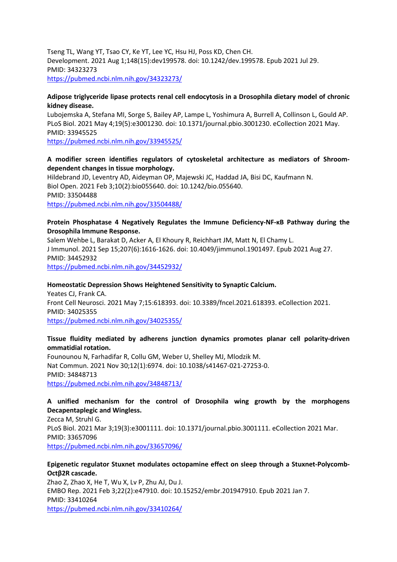Tseng TL, Wang YT, Tsao CY, Ke YT, Lee YC, Hsu HJ, Poss KD, Chen CH. Development. 2021 Aug 1;148(15):dev199578. doi: 10.1242/dev.199578. Epub 2021 Jul 29. PMID: 34323273 <https://pubmed.ncbi.nlm.nih.gov/34323273/>

#### **Adipose triglyceride lipase protects renal cell endocytosis in a Drosophila dietary model of chronic kidney disease.**

Lubojemska A, Stefana MI, Sorge S, Bailey AP, Lampe L, Yoshimura A, Burrell A, Collinson L, Gould AP. PLoS Biol. 2021 May 4;19(5):e3001230. doi: 10.1371/journal.pbio.3001230. eCollection 2021 May. PMID: 33945525

<https://pubmed.ncbi.nlm.nih.gov/33945525/>

## **A modifier screen identifies regulators of cytoskeletal architecture as mediators of Shroomdependent changes in tissue morphology.**

Hildebrand JD, Leventry AD, Aideyman OP, Majewski JC, Haddad JA, Bisi DC, Kaufmann N. Biol Open. 2021 Feb 3;10(2):bio055640. doi: 10.1242/bio.055640. PMID: 33504488 <https://pubmed.ncbi.nlm.nih.gov/33504488/>

#### **Protein Phosphatase 4 Negatively Regulates the Immune Deficiency-NF-κB Pathway during the Drosophila Immune Response.**

Salem Wehbe L, Barakat D, Acker A, El Khoury R, Reichhart JM, Matt N, El Chamy L. J Immunol. 2021 Sep 15;207(6):1616-1626. doi: 10.4049/jimmunol.1901497. Epub 2021 Aug 27. PMID: 34452932 <https://pubmed.ncbi.nlm.nih.gov/34452932/>

#### **Homeostatic Depression Shows Heightened Sensitivity to Synaptic Calcium.**

Yeates CJ, Frank CA. Front Cell Neurosci. 2021 May 7;15:618393. doi: 10.3389/fncel.2021.618393. eCollection 2021. PMID: 34025355 <https://pubmed.ncbi.nlm.nih.gov/34025355/>

#### **Tissue fluidity mediated by adherens junction dynamics promotes planar cell polarity-driven ommatidial rotation.**

Founounou N, Farhadifar R, Collu GM, Weber U, Shelley MJ, Mlodzik M. Nat Commun. 2021 Nov 30;12(1):6974. doi: 10.1038/s41467-021-27253-0. PMID: 34848713 <https://pubmed.ncbi.nlm.nih.gov/34848713/>

## **A unified mechanism for the control of Drosophila wing growth by the morphogens Decapentaplegic and Wingless.**

Zecca M, Struhl G. PLoS Biol. 2021 Mar 3;19(3):e3001111. doi: 10.1371/journal.pbio.3001111. eCollection 2021 Mar. PMID: 33657096 <https://pubmed.ncbi.nlm.nih.gov/33657096/>

## **Epigenetic regulator Stuxnet modulates octopamine effect on sleep through a Stuxnet-Polycomb-Octβ2R cascade.**

Zhao Z, Zhao X, He T, Wu X, Lv P, Zhu AJ, Du J. EMBO Rep. 2021 Feb 3;22(2):e47910. doi: 10.15252/embr.201947910. Epub 2021 Jan 7. PMID: 33410264 <https://pubmed.ncbi.nlm.nih.gov/33410264/>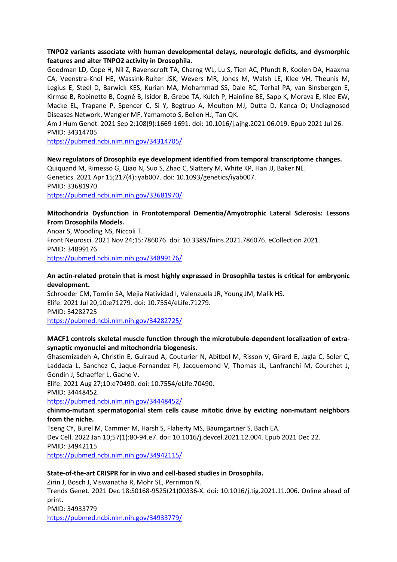## **TNPO2 variants associate with human developmental delays, neurologic deficits, and dysmorphic features and alter TNPO2 activity in Drosophila.**

Goodman LD, Cope H, Nil Z, Ravenscroft TA, Charng WL, Lu S, Tien AC, Pfundt R, Koolen DA, Haaxma CA, Veenstra-Knol HE, Wassink-Ruiter JSK, Wevers MR, Jones M, Walsh LE, Klee VH, Theunis M, Legius E, Steel D, Barwick KES, Kurian MA, Mohammad SS, Dale RC, Terhal PA, van Binsbergen E, Kirmse B, Robinette B, Cogné B, Isidor B, Grebe TA, Kulch P, Hainline BE, Sapp K, Morava E, Klee EW, Macke EL, Trapane P, Spencer C, Si Y, Begtrup A, Moulton MJ, Dutta D, Kanca O; Undiagnosed Diseases Network, Wangler MF, Yamamoto S, Bellen HJ, Tan QK.

Am J Hum Genet. 2021 Sep 2;108(9):1669-1691. doi: 10.1016/j.ajhg.2021.06.019. Epub 2021 Jul 26. PMID: 34314705

<https://pubmed.ncbi.nlm.nih.gov/34314705/>

#### **New regulators of Drosophila eye development identified from temporal transcriptome changes.**

Quiquand M, Rimesso G, Qiao N, Suo S, Zhao C, Slattery M, White KP, Han JJ, Baker NE. Genetics. 2021 Apr 15;217(4):iyab007. doi: 10.1093/genetics/iyab007. PMID: 33681970 <https://pubmed.ncbi.nlm.nih.gov/33681970/>

## **Mitochondria Dysfunction in Frontotemporal Dementia/Amyotrophic Lateral Sclerosis: Lessons From Drosophila Models.**

Anoar S, Woodling NS, Niccoli T. Front Neurosci. 2021 Nov 24;15:786076. doi: 10.3389/fnins.2021.786076. eCollection 2021. PMID: 34899176 <https://pubmed.ncbi.nlm.nih.gov/34899176/>

## **An actin-related protein that is most highly expressed in Drosophila testes is critical for embryonic development.**

Schroeder CM, Tomlin SA, Mejia Natividad I, Valenzuela JR, Young JM, Malik HS. Elife. 2021 Jul 20;10:e71279. doi: 10.7554/eLife.71279. PMID: 34282725 <https://pubmed.ncbi.nlm.nih.gov/34282725/>

## **MACF1 controls skeletal muscle function through the microtubule-dependent localization of extrasynaptic myonuclei and mitochondria biogenesis.**

Ghasemizadeh A, Christin E, Guiraud A, Couturier N, Abitbol M, Risson V, Girard E, Jagla C, Soler C, Laddada L, Sanchez C, Jaque-Fernandez FI, Jacquemond V, Thomas JL, Lanfranchi M, Courchet J, Gondin J, Schaeffer L, Gache V.

Elife. 2021 Aug 27;10:e70490. doi: 10.7554/eLife.70490.

PMID: 34448452

<https://pubmed.ncbi.nlm.nih.gov/34448452/>

#### **chinmo-mutant spermatogonial stem cells cause mitotic drive by evicting non-mutant neighbors from the niche.**

Tseng CY, Burel M, Cammer M, Harsh S, Flaherty MS, Baumgartner S, Bach EA. Dev Cell. 2022 Jan 10;57(1):80-94.e7. doi: 10.1016/j.devcel.2021.12.004. Epub 2021 Dec 22. PMID: 34942115 <https://pubmed.ncbi.nlm.nih.gov/34942115/>

# **State-of-the-art CRISPR for in vivo and cell-based studies in Drosophila.**

Zirin J, Bosch J, Viswanatha R, Mohr SE, Perrimon N. Trends Genet. 2021 Dec 18:S0168-9525(21)00336-X. doi: 10.1016/j.tig.2021.11.006. Online ahead of print. PMID: 34933779 <https://pubmed.ncbi.nlm.nih.gov/34933779/>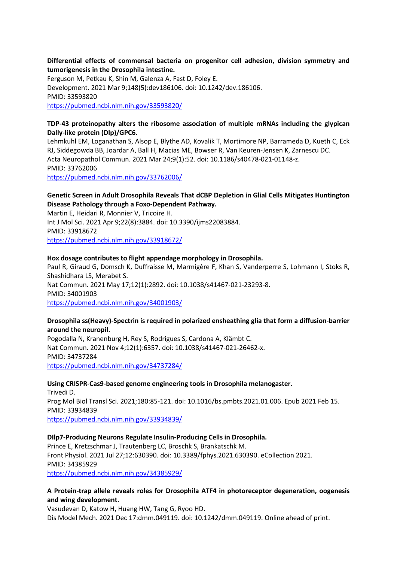#### **Differential effects of commensal bacteria on progenitor cell adhesion, division symmetry and tumorigenesis in the Drosophila intestine.**

Ferguson M, Petkau K, Shin M, Galenza A, Fast D, Foley E. Development. 2021 Mar 9;148(5):dev186106. doi: 10.1242/dev.186106. PMID: 33593820 <https://pubmed.ncbi.nlm.nih.gov/33593820/>

## **TDP-43 proteinopathy alters the ribosome association of multiple mRNAs including the glypican Dally-like protein (Dlp)/GPC6.**

Lehmkuhl EM, Loganathan S, Alsop E, Blythe AD, Kovalik T, Mortimore NP, Barrameda D, Kueth C, Eck RJ, Siddegowda BB, Joardar A, Ball H, Macias ME, Bowser R, Van Keuren-Jensen K, Zarnescu DC. Acta Neuropathol Commun. 2021 Mar 24;9(1):52. doi: 10.1186/s40478-021-01148-z. PMID: 33762006 <https://pubmed.ncbi.nlm.nih.gov/33762006/>

## **Genetic Screen in Adult Drosophila Reveals That dCBP Depletion in Glial Cells Mitigates Huntington Disease Pathology through a Foxo-Dependent Pathway.**

Martin E, Heidari R, Monnier V, Tricoire H. Int J Mol Sci. 2021 Apr 9;22(8):3884. doi: 10.3390/ijms22083884. PMID: 33918672 <https://pubmed.ncbi.nlm.nih.gov/33918672/>

#### **Hox dosage contributes to flight appendage morphology in Drosophila.**

Paul R, Giraud G, Domsch K, Duffraisse M, Marmigère F, Khan S, Vanderperre S, Lohmann I, Stoks R, Shashidhara LS, Merabet S.

Nat Commun. 2021 May 17;12(1):2892. doi: 10.1038/s41467-021-23293-8. PMID: 34001903 <https://pubmed.ncbi.nlm.nih.gov/34001903/>

#### **Drosophila ss(Heavy)-Spectrin is required in polarized ensheathing glia that form a diffusion-barrier around the neuropil.**

Pogodalla N, Kranenburg H, Rey S, Rodrigues S, Cardona A, Klämbt C. Nat Commun. 2021 Nov 4;12(1):6357. doi: 10.1038/s41467-021-26462-x. PMID: 34737284 <https://pubmed.ncbi.nlm.nih.gov/34737284/>

## **Using CRISPR-Cas9-based genome engineering tools in Drosophila melanogaster.**

Trivedi D. Prog Mol Biol Transl Sci. 2021;180:85-121. doi: 10.1016/bs.pmbts.2021.01.006. Epub 2021 Feb 15. PMID: 33934839 <https://pubmed.ncbi.nlm.nih.gov/33934839/>

#### **DIlp7-Producing Neurons Regulate Insulin-Producing Cells in Drosophila.**

Prince E, Kretzschmar J, Trautenberg LC, Broschk S, Brankatschk M. Front Physiol. 2021 Jul 27;12:630390. doi: 10.3389/fphys.2021.630390. eCollection 2021. PMID: 34385929 <https://pubmed.ncbi.nlm.nih.gov/34385929/>

## **A Protein-trap allele reveals roles for Drosophila ATF4 in photoreceptor degeneration, oogenesis and wing development.**

Vasudevan D, Katow H, Huang HW, Tang G, Ryoo HD. Dis Model Mech. 2021 Dec 17:dmm.049119. doi: 10.1242/dmm.049119. Online ahead of print.